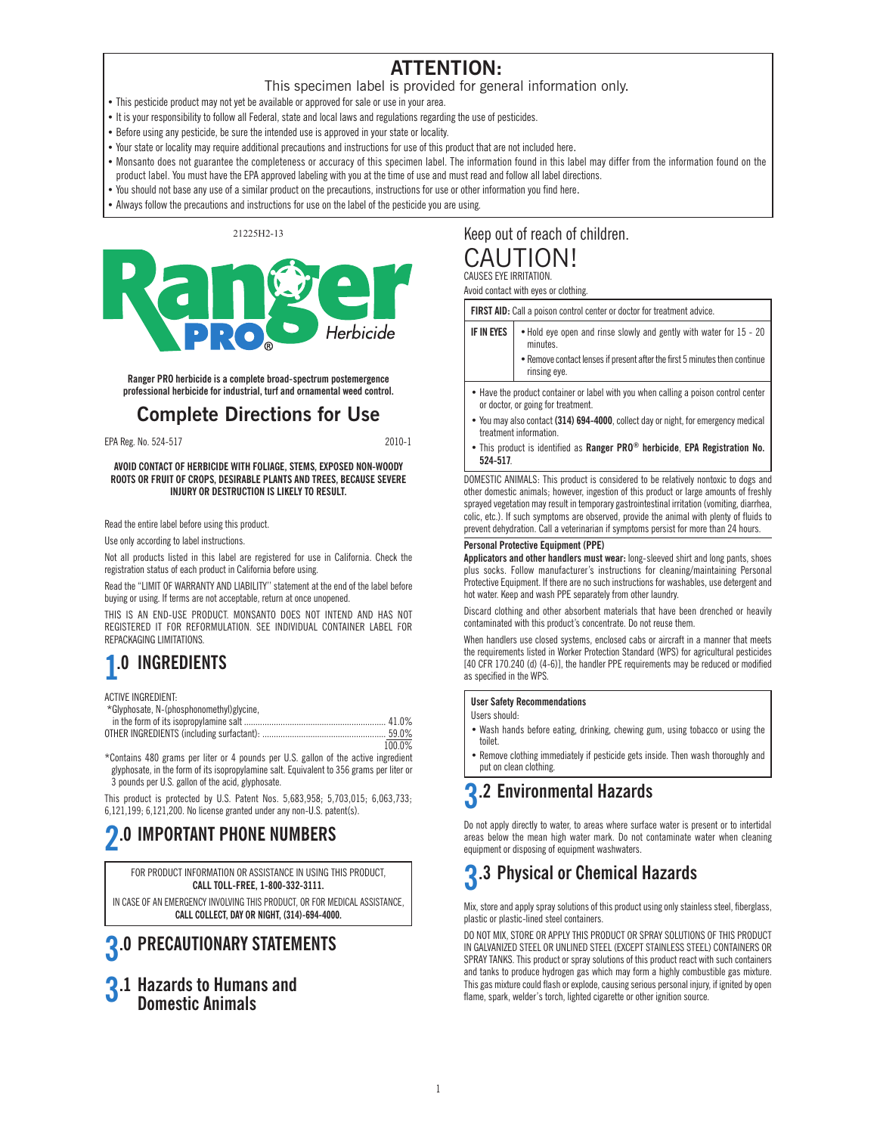### **ATTENTION:**

- This specimen label is provided for general information only.
- This pesticide product may not yet be available or approved for sale or use in your area.
- It is your responsibility to follow all Federal, state and local laws and regulations regarding the use of pesticides.
- Before using any pesticide, be sure the intended use is approved in your state or locality.
- Your state or locality may require additional precautions and instructions for use of this product that are not included here.
- Monsanto does not guarantee the completeness or accuracy of this specimen label. The information found in this label may differ from the information found on the product label. You must have the EPA approved labeling with you at the time of use and must read and follow all label directions.
- You should not base any use of a similar product on the precautions, instructions for use or other information you find here.
- Always follow the precautions and instructions for use on the label of the pesticide you are using.

21225H2-13



**Ranger PRO herbicide is a complete broad-spectrum postemergence professional herbicide for industrial, turf and ornamental weed control.**

### **Complete Directions for Use**

EPA Reg. No. 524-517 2010-1

**AVOID CONTACT OF HERBICIDE WITH FOLIAGE, STEMS, EXPOSED NON-WOODY ROOTS OR FRUIT OF CROPS, DESIRABLE PLANTS AND TREES, BECAUSE SEVERE INJURY OR DESTRUCTION IS LIKELY TO RESULT.**

Read the entire label before using this product.

Use only according to label instructions.

Not all products listed in this label are registered for use in California. Check the registration status of each product in California before using.

Read the "LIMIT OF WARRANTY AND LIABILITY'' statement at the end of the label before buying or using. If terms are not acceptable, return at once unopened.

THIS IS AN END-USE PRODUCT. MONSANTO DOES NOT INTEND AND HAS NOT REGISTERED IT FOR REFORMULATION. SEE INDIVIDUAL CONTAINER LABEL FOR REPACKAGING LIMITATIONS.

# **1.0 INGREDIENTS**

ACTIVE INGREDIENT:

| 100.0% |
|--------|
|        |

\*Contains 480 grams per liter or 4 pounds per U.S. gallon of the active ingredient glyphosate, in the form of its isopropylamine salt. Equivalent to 356 grams per liter or 3 pounds per U.S. gallon of the acid, glyphosate.

This product is protected by U.S. Patent Nos. 5,683,958; 5,703,015; 6,063,733; 6,121,199; 6,121,200. No license granted under any non-U.S. patent(s).

# **2.0 IMPORTANT PHONE NUMBERS**

FOR PRODUCT INFORMATION OR ASSISTANCE IN USING THIS PRODUCT, **CALL TOLL-FREE, 1-800-332-3111.**

IN CASE OF AN EMERGENCY INVOLVING THIS PRODUCT, OR FOR MEDICAL ASSISTANCE, **CALL COLLECT, DAY OR NIGHT, (314)-694-4000.**

## **3.0 PRECAUTIONARY STATEMENTS**

**3.1 Hazards to Humans and Domestic Animals**

### Keep out of reach of children. CAUTION! CAUSES EYE IRRITATION.

Avoid contact with eyes or clothing.

**FIRST AID:** Call a poison control center or doctor for treatment advice.

- **IF IN EYES**  $\bullet$  Hold eye open and rinse slowly and gently with water for 15 20 minutes. •Remove contact lenses if present after the first 5 minutes then continue
	- rinsing eye.
- Have the product container or label with you when calling a poison control center or doctor, or going for treatment.
- You may also contact **(314) 694-4000**, collect day or night, for emergency medical treatment information.
- This product is identified as **Ranger PRO® herbicide**, **EPA Registration No. 524-517**.

DOMESTIC ANIMALS: This product is considered to be relatively nontoxic to dogs and other domestic animals; however, ingestion of this product or large amounts of freshly sprayed vegetation may result in temporary gastrointestinal irritation (vomiting, diarrhea, colic, etc.). If such symptoms are observed, provide the animal with plenty of fluids to prevent dehydration. Call a veterinarian if symptoms persist for more than 24 hours.

### **Personal Protective Equipment (PPE)**

**Applicators and other handlers must wear:** long-sleeved shirt and long pants, shoes plus socks. Follow manufacturer's instructions for cleaning/maintaining Personal Protective Equipment. If there are no such instructions for washables, use detergent and hot water. Keep and wash PPE separately from other laundry.

Discard clothing and other absorbent materials that have been drenched or heavily contaminated with this product's concentrate. Do not reuse them.

When handlers use closed systems, enclosed cabs or aircraft in a manner that meets the requirements listed in Worker Protection Standard (WPS) for agricultural pesticides [40 CFR 170.240 (d) (4-6)], the handler PPE requirements may be reduced or modified as specified in the WPS.

### **User Safety Recommendations**

Users should:

- Wash hands before eating, drinking, chewing gum, using tobacco or using the toilet.
- Remove clothing immediately if pesticide gets inside. Then wash thoroughly and put on clean clothing.

# **3.2 Environmental Hazards**

Do not apply directly to water, to areas where surface water is present or to intertidal areas below the mean high water mark. Do not contaminate water when cleaning equipment or disposing of equipment washwaters.

## **3.3 Physical or Chemical Hazards**

Mix, store and apply spray solutions of this product using only stainless steel, fiberglass, plastic or plastic-lined steel containers.

DO NOT MIX, STORE OR APPLY THIS PRODUCT OR SPRAY SOLUTIONS OF THIS PRODUCT IN GALVANIZED STEEL OR UNLINED STEEL (EXCEPT STAINLESS STEEL) CONTAINERS OR SPRAY TANKS. This product or spray solutions of this product react with such containers and tanks to produce hydrogen gas which may form a highly combustible gas mixture. This gas mixture could flash or explode, causing serious personal injury, if ignited by open flame, spark, welder's torch, lighted cigarette or other ignition source.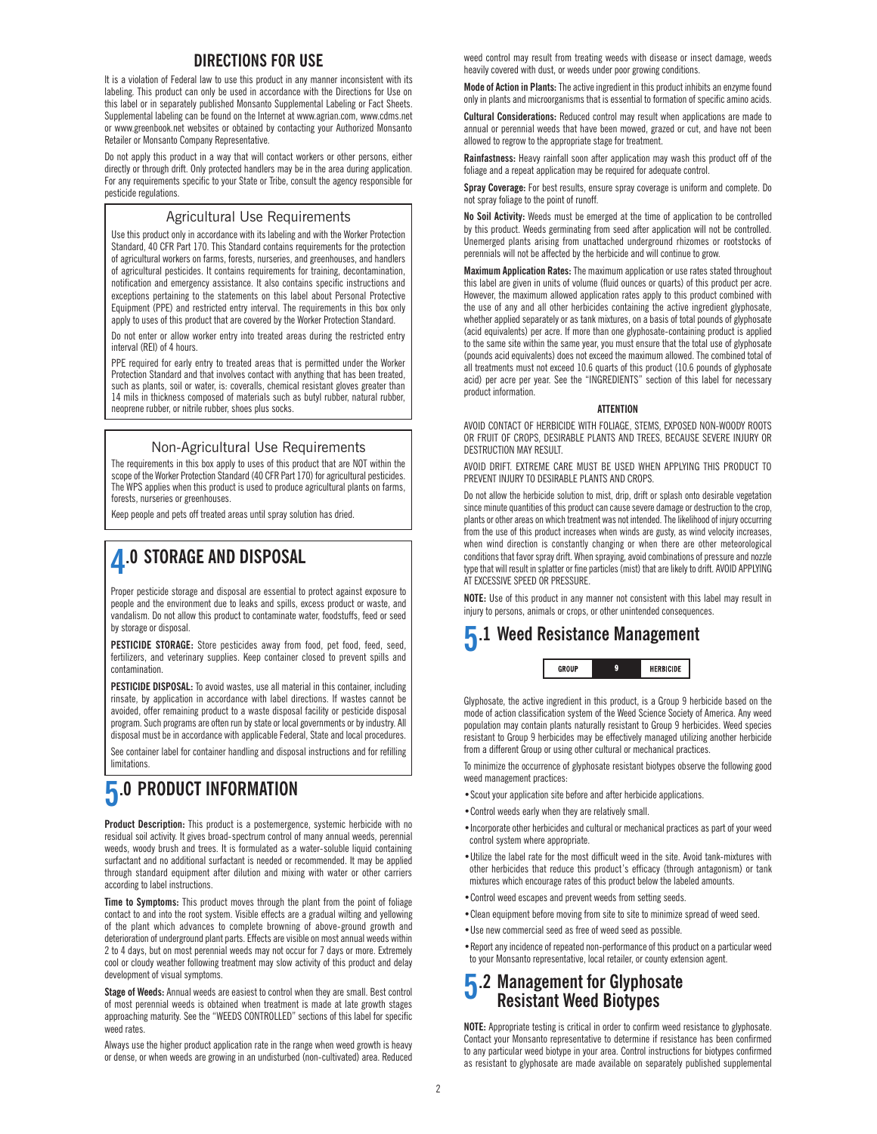### **DIRECTIONS FOR USE**

It is a violation of Federal law to use this product in any manner inconsistent with its labeling. This product can only be used in accordance with the Directions for Use on this label or in separately published Monsanto Supplemental Labeling or Fact Sheets. Supplemental labeling can be found on the Internet at www.agrian.com, www.cdms.net or www.greenbook.net websites or obtained by contacting your Authorized Monsanto Retailer or Monsanto Company Representative.

Do not apply this product in a way that will contact workers or other persons, either directly or through drift. Only protected handlers may be in the area during application. For any requirements specific to your State or Tribe, consult the agency responsible for pesticide regulations.

### Agricultural Use Requirements

Use this product only in accordance with its labeling and with the Worker Protection Standard, 40 CFR Part 170. This Standard contains requirements for the protection of agricultural workers on farms, forests, nurseries, and greenhouses, and handlers of agricultural pesticides. It contains requirements for training, decontamination, notification and emergency assistance. It also contains specific instructions and exceptions pertaining to the statements on this label about Personal Protective Equipment (PPE) and restricted entry interval. The requirements in this box only apply to uses of this product that are covered by the Worker Protection Standard.

Do not enter or allow worker entry into treated areas during the restricted entry interval (REI) of 4 hours.

PPE required for early entry to treated areas that is permitted under the Worker Protection Standard and that involves contact with anything that has been treated, such as plants, soil or water, is: coveralls, chemical resistant gloves greater than 14 mils in thickness composed of materials such as butyl rubber, natural rubber, neoprene rubber, or nitrile rubber, shoes plus socks.

### Non-Agricultural Use Requirements

The requirements in this box apply to uses of this product that are NOT within the scope of the Worker Protection Standard (40 CFR Part 170) for agricultural pesticides. The WPS applies when this product is used to produce agricultural plants on farms, forests, nurseries or greenhouses.

Keep people and pets off treated areas until spray solution has dried.

### **4.0 STORAGE AND DISPOSAL**

Proper pesticide storage and disposal are essential to protect against exposure to people and the environment due to leaks and spills, excess product or waste, and vandalism. Do not allow this product to contaminate water, foodstuffs, feed or seed by storage or disposal.

**PESTICIDE STORAGE:** Store pesticides away from food, pet food, feed, seed, fertilizers, and veterinary supplies. Keep container closed to prevent spills and contamination.

**PESTICIDE DISPOSAL:** To avoid wastes, use all material in this container, including rinsate, by application in accordance with label directions. If wastes cannot be avoided, offer remaining product to a waste disposal facility or pesticide disposal program. Such programs are often run by state or local governments or by industry. All disposal must be in accordance with applicable Federal, State and local procedures.

See container label for container handling and disposal instructions and for refilling limitations.

## **5.0 PRODUCT INFORMATION**

**Product Description:** This product is a postemergence, systemic herbicide with no residual soil activity. It gives broad-spectrum control of many annual weeds, perennial weeds, woody brush and trees. It is formulated as a water-soluble liquid containing surfactant and no additional surfactant is needed or recommended. It may be applied through standard equipment after dilution and mixing with water or other carriers according to label instructions.

**Time to Symptoms:** This product moves through the plant from the point of foliage contact to and into the root system. Visible effects are a gradual wilting and yellowing of the plant which advances to complete browning of above-ground growth and deterioration of underground plant parts. Effects are visible on most annual weeds within 2 to 4 days, but on most perennial weeds may not occur for 7 days or more. Extremely cool or cloudy weather following treatment may slow activity of this product and delay development of visual symptoms.

**Stage of Weeds:** Annual weeds are easiest to control when they are small. Best control of most perennial weeds is obtained when treatment is made at late growth stages approaching maturity. See the "WEEDS CONTROLLED" sections of this label for specific weed rates.

Always use the higher product application rate in the range when weed growth is heavy or dense, or when weeds are growing in an undisturbed (non-cultivated) area. Reduced

weed control may result from treating weeds with disease or insect damage, weeds heavily covered with dust, or weeds under poor growing conditions.

**Mode of Action in Plants:** The active ingredient in this product inhibits an enzyme found only in plants and microorganisms that is essential to formation of specific amino acids.

**Cultural Considerations:** Reduced control may result when applications are made to annual or perennial weeds that have been mowed, grazed or cut, and have not been allowed to regrow to the appropriate stage for treatment.

**Rainfastness:** Heavy rainfall soon after application may wash this product off of the foliage and a repeat application may be required for adequate control.

**Spray Coverage:** For best results, ensure spray coverage is uniform and complete. Do not spray foliage to the point of runoff.

**No Soil Activity:** Weeds must be emerged at the time of application to be controlled by this product. Weeds germinating from seed after application will not be controlled. Unemerged plants arising from unattached underground rhizomes or rootstocks of perennials will not be affected by the herbicide and will continue to grow.

**Maximum Application Rates:** The maximum application or use rates stated throughout this label are given in units of volume (fluid ounces or quarts) of this product per acre. However, the maximum allowed application rates apply to this product combined with the use of any and all other herbicides containing the active ingredient glyphosate, whether applied separately or as tank mixtures, on a basis of total pounds of glyphosate (acid equivalents) per acre. If more than one glyphosate-containing product is applied to the same site within the same year, you must ensure that the total use of glyphosate (pounds acid equivalents) does not exceed the maximum allowed. The combined total of all treatments must not exceed 10.6 quarts of this product (10.6 pounds of glyphosate acid) per acre per year. See the "INGREDIENTS" section of this label for necessary product information.

### **ATTENTION**

AVOID CONTACT OF HERBICIDE WITH FOLIAGE, STEMS, EXPOSED NON-WOODY ROOTS OR FRUIT OF CROPS, DESIRABLE PLANTS AND TREES, BECAUSE SEVERE INJURY OR DESTRUCTION MAY RESULT.

AVOID DRIFT. EXTREME CARE MUST BE USED WHEN APPLYING THIS PRODUCT TO PREVENT INJURY TO DESIRABLE PLANTS AND CROPS.

Do not allow the herbicide solution to mist, drip, drift or splash onto desirable vegetation since minute quantities of this product can cause severe damage or destruction to the crop, plants or other areas on which treatment was not intended. The likelihood of injury occurring from the use of this product increases when winds are gusty, as wind velocity increases, when wind direction is constantly changing or when there are other meteorological conditions that favor spray drift. When spraying, avoid combinations of pressure and nozzle type that will result in splatter or fine particles (mist) that are likely to drift. AVOID APPLYING AT EXCESSIVE SPEED OR PRESSURE.

**NOTE:** Use of this product in any manner not consistent with this label may result in injury to persons, animals or crops, or other unintended consequences.

### **5.1 Weed Resistance Management** GROUP  $\mathfrak{g}$ HERBICIDE

Glyphosate, the active ingredient in this product, is a Group 9 herbicide based on the mode of action classification system of the Weed Science Society of America. Any weed population may contain plants naturally resistant to Group 9 herbicides. Weed species resistant to Group 9 herbicides may be effectively managed utilizing another herbicide from a different Group or using other cultural or mechanical practices.

To minimize the occurrence of glyphosate resistant biotypes observe the following good weed management practices:

- •Scout your application site before and after herbicide applications.
- •Control weeds early when they are relatively small.
- •Incorporate other herbicides and cultural or mechanical practices as part of your weed control system where appropriate.
- •Utilize the label rate for the most difficult weed in the site. Avoid tank-mixtures with other herbicides that reduce this product's efficacy (through antagonism) or tank mixtures which encourage rates of this product below the labeled amounts.
- •Control weed escapes and prevent weeds from setting seeds.
- •Clean equipment before moving from site to site to minimize spread of weed seed.
- •Use new commercial seed as free of weed seed as possible.
- •Report any incidence of repeated non-performance of this product on a particular weed to your Monsanto representative, local retailer, or county extension agent.

### **5.2 Management for Glyphosate Resistant Weed Biotypes**

**NOTE:** Appropriate testing is critical in order to confirm weed resistance to glyphosate. Contact your Monsanto representative to determine if resistance has been confirmed to any particular weed biotype in your area. Control instructions for biotypes confirmed as resistant to glyphosate are made available on separately published supplemental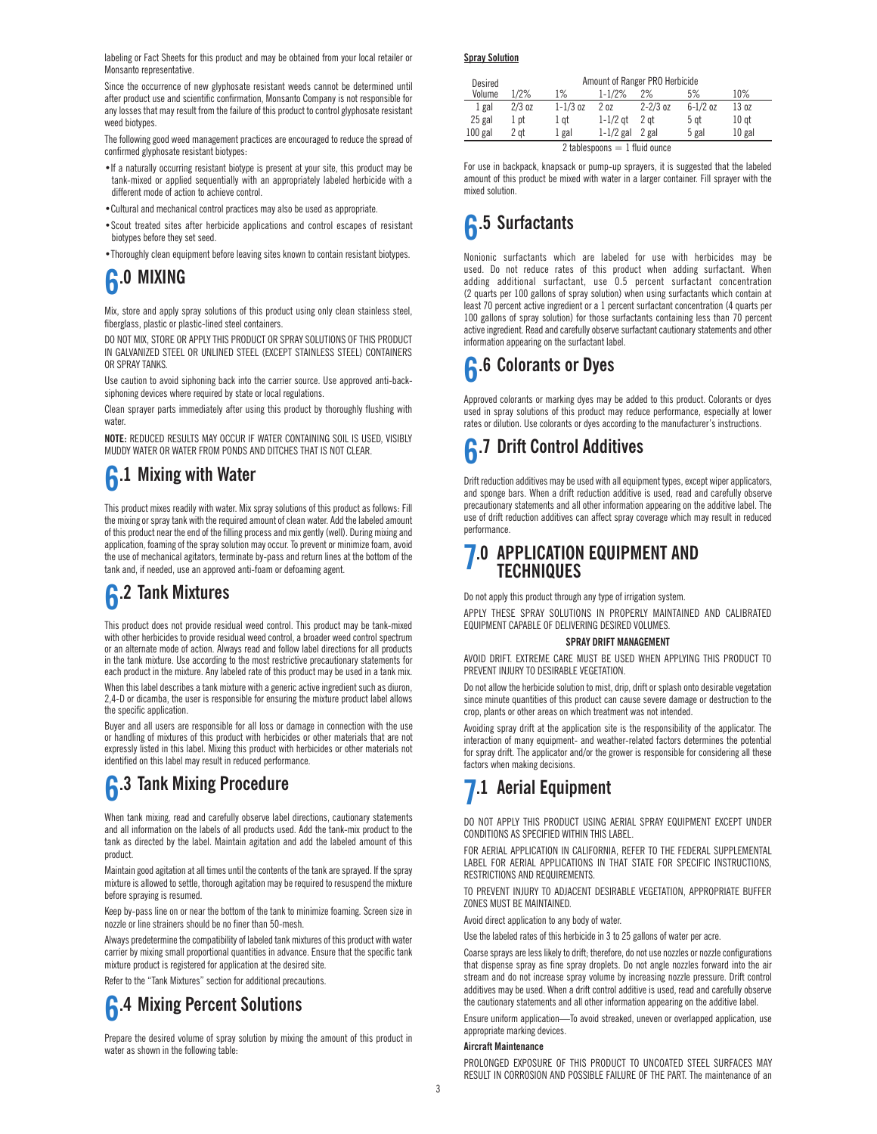labeling or Fact Sheets for this product and may be obtained from your local retailer or Monsanto representative.

Since the occurrence of new glyphosate resistant weeds cannot be determined until after product use and scientific confirmation, Monsanto Company is not responsible for any losses that may result from the failure of this product to control glyphosate resistant weed biotypes.

The following good weed management practices are encouraged to reduce the spread of confirmed glyphosate resistant biotypes:

- •If a naturally occurring resistant biotype is present at your site, this product may be tank-mixed or applied sequentially with an appropriately labeled herbicide with a different mode of action to achieve control.
- •Cultural and mechanical control practices may also be used as appropriate.
- •Scout treated sites after herbicide applications and control escapes of resistant biotypes before they set seed.
- •Thoroughly clean equipment before leaving sites known to contain resistant biotypes.

# **6.0 MIXING**

Mix, store and apply spray solutions of this product using only clean stainless steel, fiberglass, plastic or plastic-lined steel containers.

DO NOT MIX, STORE OR APPLY THIS PRODUCT OR SPRAY SOLUTIONS OF THIS PRODUCT IN GALVANIZED STEEL OR UNLINED STEEL (EXCEPT STAINLESS STEEL) CONTAINERS OR SPRAY TANKS.

Use caution to avoid siphoning back into the carrier source. Use approved anti-backsiphoning devices where required by state or local regulations.

Clean sprayer parts immediately after using this product by thoroughly flushing with water

**NOTE:** REDUCED RESULTS MAY OCCUR IF WATER CONTAINING SOIL IS USED, VISIBLY MUDDY WATER OR WATER FROM PONDS AND DITCHES THAT IS NOT CLEAR.

## **6.1 Mixing with Water**

This product mixes readily with water. Mix spray solutions of this product as follows: Fill the mixing or spray tank with the required amount of clean water. Add the labeled amount of this product near the end of the filling process and mix gently (well). During mixing and application, foaming of the spray solution may occur. To prevent or minimize foam, avoid the use of mechanical agitators, terminate by-pass and return lines at the bottom of the tank and, if needed, use an approved anti-foam or defoaming agent.

# **6.2 Tank Mixtures**

This product does not provide residual weed control. This product may be tank-mixed with other herbicides to provide residual weed control, a broader weed control spectrum or an alternate mode of action. Always read and follow label directions for all products in the tank mixture. Use according to the most restrictive precautionary statements for each product in the mixture. Any labeled rate of this product may be used in a tank mix.

When this label describes a tank mixture with a generic active ingredient such as diuron, 2,4-D or dicamba, the user is responsible for ensuring the mixture product label allows the specific application.

Buyer and all users are responsible for all loss or damage in connection with the use or handling of mixtures of this product with herbicides or other materials that are not expressly listed in this label. Mixing this product with herbicides or other materials not identified on this label may result in reduced performance.

## **6.3 Tank Mixing Procedure**

When tank mixing, read and carefully observe label directions, cautionary statements and all information on the labels of all products used. Add the tank-mix product to the tank as directed by the label. Maintain agitation and add the labeled amount of this product.

Maintain good agitation at all times until the contents of the tank are sprayed. If the spray mixture is allowed to settle, thorough agitation may be required to resuspend the mixture before spraying is resumed.

Keep by-pass line on or near the bottom of the tank to minimize foaming. Screen size in nozzle or line strainers should be no finer than 50-mesh.

Always predetermine the compatibility of labeled tank mixtures of this product with water carrier by mixing small proportional quantities in advance. Ensure that the specific tank mixture product is registered for application at the desired site.

Refer to the "Tank Mixtures" section for additional precautions.

**6.4 Mixing Percent Solutions**

Prepare the desired volume of spray solution by mixing the amount of this product in water as shown in the following table:

**Spray Solution**

| Desired<br>Volume               | 1/2%     | $1\%$        | $1 - 1/2%$          | Amount of Ranger PRO Herbicide<br>2% | 5%           | 10%              |
|---------------------------------|----------|--------------|---------------------|--------------------------------------|--------------|------------------|
| 1 gal                           | $2/3$ oz | $1 - 1/3$ oz | 20z                 | $2 - 2/3$ oz                         | $6 - 1/2$ oz | 13 oz            |
| 25 gal                          | 1 pt     | 1 gt         | $1-1/2$ at          | 2 at                                 | 5 at         | 10 <sub>gt</sub> |
| $100$ gal                       | 2 at     | 1 gal        | $1-1/2$ gal $2$ gal |                                      | 5 gal        | $10$ gal         |
| 2 tablespoons $= 1$ fluid ounce |          |              |                     |                                      |              |                  |

For use in backpack, knapsack or pump-up sprayers, it is suggested that the labeled amount of this product be mixed with water in a larger container. Fill sprayer with the mixed solution.

## **6.5 Surfactants**

Nonionic surfactants which are labeled for use with herbicides may be used. Do not reduce rates of this product when adding surfactant. When adding additional surfactant, use 0.5 percent surfactant concentration (2 quarts per 100 gallons of spray solution) when using surfactants which contain at least 70 percent active ingredient or a 1 percent surfactant concentration (4 quarts per 100 gallons of spray solution) for those surfactants containing less than 70 percent active ingredient. Read and carefully observe surfactant cautionary statements and other information appearing on the surfactant label.

## **6.6 Colorants or Dyes**

Approved colorants or marking dyes may be added to this product. Colorants or dyes used in spray solutions of this product may reduce performance, especially at lower rates or dilution. Use colorants or dyes according to the manufacturer's instructions.

## **6.7 Drift Control Additives**

Drift reduction additives may be used with all equipment types, except wiper applicators, and sponge bars. When a drift reduction additive is used, read and carefully observe precautionary statements and all other information appearing on the additive label. The use of drift reduction additives can affect spray coverage which may result in reduced performance.

### **7.0 APPLICATION EQUIPMENT AND TECHNIQUES**

Do not apply this product through any type of irrigation system.

APPLY THESE SPRAY SOLUTIONS IN PROPERLY MAINTAINED AND CALIBRATED EQUIPMENT CAPABLE OF DELIVERING DESIRED VOLUMES.

#### **SPRAY DRIFT MANAGEMENT**

AVOID DRIFT. EXTREME CARE MUST BE USED WHEN APPLYING THIS PRODUCT TO PREVENT INJURY TO DESIRABLE VEGETATION.

Do not allow the herbicide solution to mist, drip, drift or splash onto desirable vegetation since minute quantities of this product can cause severe damage or destruction to the crop, plants or other areas on which treatment was not intended.

Avoiding spray drift at the application site is the responsibility of the applicator. The interaction of many equipment- and weather-related factors determines the potential for spray drift. The applicator and/or the grower is responsible for considering all these factors when making decisions.

## **7.1 Aerial Equipment**

DO NOT APPLY THIS PRODUCT USING AERIAL SPRAY EQUIPMENT EXCEPT UNDER CONDITIONS AS SPECIFIED WITHIN THIS LABEL.

FOR AERIAL APPLICATION IN CALIFORNIA, REFER TO THE FEDERAL SUPPLEMENTAL LABEL FOR AERIAL APPLICATIONS IN THAT STATE FOR SPECIFIC INSTRUCTIONS, RESTRICTIONS AND REQUIREMENTS.

TO PREVENT INJURY TO ADJACENT DESIRABLE VEGETATION, APPROPRIATE BUFFER ZONES MUST BE MAINTAINED.

Avoid direct application to any body of water.

Use the labeled rates of this herbicide in 3 to 25 gallons of water per acre.

Coarse sprays are less likely to drift; therefore, do not use nozzles or nozzle configurations that dispense spray as fine spray droplets. Do not angle nozzles forward into the air stream and do not increase spray volume by increasing nozzle pressure. Drift control additives may be used. When a drift control additive is used, read and carefully observe the cautionary statements and all other information appearing on the additive label.

Ensure uniform application—To avoid streaked, uneven or overlapped application, use appropriate marking devices.

### **Aircraft Maintenance**

PROLONGED EXPOSURE OF THIS PRODUCT TO UNCOATED STEEL SURFACES MAY RESULT IN CORROSION AND POSSIBLE FAILURE OF THE PART. The maintenance of an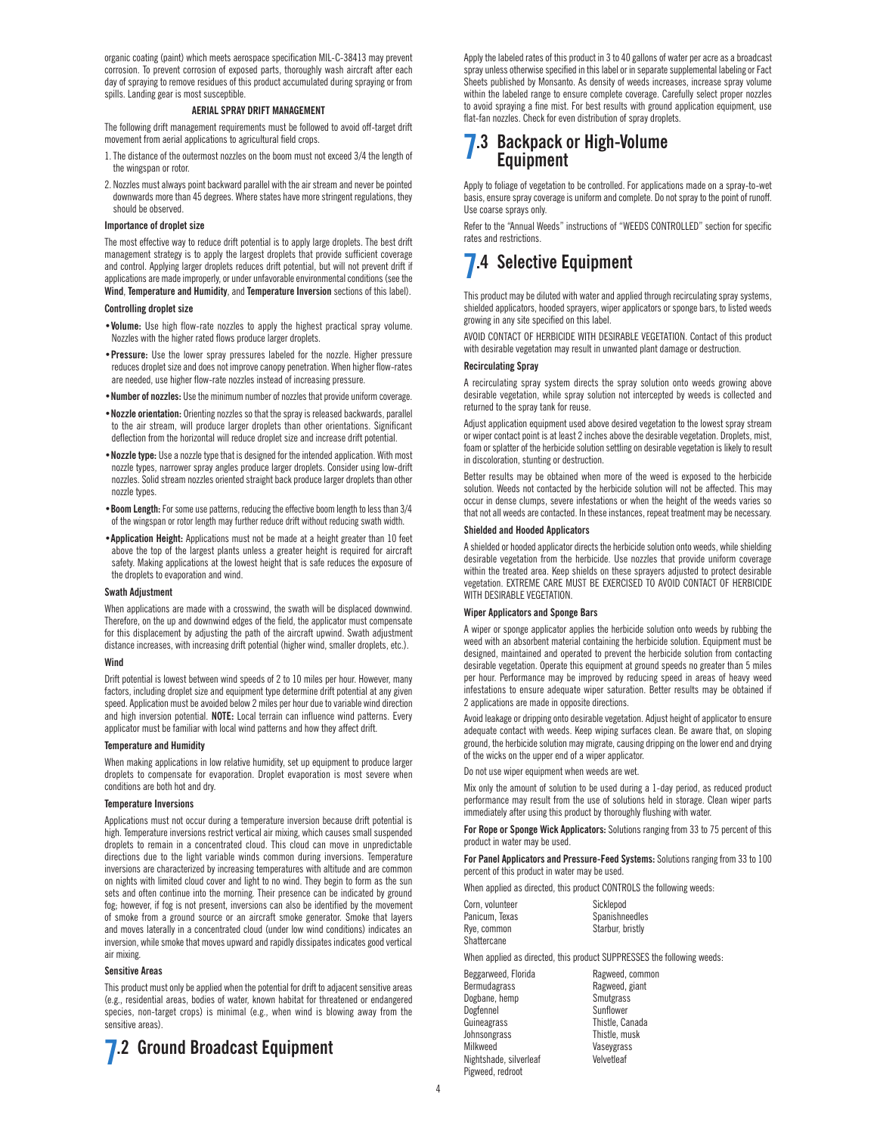organic coating (paint) which meets aerospace specification MIL-C-38413 may prevent corrosion. To prevent corrosion of exposed parts, thoroughly wash aircraft after each day of spraying to remove residues of this product accumulated during spraying or from spills. Landing gear is most susceptible.

### **AERIAL SPRAY DRIFT MANAGEMENT**

The following drift management requirements must be followed to avoid off-target drift movement from aerial applications to agricultural field crops.

- 1.The distance of the outermost nozzles on the boom must not exceed 3/4 the length of the wingspan or rotor.
- 2. Nozzles must always point backward parallel with the air stream and never be pointed downwards more than 45 degrees. Where states have more stringent regulations, they should be observed.

#### **Importance of droplet size**

The most effective way to reduce drift potential is to apply large droplets. The best drift management strategy is to apply the largest droplets that provide sufficient coverage and control. Applying larger droplets reduces drift potential, but will not prevent drift if applications are made improperly, or under unfavorable environmental conditions (see the **Wind**, **Temperature and Humidity**, and **Temperature Inversion** sections of this label).

#### **Controlling droplet size**

- •**Volume:** Use high flow-rate nozzles to apply the highest practical spray volume. Nozzles with the higher rated flows produce larger droplets.
- •**Pressure:** Use the lower spray pressures labeled for the nozzle. Higher pressure reduces droplet size and does not improve canopy penetration. When higher flow-rates are needed, use higher flow-rate nozzles instead of increasing pressure.
- •**Number of nozzles:** Use the minimum number of nozzles that provide uniform coverage.
- •**Nozzle orientation:** Orienting nozzles so that the spray is released backwards, parallel to the air stream, will produce larger droplets than other orientations. Significant deflection from the horizontal will reduce droplet size and increase drift potential.
- •**Nozzle type:** Use a nozzle type that is designed for the intended application. With most nozzle types, narrower spray angles produce larger droplets. Consider using low-drift nozzles. Solid stream nozzles oriented straight back produce larger droplets than other nozzle types.
- •**Boom Length:** For some use patterns, reducing the effective boom length to less than 3/4 of the wingspan or rotor length may further reduce drift without reducing swath width.
- •**Application Height:** Applications must not be made at a height greater than 10 feet above the top of the largest plants unless a greater height is required for aircraft safety. Making applications at the lowest height that is safe reduces the exposure of the droplets to evaporation and wind.

#### **Swath Adjustment**

When applications are made with a crosswind, the swath will be displaced downwind. Therefore, on the up and downwind edges of the field, the applicator must compensate for this displacement by adjusting the path of the aircraft upwind. Swath adjustment distance increases, with increasing drift potential (higher wind, smaller droplets, etc.).

### **Wind**

Drift potential is lowest between wind speeds of 2 to 10 miles per hour. However, many factors, including droplet size and equipment type determine drift potential at any given speed. Application must be avoided below 2 miles per hour due to variable wind direction and high inversion potential. **NOTE:** Local terrain can influence wind patterns. Every applicator must be familiar with local wind patterns and how they affect drift.

#### **Temperature and Humidity**

When making applications in low relative humidity, set up equipment to produce larger droplets to compensate for evaporation. Droplet evaporation is most severe when conditions are both hot and dry.

#### **Temperature Inversions**

Applications must not occur during a temperature inversion because drift potential is high. Temperature inversions restrict vertical air mixing, which causes small suspended droplets to remain in a concentrated cloud. This cloud can move in unpredictable directions due to the light variable winds common during inversions. Temperature inversions are characterized by increasing temperatures with altitude and are common on nights with limited cloud cover and light to no wind. They begin to form as the sun sets and often continue into the morning. Their presence can be indicated by ground fog; however, if fog is not present, inversions can also be identified by the movement of smoke from a ground source or an aircraft smoke generator. Smoke that layers and moves laterally in a concentrated cloud (under low wind conditions) indicates an inversion, while smoke that moves upward and rapidly dissipates indicates good vertical air mixing.

#### **Sensitive Areas**

This product must only be applied when the potential for drift to adjacent sensitive areas (e.g., residential areas, bodies of water, known habitat for threatened or endangered species, non-target crops) is minimal (e.g., when wind is blowing away from the sensitive areas).



Apply the labeled rates of this product in 3 to 40 gallons of water per acre as a broadcast spray unless otherwise specified in this label or in separate supplemental labeling or Fact Sheets published by Monsanto. As density of weeds increases, increase spray volume within the labeled range to ensure complete coverage. Carefully select proper nozzles to avoid spraying a fine mist. For best results with ground application equipment, use flat-fan nozzles. Check for even distribution of spray droplets.

### **7.3 Backpack or High-Volume Equipment**

Apply to foliage of vegetation to be controlled. For applications made on a spray-to-wet basis, ensure spray coverage is uniform and complete. Do not spray to the point of runoff. Use coarse sprays only.

Refer to the "Annual Weeds" instructions of "WEEDS CONTROLLED" section for specific rates and restrictions.

### **7.4 Selective Equipment**

This product may be diluted with water and applied through recirculating spray systems, shielded applicators, hooded sprayers, wiper applicators or sponge bars, to listed weeds growing in any site specified on this label.

AVOID CONTACT OF HERBICIDE WITH DESIRABLE VEGETATION. Contact of this product with desirable vegetation may result in unwanted plant damage or destruction.

#### **Recirculating Spray**

A recirculating spray system directs the spray solution onto weeds growing above desirable vegetation, while spray solution not intercepted by weeds is collected and returned to the spray tank for reuse.

Adjust application equipment used above desired vegetation to the lowest spray stream or wiper contact point is at least 2 inches above the desirable vegetation. Droplets, mist, foam or splatter of the herbicide solution settling on desirable vegetation is likely to result in discoloration, stunting or destruction.

Better results may be obtained when more of the weed is exposed to the herbicide solution. Weeds not contacted by the herbicide solution will not be affected. This may occur in dense clumps, severe infestations or when the height of the weeds varies so that not all weeds are contacted. In these instances, repeat treatment may be necessary.

### **Shielded and Hooded Applicators**

A shielded or hooded applicator directs the herbicide solution onto weeds, while shielding desirable vegetation from the herbicide. Use nozzles that provide uniform coverage within the treated area. Keep shields on these sprayers adjusted to protect desirable vegetation. EXTREME CARE MUST BE EXERCISED TO AVOID CONTACT OF HERBICIDE WITH DESIRABLE VEGETATION.

### **Wiper Applicators and Sponge Bars**

A wiper or sponge applicator applies the herbicide solution onto weeds by rubbing the weed with an absorbent material containing the herbicide solution. Equipment must be designed, maintained and operated to prevent the herbicide solution from contacting desirable vegetation. Operate this equipment at ground speeds no greater than 5 miles per hour. Performance may be improved by reducing speed in areas of heavy weed infestations to ensure adequate wiper saturation. Better results may be obtained if 2 applications are made in opposite directions.

Avoid leakage or dripping onto desirable vegetation. Adjust height of applicator to ensure adequate contact with weeds. Keep wiping surfaces clean. Be aware that, on sloping ground, the herbicide solution may migrate, causing dripping on the lower end and drying of the wicks on the upper end of a wiper applicator.

Do not use wiper equipment when weeds are wet.

Mix only the amount of solution to be used during a 1-day period, as reduced product performance may result from the use of solutions held in storage. Clean wiper parts immediately after using this product by thoroughly flushing with water.

**For Rope or Sponge Wick Applicators:** Solutions ranging from 33 to 75 percent of this product in water may be used.

**For Panel Applicators and Pressure-Feed Systems:** Solutions ranging from 33 to 100 percent of this product in water may be used.

When applied as directed, this product CONTROLS the following weeds:

| Corn, volunteer | Sicklepod        |
|-----------------|------------------|
| Panicum. Texas  | Spanishneedles   |
| Rye, common     | Starbur, bristly |
| Shattercane     |                  |

When applied as directed, this product SUPPRESSES the following weeds:

Beggarweed, Florida Ragweed, common Dogbane, hemp Smutgrass<br>
Dogfennel Sunflower Dogfennel Guineagrass Thistle, Canada Johnsongrass Thistle, musk Nightshade, silverleaf Pigweed, redroot

Ragweed, giant<br>Smutgrass Vaseygrass<br>Velvetleaf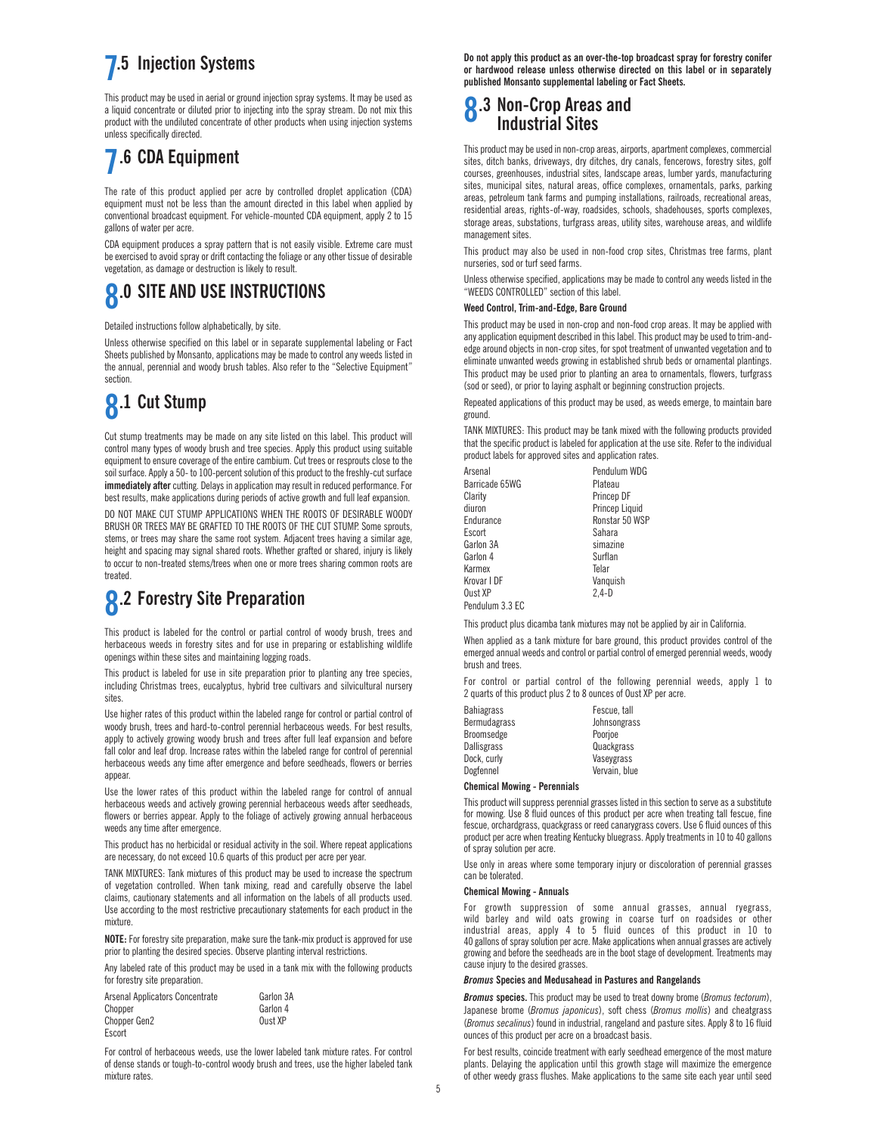### **7.5 Injection Systems**

This product may be used in aerial or ground injection spray systems. It may be used as a liquid concentrate or diluted prior to injecting into the spray stream. Do not mix this product with the undiluted concentrate of other products when using injection systems unless specifically directed.

## **7.6 CDA Equipment**

The rate of this product applied per acre by controlled droplet application (CDA) equipment must not be less than the amount directed in this label when applied by conventional broadcast equipment. For vehicle-mounted CDA equipment, apply 2 to 15 gallons of water per acre.

CDA equipment produces a spray pattern that is not easily visible. Extreme care must be exercised to avoid spray or drift contacting the foliage or any other tissue of desirable vegetation, as damage or destruction is likely to result.

## **8.0 SITE AND USE INSTRUCTIONS**

Detailed instructions follow alphabetically, by site.

Unless otherwise specified on this label or in separate supplemental labeling or Fact Sheets published by Monsanto, applications may be made to control any weeds listed in the annual, perennial and woody brush tables. Also refer to the "Selective Equipment" section.

## **8.1 Cut Stump**

Cut stump treatments may be made on any site listed on this label. This product will control many types of woody brush and tree species. Apply this product using suitable equipment to ensure coverage of the entire cambium. Cut trees or resprouts close to the soil surface. Apply a 50- to 100-percent solution of this product to the freshly-cut surface **immediately after** cutting. Delays in application may result in reduced performance. For best results, make applications during periods of active growth and full leaf expansion.

DO NOT MAKE CUT STUMP APPLICATIONS WHEN THE ROOTS OF DESIRABLE WOODY BRUSH OR TREES MAY BE GRAFTED TO THE ROOTS OF THE CUT STUMP. Some sprouts, stems, or trees may share the same root system. Adjacent trees having a similar age, height and spacing may signal shared roots. Whether grafted or shared, injury is likely to occur to non-treated stems/trees when one or more trees sharing common roots are treated.

## **8.2 Forestry Site Preparation**

This product is labeled for the control or partial control of woody brush, trees and herbaceous weeds in forestry sites and for use in preparing or establishing wildlife openings within these sites and maintaining logging roads.

This product is labeled for use in site preparation prior to planting any tree species, including Christmas trees, eucalyptus, hybrid tree cultivars and silvicultural nursery sites.

Use higher rates of this product within the labeled range for control or partial control of woody brush, trees and hard-to-control perennial herbaceous weeds. For best results, apply to actively growing woody brush and trees after full leaf expansion and before fall color and leaf drop. Increase rates within the labeled range for control of perennial herbaceous weeds any time after emergence and before seedheads, flowers or berries appear.

Use the lower rates of this product within the labeled range for control of annual herbaceous weeds and actively growing perennial herbaceous weeds after seedheads, flowers or berries appear. Apply to the foliage of actively growing annual herbaceous weeds any time after emergence.

This product has no herbicidal or residual activity in the soil. Where repeat applications are necessary, do not exceed 10.6 quarts of this product per acre per year.

TANK MIXTURES: Tank mixtures of this product may be used to increase the spectrum of vegetation controlled. When tank mixing, read and carefully observe the label claims, cautionary statements and all information on the labels of all products used. Use according to the most restrictive precautionary statements for each product in the mixture.

**NOTE:** For forestry site preparation, make sure the tank-mix product is approved for use prior to planting the desired species. Observe planting interval restrictions.

Any labeled rate of this product may be used in a tank mix with the following products for forestry site preparation.

| Arsenal Applicators Concentrate | Garlon 3A |
|---------------------------------|-----------|
| Chopper                         | Garlon 4  |
| Chopper Gen2                    | Oust XP   |
| Escort                          |           |

For control of herbaceous weeds, use the lower labeled tank mixture rates. For control of dense stands or tough-to-control woody brush and trees, use the higher labeled tank mixture rates.

**Do not apply this product as an over-the-top broadcast spray for forestry conifer or hardwood release unless otherwise directed on this label or in separately published Monsanto supplemental labeling or Fact Sheets.**

### **8.3 Non-Crop Areas and Industrial Sites**

This product may be used in non-crop areas, airports, apartment complexes, commercial sites, ditch banks, driveways, dry ditches, dry canals, fencerows, forestry sites, golf courses, greenhouses, industrial sites, landscape areas, lumber yards, manufacturing sites, municipal sites, natural areas, office complexes, ornamentals, parks, parking areas, petroleum tank farms and pumping installations, railroads, recreational areas, residential areas, rights-of-way, roadsides, schools, shadehouses, sports complexes, storage areas, substations, turfgrass areas, utility sites, warehouse areas, and wildlife management sites.

This product may also be used in non-food crop sites, Christmas tree farms, plant nurseries, sod or turf seed farms.

Unless otherwise specified, applications may be made to control any weeds listed in the "WEEDS CONTROLLED" section of this label.

### **Weed Control, Trim-and-Edge, Bare Ground**

This product may be used in non-crop and non-food crop areas. It may be applied with any application equipment described in this label. This product may be used to trim-andedge around objects in non-crop sites, for spot treatment of unwanted vegetation and to eliminate unwanted weeds growing in established shrub beds or ornamental plantings. This product may be used prior to planting an area to ornamentals, flowers, turfgrass (sod or seed), or prior to laying asphalt or beginning construction projects.

Repeated applications of this product may be used, as weeds emerge, to maintain bare ground.

TANK MIXTURES: This product may be tank mixed with the following products provided that the specific product is labeled for application at the use site. Refer to the individual product labels for approved sites and application rates.

| Arsenal         | Pendulum WDG   |
|-----------------|----------------|
| Barricade 65WG  | Plateau        |
| Clarity         | Princep DF     |
| diuron          | Princep Liquid |
| Endurance       | Ronstar 50 WSP |
| Escort          | Sahara         |
| Garlon 3A       | simazine       |
| Garlon 4        | Surflan        |
| Karmex          | Telar          |
| Krovar I DF     | Vanquish       |
| Oust XP         | $2.4-D$        |
| Pendulum 3 3 FC |                |

This product plus dicamba tank mixtures may not be applied by air in California.

When applied as a tank mixture for bare ground, this product provides control of the emerged annual weeds and control or partial control of emerged perennial weeds, woody brush and trees.

For control or partial control of the following perennial weeds, apply 1 to 2 quarts of this product plus 2 to 8 ounces of Oust XP per acre.

| Fescue, tall  |
|---------------|
| Johnsongrass  |
| Poorjoe       |
| Quackgrass    |
| Vaseygrass    |
| Vervain, blue |
|               |

### **Chemical Mowing - Perennials**

This product will suppress perennial grasses listed in this section to serve as a substitute for mowing. Use 8 fluid ounces of this product per acre when treating tall fescue, fine fescue, orchardgrass, quackgrass or reed canarygrass covers. Use 6 fluid ounces of this product per acre when treating Kentucky bluegrass. Apply treatments in 10 to 40 gallons of spray solution per acre.

Use only in areas where some temporary injury or discoloration of perennial grasses can be tolerated.

### **Chemical Mowing - Annuals**

For growth suppression of some annual grasses, annual ryegrass, wild barley and wild oats growing in coarse turf on roadsides or other industrial areas, apply 4 to 5 fluid ounces of this product in 10 to 40 gallons of spray solution per acre. Make applications when annual grasses are actively growing and before the seedheads are in the boot stage of development. Treatments may cause injury to the desired grasses.

#### *Bromus* **Species and Medusahead in Pastures and Rangelands**

*Bromus* **species.** This product may be used to treat downy brome (*Bromus tectorum*), Japanese brome (*Bromus japonicus*), soft chess (*Bromus mollis*) and cheatgrass (*Bromus secalinus*) found in industrial, rangeland and pasture sites. Apply 8 to 16 fluid ounces of this product per acre on a broadcast basis.

For best results, coincide treatment with early seedhead emergence of the most mature plants. Delaying the application until this growth stage will maximize the emergence of other weedy grass flushes. Make applications to the same site each year until seed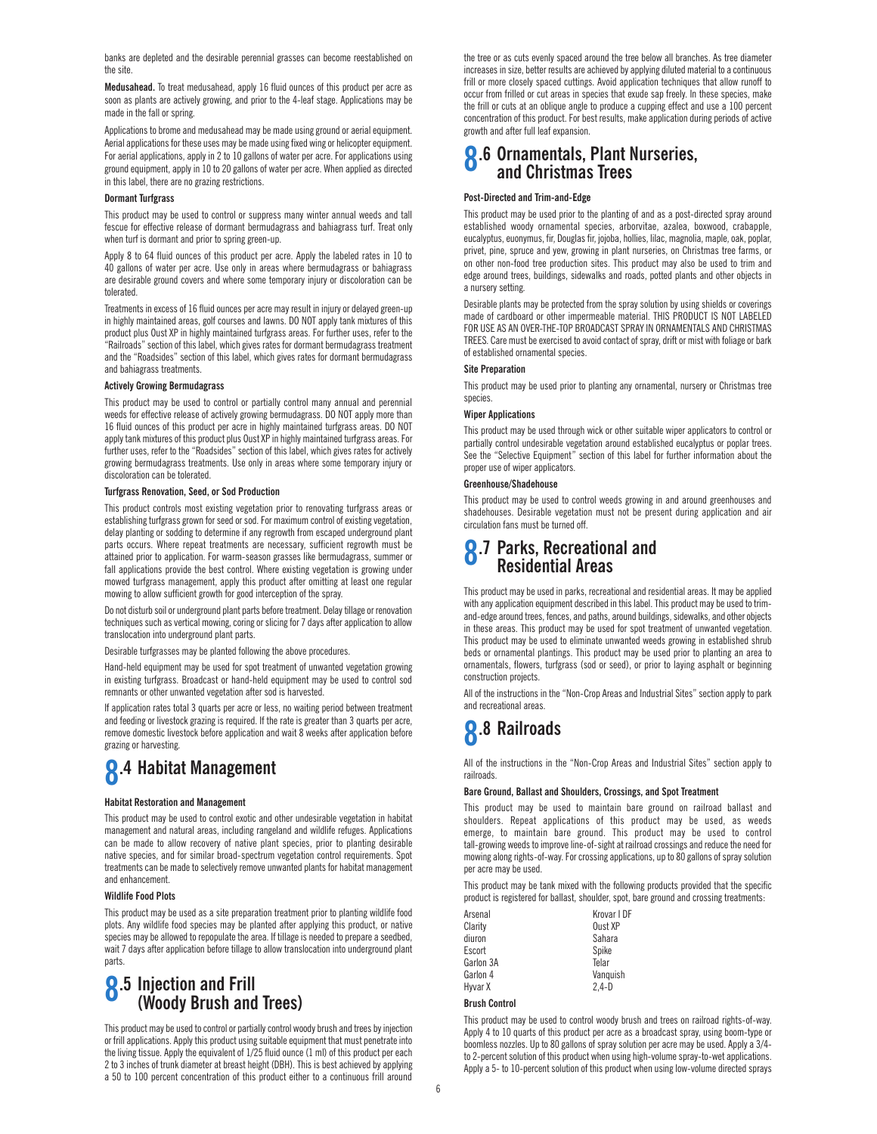banks are depleted and the desirable perennial grasses can become reestablished on the site.

**Medusahead.** To treat medusahead, apply 16 fluid ounces of this product per acre as soon as plants are actively growing, and prior to the 4-leaf stage. Applications may be made in the fall or spring.

Applications to brome and medusahead may be made using ground or aerial equipment. Aerial applications for these uses may be made using fixed wing or helicopter equipment. For aerial applications, apply in 2 to 10 gallons of water per acre. For applications using ground equipment, apply in 10 to 20 gallons of water per acre. When applied as directed in this label, there are no grazing restrictions.

### **Dormant Turfgrass**

This product may be used to control or suppress many winter annual weeds and tall fescue for effective release of dormant bermudagrass and bahiagrass turf. Treat only when turf is dormant and prior to spring green-up.

Apply 8 to 64 fluid ounces of this product per acre. Apply the labeled rates in 10 to 40 gallons of water per acre. Use only in areas where bermudagrass or bahiagrass are desirable ground covers and where some temporary injury or discoloration can be tolerated.

Treatments in excess of 16 fluid ounces per acre may result in injury or delayed green-up in highly maintained areas, golf courses and lawns. DO NOT apply tank mixtures of this product plus Oust XP in highly maintained turfgrass areas. For further uses, refer to the "Railroads" section of this label, which gives rates for dormant bermudagrass treatment and the "Roadsides" section of this label, which gives rates for dormant bermudagrass and bahiagrass treatments.

### **Actively Growing Bermudagrass**

This product may be used to control or partially control many annual and perennial weeds for effective release of actively growing bermudagrass. DO NOT apply more than 16 fluid ounces of this product per acre in highly maintained turfgrass areas. DO NOT apply tank mixtures of this product plus Oust XP in highly maintained turfgrass areas. For further uses, refer to the "Roadsides" section of this label, which gives rates for actively growing bermudagrass treatments. Use only in areas where some temporary injury or discoloration can be tolerated.

#### **Turfgrass Renovation, Seed, or Sod Production**

This product controls most existing vegetation prior to renovating turfgrass areas or establishing turfgrass grown for seed or sod. For maximum control of existing vegetation, delay planting or sodding to determine if any regrowth from escaped underground plant parts occurs. Where repeat treatments are necessary, sufficient regrowth must be attained prior to application. For warm-season grasses like bermudagrass, summer or fall applications provide the best control. Where existing vegetation is growing under mowed turfgrass management, apply this product after omitting at least one regular mowing to allow sufficient growth for good interception of the spray.

Do not disturb soil or underground plant parts before treatment. Delay tillage or renovation techniques such as vertical mowing, coring or slicing for 7 days after application to allow translocation into underground plant parts.

Desirable turfgrasses may be planted following the above procedures.

Hand-held equipment may be used for spot treatment of unwanted vegetation growing in existing turfgrass. Broadcast or hand-held equipment may be used to control sod remnants or other unwanted vegetation after sod is harvested.

If application rates total 3 quarts per acre or less, no waiting period between treatment and feeding or livestock grazing is required. If the rate is greater than 3 quarts per acre, remove domestic livestock before application and wait 8 weeks after application before grazing or harvesting.

# **8.4 Habitat Management**

#### **Habitat Restoration and Management**

This product may be used to control exotic and other undesirable vegetation in habitat management and natural areas, including rangeland and wildlife refuges. Applications can be made to allow recovery of native plant species, prior to planting desirable native species, and for similar broad-spectrum vegetation control requirements. Spot treatments can be made to selectively remove unwanted plants for habitat management and enhancement.

#### **Wildlife Food Plots**

This product may be used as a site preparation treatment prior to planting wildlife food plots. Any wildlife food species may be planted after applying this product, or native species may be allowed to repopulate the area. If tillage is needed to prepare a seedbed, wait 7 days after application before tillage to allow translocation into underground plant parts.

### **8.5 Injection and Frill (Woody Brush and Trees)**

This product may be used to control or partially control woody brush and trees by injection or frill applications. Apply this product using suitable equipment that must penetrate into the living tissue. Apply the equivalent of 1/25 fluid ounce (1 ml) of this product per each 2 to 3 inches of trunk diameter at breast height (DBH). This is best achieved by applying a 50 to 100 percent concentration of this product either to a continuous frill around

the tree or as cuts evenly spaced around the tree below all branches. As tree diameter increases in size, better results are achieved by applying diluted material to a continuous frill or more closely spaced cuttings. Avoid application techniques that allow runoff to occur from frilled or cut areas in species that exude sap freely. In these species, make the frill or cuts at an oblique angle to produce a cupping effect and use a 100 percent concentration of this product. For best results, make application during periods of active growth and after full leaf expansion.

### **8.6 Ornamentals, Plant Nurseries, and Christmas Trees**

### **Post-Directed and Trim-and-Edge**

This product may be used prior to the planting of and as a post-directed spray around established woody ornamental species, arborvitae, azalea, boxwood, crabapple, eucalyptus, euonymus, fir, Douglas fir, jojoba, hollies, lilac, magnolia, maple, oak, poplar, privet, pine, spruce and yew, growing in plant nurseries, on Christmas tree farms, or on other non-food tree production sites. This product may also be used to trim and edge around trees, buildings, sidewalks and roads, potted plants and other objects in a nursery setting.

Desirable plants may be protected from the spray solution by using shields or coverings made of cardboard or other impermeable material. THIS PRODUCT IS NOT LABELED FOR USE AS AN OVER-THE-TOP BROADCAST SPRAY IN ORNAMENTALS AND CHRISTMAS TREES. Care must be exercised to avoid contact of spray, drift or mist with foliage or bark of established ornamental species.

#### **Site Preparation**

This product may be used prior to planting any ornamental, nursery or Christmas tree species.

### **Wiper Applications**

This product may be used through wick or other suitable wiper applicators to control or partially control undesirable vegetation around established eucalyptus or poplar trees. See the "Selective Equipment" section of this label for further information about the proper use of wiper applicators.

#### **Greenhouse/Shadehouse**

This product may be used to control weeds growing in and around greenhouses and shadehouses. Desirable vegetation must not be present during application and air circulation fans must be turned off.

### **8.7 Parks, Recreational and Residential Areas**

This product may be used in parks, recreational and residential areas. It may be applied with any application equipment described in this label. This product may be used to trimand-edge around trees, fences, and paths, around buildings, sidewalks, and other objects in these areas. This product may be used for spot treatment of unwanted vegetation. This product may be used to eliminate unwanted weeds growing in established shrub beds or ornamental plantings. This product may be used prior to planting an area to ornamentals, flowers, turfgrass (sod or seed), or prior to laying asphalt or beginning construction projects.

All of the instructions in the "Non-Crop Areas and Industrial Sites" section apply to park and recreational areas.

## **8.8 Railroads**

All of the instructions in the "Non-Crop Areas and Industrial Sites" section apply to railroads.

#### **Bare Ground, Ballast and Shoulders, Crossings, and Spot Treatment**

This product may be used to maintain bare ground on railroad ballast and shoulders. Repeat applications of this product may be used, as weeds emerge, to maintain bare ground. This product may be used to control tall-growing weeds to improve line-of-sight at railroad crossings and reduce the need for mowing along rights-of-way. For crossing applications, up to 80 gallons of spray solution per acre may be used.

This product may be tank mixed with the following products provided that the specific product is registered for ballast, shoulder, spot, bare ground and crossing treatments:

| Arsenal   | Krovar I DF |
|-----------|-------------|
| Claritv   | Oust XP     |
| diuron    | Sahara      |
| Escort    | Spike       |
| Garlon 3A | Telar       |
| Garlon 4  | Vanguish    |
| Hyvar X   | $2.4-D$     |

### **Brush Control**

This product may be used to control woody brush and trees on railroad rights-of-way. Apply 4 to 10 quarts of this product per acre as a broadcast spray, using boom-type or boomless nozzles. Up to 80 gallons of spray solution per acre may be used. Apply a 3/4 to 2-percent solution of this product when using high-volume spray-to-wet applications. Apply a 5- to 10-percent solution of this product when using low-volume directed sprays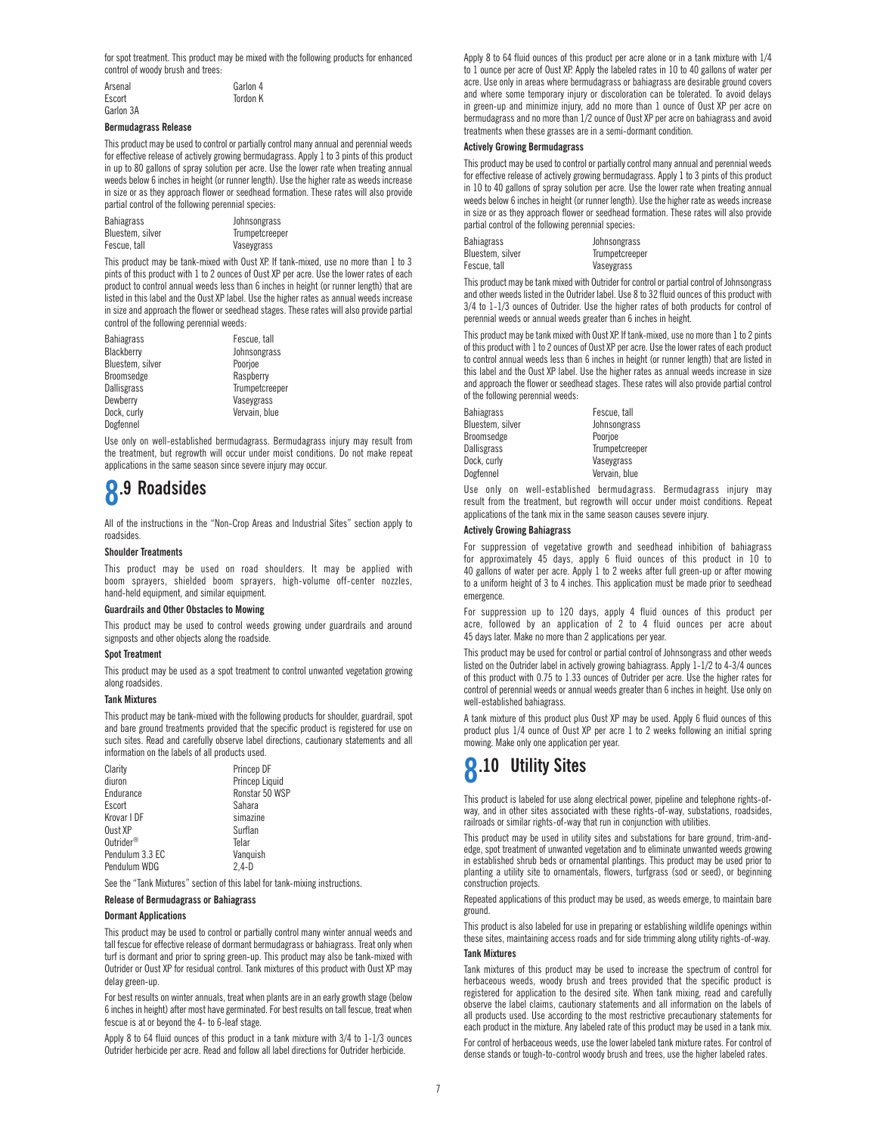for spot treatment. This product may be mixed with the following products for enhanced control of woody brush and trees:

| Arsenal   | Garlon 4 |
|-----------|----------|
| Escort    | Tordon K |
| Garlon 3A |          |

#### **Bermudagrass Release**

This product may be used to control or partially control many annual and perennial weeds for effective release of actively growing bermudagrass. Apply 1 to 3 pints of this product in up to 80 gallons of spray solution per acre. Use the lower rate when treating annual weeds below 6 inches in height (or runner length). Use the higher rate as weeds increase in size or as they approach flower or seedhead formation. These rates will also provide partial control of the following perennial species:

| Bahiagrass       | Johnsongrass   |
|------------------|----------------|
| Bluestem, silver | Trumpetcreeper |
| Fescue, tall     | Vaseygrass     |

This product may be tank-mixed with Oust XP. If tank-mixed, use no more than 1 to 3 pints of this product with 1 to 2 ounces of Oust XP per acre. Use the lower rates of each product to control annual weeds less than 6 inches in height (or runner length) that are listed in this label and the Oust XP label. Use the higher rates as annual weeds increase in size and approach the flower or seedhead stages. These rates will also provide partial control of the following perennial weeds:

> Fescue, tall Johnsongrass Poorioe Raspberry Trumpetcreeper Vaseygrass Vervain, blue

| Bahiagrass       |  |
|------------------|--|
| Blackberry       |  |
| Bluestem, silver |  |
| Broomsedge       |  |
| Dallisgrass      |  |
| Dewberry         |  |
| Dock, curly      |  |
| Dogfennel        |  |

Use only on well-established bermudagrass. Bermudagrass injury may result from the treatment, but regrowth will occur under moist conditions. Do not make repeat applications in the same season since severe injury may occur.

## **8.9 Roadsides**

All of the instructions in the "Non-Crop Areas and Industrial Sites" section apply to roadsides.

#### **Shoulder Treatments**

This product may be used on road shoulders. It may be applied with boom sprayers, shielded boom sprayers, high-volume off-center nozzles, hand-held equipment, and similar equipment.

### **Guardrails and Other Obstacles to Mowing**

This product may be used to control weeds growing under guardrails and around signposts and other objects along the roadside.

### **Spot Treatment**

This product may be used as a spot treatment to control unwanted vegetation growing along roadsides.

### **Tank Mixtures**

This product may be tank-mixed with the following products for shoulder, guardrail, spot and bare ground treatments provided that the specific product is registered for use on such sites. Read and carefully observe label directions, cautionary statements and all information on the labels of all products used.

| Clarity               | Princep DF     |
|-----------------------|----------------|
| diuron                | Princep Liquid |
| Endurance             | Ronstar 50 WSP |
| Escort                | Sahara         |
| Krovar I DF           | simazine       |
| Oust XP               | Surflan        |
| Outrider <sup>®</sup> | Telar          |
| Pendulum 3.3 EC       | Vanguish       |
| Pendulum WDG          | $2.4-D$        |

See the "Tank Mixtures" section of this label for tank-mixing instructions.

### **Release of Bermudagrass or Bahiagrass**

### **Dormant Applications**

This product may be used to control or partially control many winter annual weeds and tall fescue for effective release of dormant bermudagrass or bahiagrass. Treat only when turf is dormant and prior to spring green-up. This product may also be tank-mixed with Outrider or Oust XP for residual control. Tank mixtures of this product with Oust XP may delay green-up.

For best results on winter annuals, treat when plants are in an early growth stage (below 6 inches in height) after most have germinated. For best results on tall fescue, treat when fescue is at or beyond the 4- to 6-leaf stage.

Apply 8 to 64 fluid ounces of this product in a tank mixture with 3/4 to 1-1/3 ounces Outrider herbicide per acre. Read and follow all label directions for Outrider herbicide.

Apply 8 to 64 fluid ounces of this product per acre alone or in a tank mixture with 1/4 to 1 ounce per acre of Oust XP. Apply the labeled rates in 10 to 40 gallons of water per acre. Use only in areas where bermudagrass or bahiagrass are desirable ground covers and where some temporary injury or discoloration can be tolerated. To avoid delays in green-up and minimize injury, add no more than 1 ounce of Oust XP per acre on bermudagrass and no more than 1/2 ounce of Oust XP per acre on bahiagrass and avoid treatments when these grasses are in a semi-dormant condition.

### **Actively Growing Bermudagrass**

This product may be used to control or partially control many annual and perennial weeds for effective release of actively growing bermudagrass. Apply 1 to 3 pints of this product in 10 to 40 gallons of spray solution per acre. Use the lower rate when treating annual weeds below 6 inches in height (or runner length). Use the higher rate as weeds increase in size or as they approach flower or seedhead formation. These rates will also provide partial control of the following perennial species:

| Bahiagrass       | Johnsongrass   |
|------------------|----------------|
| Bluestem, silver | Trumpetcreeper |
| Fescue, tall     | Vaseygrass     |

This product may be tank mixed with Outrider for control or partial control of Johnsongrass and other weeds listed in the Outrider label. Use 8 to 32 fluid ounces of this product with 3/4 to 1-1/3 ounces of Outrider. Use the higher rates of both products for control of perennial weeds or annual weeds greater than 6 inches in height.

This product may be tank mixed with Oust XP. If tank-mixed, use no more than 1 to 2 pints of this product with 1 to 2 ounces of Oust XP per acre. Use the lower rates of each product to control annual weeds less than 6 inches in height (or runner length) that are listed in this label and the Oust XP label. Use the higher rates as annual weeds increase in size and approach the flower or seedhead stages. These rates will also provide partial control of the following perennial weeds:

Johnsongrass

Trumpetcreeper

| <b>Bahiagrass</b>  | Fescue, tall |
|--------------------|--------------|
| Bluestem, silver   | Johnsongras  |
| Broomsedge         | Poorjoe      |
| <b>Dallisgrass</b> | Trumpetcree  |
| Dock. curly        | Vaseygrass   |
| Dogfennel          | Vervain, blu |

Dogfennel **Vervain**, blue Use only on well-established bermudagrass. Bermudagrass injury may result from the treatment, but regrowth will occur under moist conditions. Repeat applications of the tank mix in the same season causes severe injury.

#### **Actively Growing Bahiagrass**

For suppression of vegetative growth and seedhead inhibition of bahiagrass for approximately 45 days, apply 6 fluid ounces of this product in 10 to 40 gallons of water per acre. Apply 1 to 2 weeks after full green-up or after mowing to a uniform height of 3 to 4 inches. This application must be made prior to seedhead emergence.

For suppression up to 120 days, apply 4 fluid ounces of this product per acre, followed by an application of 2 to 4 fluid ounces per acre about 45 days later. Make no more than 2 applications per year.

This product may be used for control or partial control of Johnsongrass and other weeds listed on the Outrider label in actively growing bahiagrass. Apply 1-1/2 to 4-3/4 ounces of this product with 0.75 to 1.33 ounces of Outrider per acre. Use the higher rates for control of perennial weeds or annual weeds greater than 6 inches in height. Use only on well-established bahiagrass.

A tank mixture of this product plus Oust XP may be used. Apply 6 fluid ounces of this product plus 1/4 ounce of Oust XP per acre 1 to 2 weeks following an initial spring mowing. Make only one application per year.

## **8.10 Utility Sites**

This product is labeled for use along electrical power, pipeline and telephone rights-ofway, and in other sites associated with these rights-of-way, substations, roadsides, railroads or similar rights-of-way that run in conjunction with utilities.

This product may be used in utility sites and substations for bare ground, trim-andedge, spot treatment of unwanted vegetation and to eliminate unwanted weeds growing in established shrub beds or ornamental plantings. This product may be used prior to planting a utility site to ornamentals, flowers, turfgrass (sod or seed), or beginning construction projects.

Repeated applications of this product may be used, as weeds emerge, to maintain bare ground.

This product is also labeled for use in preparing or establishing wildlife openings within these sites, maintaining access roads and for side trimming along utility rights-of-way.

### **Tank Mixtures**

Tank mixtures of this product may be used to increase the spectrum of control for herbaceous weeds, woody brush and trees provided that the specific product is registered for application to the desired site. When tank mixing, read and carefully observe the label claims, cautionary statements and all information on the labels of all products used. Use according to the most restrictive precautionary statements for each product in the mixture. Any labeled rate of this product may be used in a tank mix.

For control of herbaceous weeds, use the lower labeled tank mixture rates. For control of dense stands or tough-to-control woody brush and trees, use the higher labeled rates.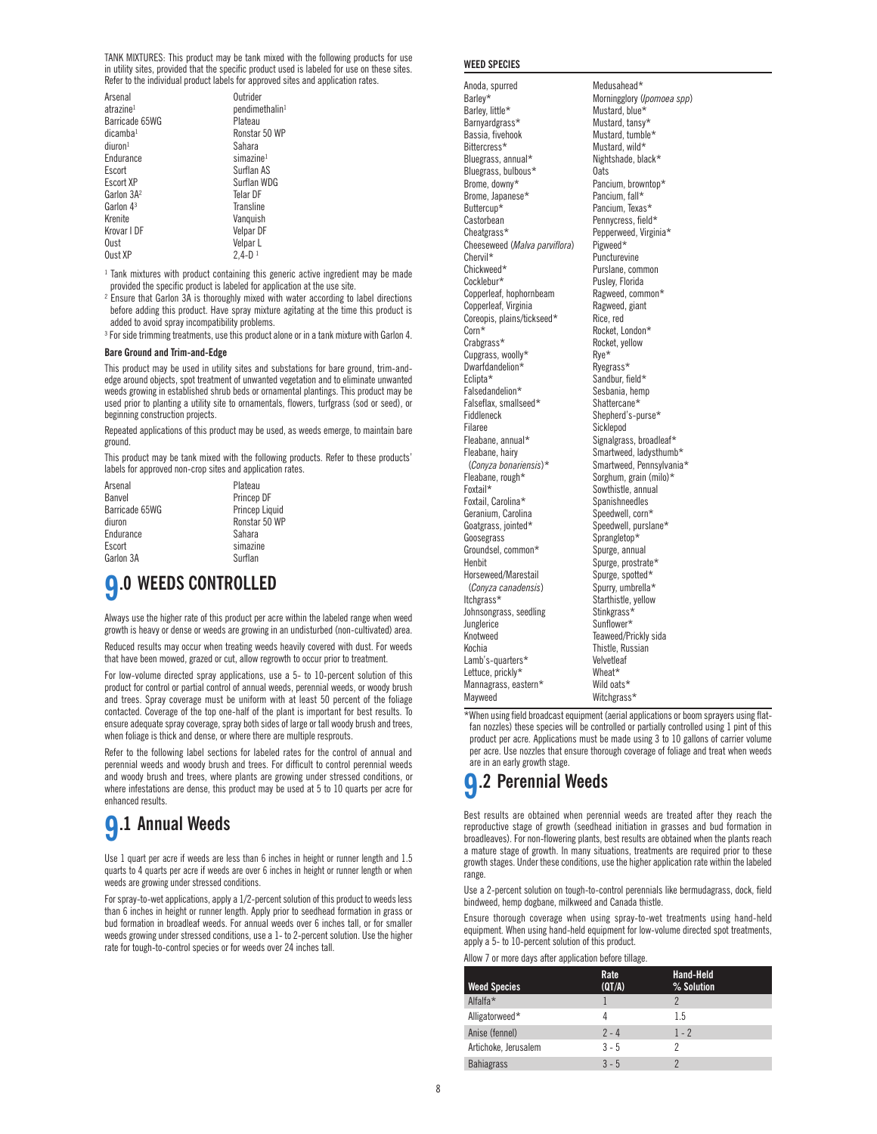TANK MIXTURES: This product may be tank mixed with the following products for use in utility sites, provided that the specific product used is labeled for use on these sites. Refer to the individual product labels for approved sites and application rates.

| Arsenal<br>atrazine <sup>1</sup><br>Barricade 65WG<br>dicamba <sup>1</sup><br>diuron <sup>1</sup><br>Endurance<br>Escort<br>Escort XP | Outrider<br>pendimethalin <sup>1</sup><br>Plateau<br>Ronstar 50 WP<br>Sahara<br>$sim$ azine <sup>1</sup><br>Surflan AS<br>Surflan WDG |
|---------------------------------------------------------------------------------------------------------------------------------------|---------------------------------------------------------------------------------------------------------------------------------------|
| Garlon 3A <sup>2</sup>                                                                                                                | Telar DF                                                                                                                              |
| Garlon 43                                                                                                                             | Transline                                                                                                                             |
| Krenite                                                                                                                               | Vanquish                                                                                                                              |
| Krovar I DF                                                                                                                           | Velpar DF                                                                                                                             |
| Oust                                                                                                                                  | Velpar L                                                                                                                              |
| Oust XP                                                                                                                               | $2.4 - D1$                                                                                                                            |

<sup>1</sup> Tank mixtures with product containing this generic active ingredient may be made provided the specific product is labeled for application at the use site.

- ² Ensure that Garlon 3A is thoroughly mixed with water according to label directions before adding this product. Have spray mixture agitating at the time this product is added to avoid spray incompatibility problems.
- <sup>3</sup> For side trimming treatments, use this product alone or in a tank mixture with Garlon 4.

### **Bare Ground and Trim-and-Edge**

This product may be used in utility sites and substations for bare ground, trim-andedge around objects, spot treatment of unwanted vegetation and to eliminate unwanted weeds growing in established shrub beds or ornamental plantings. This product may be used prior to planting a utility site to ornamentals, flowers, turfgrass (sod or seed), or beginning construction projects.

Repeated applications of this product may be used, as weeds emerge, to maintain bare ground.

This product may be tank mixed with the following products. Refer to these products' labels for approved non-crop sites and application rates.

Plateau

| Arsenal        |
|----------------|
| Banvel         |
| Barricade 65WG |
| diuron         |
| Endurance      |
| Escort         |
| Garlon 3A      |
|                |

Princep DF Princep Liquid Ronstar 50 WP Sahara simazine Surflan

## **9.0 WEEDS CONTROLLED**

Always use the higher rate of this product per acre within the labeled range when weed growth is heavy or dense or weeds are growing in an undisturbed (non-cultivated) area.

Reduced results may occur when treating weeds heavily covered with dust. For weeds that have been mowed, grazed or cut, allow regrowth to occur prior to treatment.

For low-volume directed spray applications, use a 5- to 10-percent solution of this product for control or partial control of annual weeds, perennial weeds, or woody brush and trees. Spray coverage must be uniform with at least 50 percent of the foliage contacted. Coverage of the top one-half of the plant is important for best results. To ensure adequate spray coverage, spray both sides of large or tall woody brush and trees, when foliage is thick and dense, or where there are multiple resprouts.

Refer to the following label sections for labeled rates for the control of annual and perennial weeds and woody brush and trees. For difficult to control perennial weeds and woody brush and trees, where plants are growing under stressed conditions, or where infestations are dense, this product may be used at 5 to 10 quarts per acre for enhanced results.

## **9.1 Annual Weeds**

Use 1 quart per acre if weeds are less than 6 inches in height or runner length and 1.5 quarts to 4 quarts per acre if weeds are over 6 inches in height or runner length or when weeds are growing under stressed conditions.

For spray-to-wet applications, apply a 1/2-percent solution of this product to weeds less than 6 inches in height or runner length. Apply prior to seedhead formation in grass or bud formation in broadleaf weeds. For annual weeds over 6 inches tall, or for smaller weeds growing under stressed conditions, use a 1- to 2-percent solution. Use the higher rate for tough-to-control species or for weeds over 24 inches tall.

#### **WEED SPECIES**

Barley\* **Morningglory** (*Ipomoea spp*)<br>Barley, little\* Mustard, blue\* Barley, little\* Mustard, blue\*<br>Barnvardgrass\* Mustard, tansy\* Barnyardgrass\* Bassia, fivehook Mustard, tumble\*<br>Bittercress\* Mustard, wild\* Bluegrass, annual\* Night<br>Bluegrass, bulbous\* (ats. Bluegrass, bulbous\* Brome, downy\* Pancium, browntop\*<br>Brome, Japanese\* Pancium, fall\* Brome, Japanese\* Buttercup\* Pancium, Texas\*<br>Castorbean Pennycress, field Cheatgrass\* Pepperweed, Virginia\*<br>Cheeseweed (Malva parviflora) Pigweed\* Cheeseweed (*Malva parviflora*)<br>Chervil\* Chervil\* Puncturevine<br>
Chickweed\* Purslane.com Cocklebur\* Pusley, Florida Copperleaf, hophornbeam Ragweed, common\*<br>Copperleaf, Virginia Ragweed, giant Copperleaf, Virginia<br>
Coreopis. plains/tickseed\* Rice. red Coreopis, plains/tickseed\*<br>Corn\* Crabgrass\* Rocket, yellow Cupgrass, woolly\* Rye\* Rye\*<br>Dwarfdandelion\* Ryegrass\* Dwarfdandelion\*<br>Eclipta\* Eclipta\* Sandbur, field\*<br>
Falsedandelion\* Sesbania hem Falseflax, smallseed\* Shattercane\*<br>Fiddleneck Shepherd's-p Fiddleneck Shepherd's-purse\* Filaree Sicklepod<br>Fleabane annual\* Signalgras Fleabane, hairy Smartweed, ladysthumb\* (*Conyza bonariensis*)\* Smartweed, Pennsylvania\* Fleabane, rough\* Sorghum, grain (milo)\*<br>Foxtail\* Sowthistle, annual Foxtail, Carolina\* Spanishneedles<br>Geranium, Carolina Speedwell, corn\* Geranium, Carolina<br>Goatgrass, jointed\* Goosegrass Sprangletop\*<br>Groundsel, common\* Spurge, annual Groundsel, common\* Henbit<br>
Horseweed/Marestail Spurge, spotted\* Horseweed/Marestail (*Conyza canadensis*) Spurry, umbrella\* Itchgrass\*<br>
Johnsongrass, seedling<br>
Stinkgrass\* Johnsongrass, seedling<br>Junglerice Junglerice Sunflower\* Kochia Thistle, Russian<br>Lamb's-quarters\* Velvetleaf Lamb's-quarters $*$ Lettuce, prickly\* Wheat\* Wheat\*<br>Mannagrass, eastern\* Wild oats\* Mannagrass, eastern\*

Anoda, spurred Medusahead\* Mustard, wild\*<br>Nightshade, black\* Pennycress, field\* Purslane, common Rocket, London\* Sesbania, hemp Signalgrass, broadleaf\* Sowthistle, annual<br>Spanishneedles Speedwell, purslane\* Teaweed/Prickly sida Mayweed Witchgrass\*

\*When using field broadcast equipment (aerial applications or boom sprayers using flatfan nozzles) these species will be controlled or partially controlled using 1 pint of this product per acre. Applications must be made using 3 to 10 gallons of carrier volume per acre. Use nozzles that ensure thorough coverage of foliage and treat when weeds are in an early growth stage.

## **9.2 Perennial Weeds**

Best results are obtained when perennial weeds are treated after they reach the reproductive stage of growth (seedhead initiation in grasses and bud formation in broadleaves). For non-flowering plants, best results are obtained when the plants reach a mature stage of growth. In many situations, treatments are required prior to these growth stages. Under these conditions, use the higher application rate within the labeled range.

Use a 2-percent solution on tough-to-control perennials like bermudagrass, dock, field bindweed, hemp dogbane, milkweed and Canada thistle.

Ensure thorough coverage when using spray-to-wet treatments using hand-held equipment. When using hand-held equipment for low-volume directed spot treatments, apply a 5- to 10-percent solution of this product.

Allow 7 or more days after application before tillage.

| <b>Weed Species</b>  | Rate<br>(QT/A) | <b>Hand-Held</b><br>% Solution |
|----------------------|----------------|--------------------------------|
| Alfalfa*             |                |                                |
| Alligatorweed*       | 4              | 1.5                            |
| Anise (fennel)       | $2 - 4$        | $1 - 2$                        |
| Artichoke, Jerusalem | $3 - 5$        |                                |
| <b>Bahiagrass</b>    | $3 - 5$        |                                |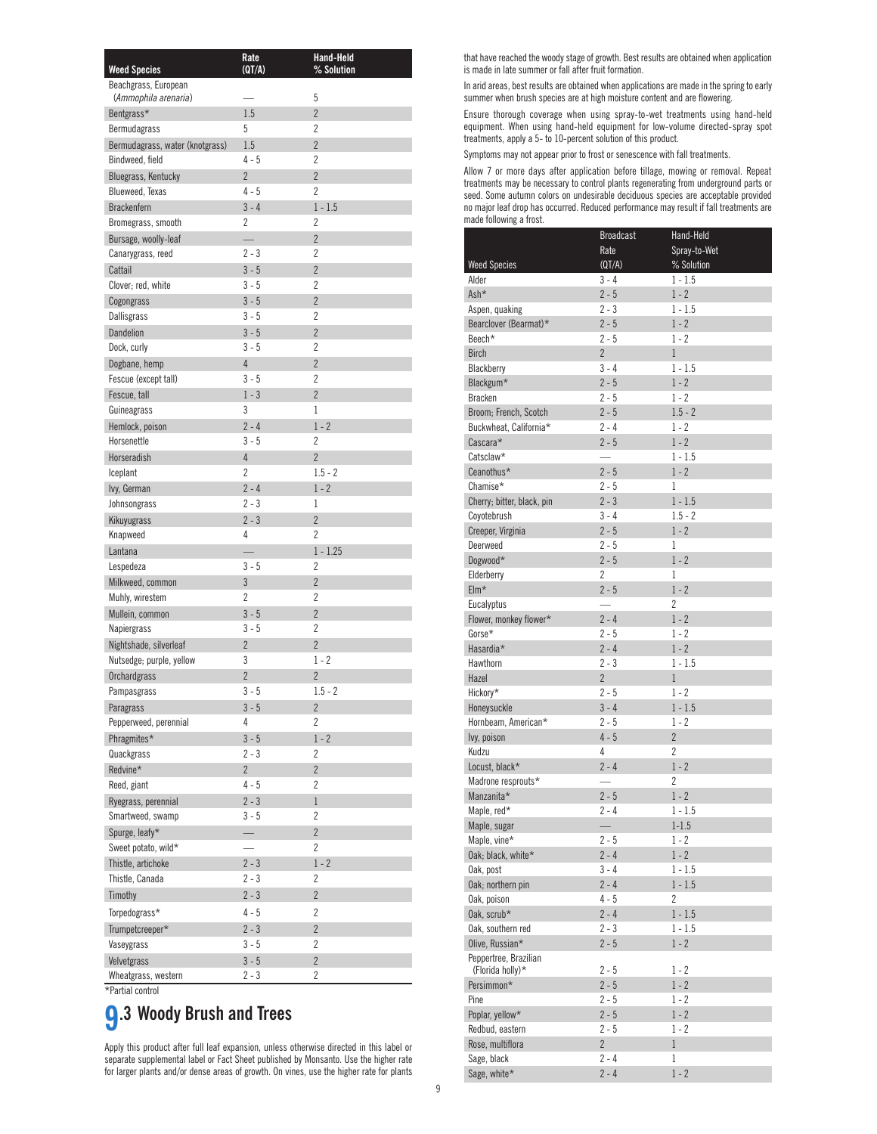| <b>Weed Species</b>                          | Rate<br>(QT/A) | Hand-Held<br>% Solution |
|----------------------------------------------|----------------|-------------------------|
| Beachgrass, European<br>(Ammophila arenaria) |                | 5                       |
| Bentgrass*                                   | 1.5            | $\overline{2}$          |
| Bermudagrass                                 | 5              | 2                       |
| Bermudagrass, water (knotgrass)              | 1.5            | $\overline{2}$          |
| Bindweed, field                              | $4 - 5$        | $\overline{2}$          |
| Bluegrass, Kentucky                          | $\overline{2}$ | $\overline{2}$          |
| Blueweed, Texas                              | $4-5$          | $\overline{2}$          |
| <b>Brackenfern</b>                           | $3 - 4$        | $1 - 1.5$               |
| Bromegrass, smooth                           | 2              | 2                       |
| Bursage, woolly-leaf                         |                | $\overline{2}$          |
| Canarygrass, reed                            | 2 - 3          | $\overline{2}$          |
| Cattail                                      | $3 - 5$        | $\overline{2}$          |
| Clover; red, white                           | $3 - 5$        | $\overline{2}$          |
| Cogongrass                                   | $3 - 5$        | $\overline{2}$          |
| Dallisgrass                                  | $3 - 5$        | $\overline{2}$          |
| Dandelion                                    | $3 - 5$        | $\overline{2}$          |
| Dock, curly                                  | $3 - 5$        | $\overline{2}$          |
| Dogbane, hemp                                | $\overline{4}$ | $\overline{2}$          |
| Fescue (except tall)                         | $3 - 5$        | $\overline{2}$          |
| Fescue, tall                                 | $1 - 3$        | $\overline{2}$          |
| Guineagrass                                  | 3              | 1                       |
| Hemlock, poison                              | $2 - 4$        | $1 - 2$                 |
| Horsenettle                                  | $3 - 5$        | $\overline{2}$          |
| Horseradish                                  | $\overline{4}$ | $\overline{2}$          |
| Iceplant                                     | 2              | $1.5 - 2$               |
| lvy, German                                  | $2 - 4$        | $1 - 2$                 |
| Johnsongrass                                 | $2 - 3$        | 1                       |
| Kikuyugrass                                  | $2 - 3$        | $\overline{2}$          |
| Knapweed                                     | 4              | $\overline{2}$          |
| Lantana<br>Lespedeza                         | $3 - 5$        | $1 - 1.25$<br>2         |
| Milkweed, common                             | 3              | $\overline{2}$          |
| Muhly, wirestem                              | $\overline{2}$ | $\overline{2}$          |
| Mullein, common                              | $3 - 5$        | $\overline{2}$          |
| Napiergrass                                  | $3 - 5$        | $\overline{2}$          |
| Nightshade, silverleaf                       | $\overline{2}$ | $\overline{2}$          |
| Nutsedge; purple, yellow                     | 3              | $1 - 2$                 |
| Orchardgrass                                 | $\overline{2}$ | $\overline{2}$          |
| Pampasgrass                                  | $3 - 5$        | $1.5 - 2$               |
| Paragrass                                    | $3 - 5$        | $\overline{2}$          |
| Pepperweed, perennial                        | 4              | $\overline{2}$          |
| Phragmites*                                  | $3 - 5$        | $1 - 2$                 |
| Quackgrass                                   | 2 - 3          | 2                       |
| Redvine*                                     | $\overline{2}$ | $\overline{2}$          |
| Reed, giant                                  | $4 - 5$        | 2                       |
| Ryegrass, perennial                          | $2 - 3$        | $\mathbf 1$             |
| Smartweed, swamp                             | $3 - 5$        | 2                       |
| Spurge, leafy*                               |                | $\overline{2}$          |
| Sweet potato, wild*                          |                | 2                       |
| Thistle, artichoke                           | $2 - 3$        | $1 - 2$                 |
| Thistle, Canada                              | $2 - 3$        | 2                       |
| Timothy                                      | $2 - 3$        | $\overline{2}$          |
| Torpedograss*                                | $4 - 5$        | 2                       |
| Trumpetcreeper*                              | $2 - 3$        | $\overline{2}$          |
| Vaseygrass                                   | $3 - 5$        | 2                       |
| Velvetgrass                                  | $3 - 5$        | $\overline{2}$          |
| Wheatgrass, western                          | $2 - 3$        | 2                       |
| *Partial control                             |                |                         |

# **9.3 Woody Brush and Trees**

Apply this product after full leaf expansion, unless otherwise directed in this label or separate supplemental label or Fact Sheet published by Monsanto. Use the higher rate for larger plants and/or dense areas of growth. On vines, use the higher rate for plants that have reached the woody stage of growth. Best results are obtained when application is made in late summer or fall after fruit formation.

In arid areas, best results are obtained when applications are made in the spring to early summer when brush species are at high moisture content and are flowering.

Ensure thorough coverage when using spray-to-wet treatments using hand-held equipment. When using hand-held equipment for low-volume directed-spray spot treatments, apply a 5- to 10-percent solution of this product.

Symptoms may not appear prior to frost or senescence with fall treatments.

Allow 7 or more days after application before tillage, mowing or removal. Repeat treatments may be necessary to control plants regenerating from underground parts or seed. Some autumn colors on undesirable deciduous species are acceptable provided no major leaf drop has occurred. Reduced performance may result if fall treatments are made following a frost.

|                                           | <b>Broadcast</b>         | Hand-Held      |
|-------------------------------------------|--------------------------|----------------|
|                                           | Rate                     | Spray-to-Wet   |
| <b>Weed Species</b>                       | (QT/A)                   | % Solution     |
| Alder                                     | $3 - 4$                  | $1 - 1.5$      |
| Ash*                                      | $2 - 5$                  | $1 - 2$        |
| Aspen, quaking                            | $2 - 3$                  | $1 - 1.5$      |
| Bearclover (Bearmat)*                     | $2 - 5$                  | $1 - 2$        |
| Beech*                                    | $2 - 5$                  | 1 - 2          |
| <b>Birch</b>                              | $\overline{2}$           | 1              |
| Blackberry                                | $3 - 4$                  | $1 - 1.5$      |
| Blackgum*                                 | $2 - 5$                  | $1 - 2$        |
| <b>Bracken</b>                            | $2 - 5$                  | $1 - 2$        |
| Broom; French, Scotch                     | $2 - 5$                  | $1.5 - 2$      |
| Buckwheat, California*                    | $2 - 4$                  | 1 - 2          |
| Cascara*                                  | $2 - 5$                  | $1 - 2$        |
| Catsclaw*                                 | $\overline{\phantom{0}}$ | $1 - 1.5$      |
| Ceanothus*                                | $2 - 5$                  | $1 - 2$        |
| Chamise*                                  | $2 - 5$                  | 1              |
| Cherry; bitter, black, pin                | $2 - 3$                  | $1 - 1.5$      |
| Coyotebrush                               | $3 - 4$                  | $1.5 - 2$      |
| Creeper, Virginia                         | $2 - 5$                  | $1 - 2$        |
| Deerweed                                  | $2 - 5$                  | 1              |
| Dogwood*                                  | $2 - 5$                  | $1 - 2$        |
| Elderberry                                | 2                        | 1              |
| $EIm*$                                    | $2 - 5$                  | $1 - 2$        |
| Eucalyptus                                | $\overline{\phantom{0}}$ | 2              |
| Flower, monkey flower*                    | $2 - 4$                  | $1 - 2$        |
| Gorse*                                    | $2 - 5$                  | 1 - 2          |
| Hasardia*                                 | $2 - 4$                  | $1 - 2$        |
| Hawthorn                                  | $2 - 3$                  | $1 - 1.5$      |
| Hazel                                     | $\overline{2}$           | 1              |
| Hickory*                                  | $2 - 5$                  | $1 - 2$        |
| Honeysuckle                               | $3 - 4$                  | $1 - 1.5$      |
| Hornbeam, American*                       | $2 - 5$                  | $1 - 2$        |
| lvy, poison                               | $4 - 5$                  | $\overline{2}$ |
| Kudzu                                     | 4                        | 2              |
| Locust, black*                            | $2 - 4$                  | $1 - 2$        |
| Madrone resprouts*                        |                          | $\overline{2}$ |
| Manzanita*                                | $2 - 5$                  | $1 - 2$        |
| Maple, red*                               | $2 - 4$                  | $1 - 1.5$      |
| Maple, sugar                              | $\overline{\phantom{0}}$ | $1 - 1.5$      |
| Maple, vine*                              | $2 - 5$                  | $1 - 2$        |
| Oak; black, white*                        | $2 - 4$                  | $1 - 2$        |
| Oak, post                                 | $3 - 4$                  | $1 - 1.5$      |
| Oak; northern pin                         | $2 - 4$                  | $1 - 1.5$      |
| Oak, poison                               | $4 - 5$                  | 2              |
| Oak, scrub*                               | $2 - 4$                  | $1 - 1.5$      |
| Oak, southern red                         | 2 - 3                    | $1 - 1.5$      |
| Olive, Russian*                           | $2 - 5$                  | $1 - 2$        |
| Peppertree, Brazilian<br>(Florida holly)* | 2 - 5                    | 1 - 2          |
| Persimmon*                                | $2 - 5$                  | $1 - 2$        |
| Pine                                      | $2 - 5$                  | 1 - 2          |
| Poplar, yellow*                           | $2 - 5$                  | $1 - 2$        |
| Redbud, eastern                           | $2 - 5$                  | 1 - 2          |
| Rose, multiflora                          | $\overline{2}$           | $\,1$          |
| Sage, black                               | 2 - 4                    | 1              |
| Sage, white*                              | $2 - 4$                  | $1 - 2$        |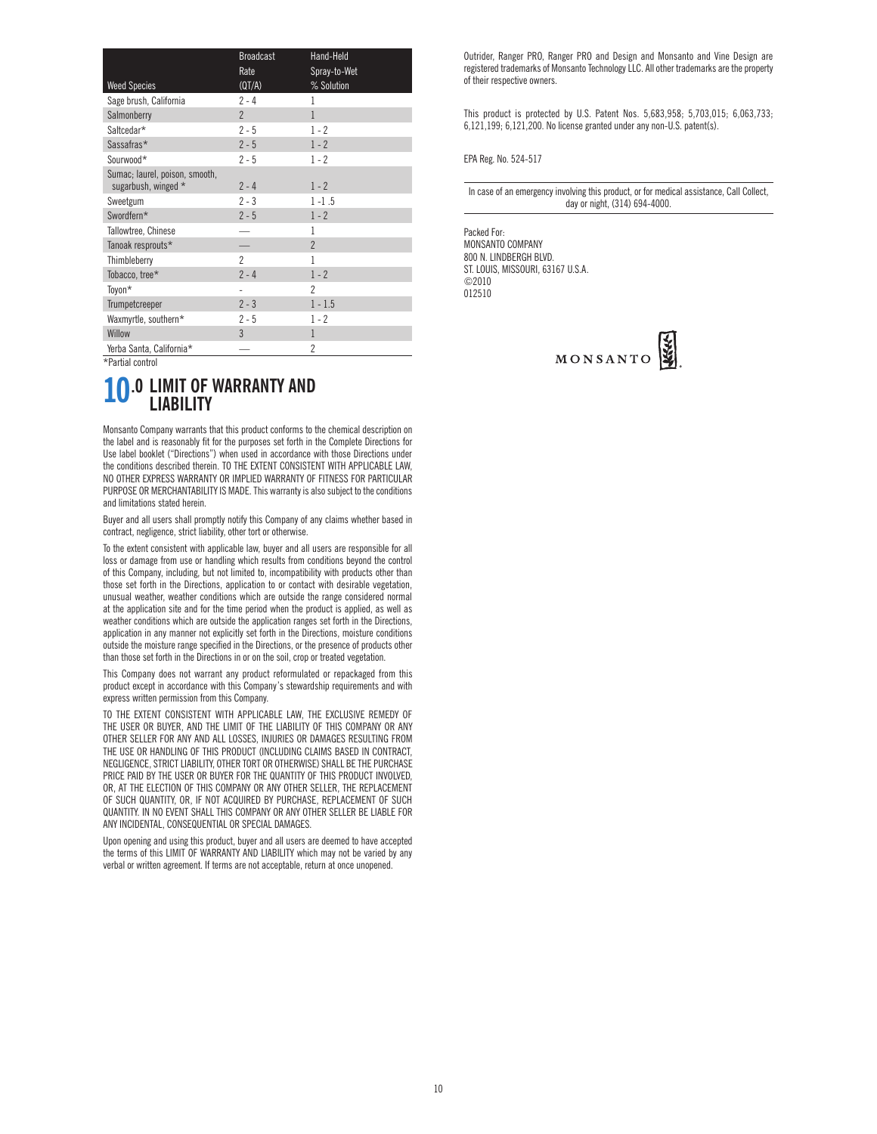|                                                       | <b>Broadcast</b> | Hand-Held      |
|-------------------------------------------------------|------------------|----------------|
|                                                       | Rate             | Spray-to-Wet   |
| <b>Weed Species</b>                                   | (QT/A)           | % Solution     |
| Sage brush, California                                | $2 - 4$          | 1              |
| Salmonberry                                           | $\overline{2}$   | $\mathbf{1}$   |
| Saltcedar*                                            | $2 - 5$          | $1 - 2$        |
| Sassafras*                                            | $2 - 5$          | $1 - 2$        |
| Sourwood*                                             | $2 - 5$          | $1 - 2$        |
| Sumac; laurel, poison, smooth,<br>sugarbush, winged * | $2 - 4$          | $1 - 2$        |
| Sweetgum                                              | $2 - 3$          | $1 - 1.5$      |
| Swordfern*                                            | $2 - 5$          | $1 - 2$        |
| Tallowtree, Chinese                                   |                  | 1              |
| Tanoak resprouts*                                     |                  | $\overline{2}$ |
| Thimbleberry                                          | $\overline{2}$   | 1              |
| Tobacco, tree*                                        | $2 - 4$          | $1 - 2$        |
| Toyon*                                                |                  | $\overline{2}$ |
| Trumpetcreeper                                        | $2 - 3$          | $1 - 1.5$      |
| Waxmyrtle, southern*                                  | $2 - 5$          | $1 - 2$        |
| Willow                                                | 3                | 1              |
| Yerba Santa, California*                              |                  | 2              |

\*Partial control

### **10.0 LIMIT OF WARRANTY AND LIABILITY**

Monsanto Company warrants that this product conforms to the chemical description on the label and is reasonably fit for the purposes set forth in the Complete Directions for Use label booklet ("Directions") when used in accordance with those Directions under the conditions described therein. TO THE EXTENT CONSISTENT WITH APPLICABLE LAW, NO OTHER EXPRESS WARRANTY OR IMPLIED WARRANTY OF FITNESS FOR PARTICULAR PURPOSE OR MERCHANTABILITY IS MADE. This warranty is also subject to the conditions and limitations stated herein.

Buyer and all users shall promptly notify this Company of any claims whether based in contract, negligence, strict liability, other tort or otherwise.

To the extent consistent with applicable law, buyer and all users are responsible for all loss or damage from use or handling which results from conditions beyond the control of this Company, including, but not limited to, incompatibility with products other than those set forth in the Directions, application to or contact with desirable vegetation, unusual weather, weather conditions which are outside the range considered normal at the application site and for the time period when the product is applied, as well as weather conditions which are outside the application ranges set forth in the Directions, application in any manner not explicitly set forth in the Directions, moisture conditions outside the moisture range specified in the Directions, or the presence of products other than those set forth in the Directions in or on the soil, crop or treated vegetation.

This Company does not warrant any product reformulated or repackaged from this product except in accordance with this Company's stewardship requirements and with express written permission from this Company.

TO THE EXTENT CONSISTENT WITH APPLICABLE LAW, THE EXCLUSIVE REMEDY OF THE USER OR BUYER, AND THE LIMIT OF THE LIABILITY OF THIS COMPANY OR ANY OTHER SELLER FOR ANY AND ALL LOSSES, INJURIES OR DAMAGES RESULTING FROM THE USE OR HANDLING OF THIS PRODUCT (INCLUDING CLAIMS BASED IN CONTRACT, NEGLIGENCE, STRICT LIABILITY, OTHER TORT OR OTHERWISE) SHALL BE THE PURCHASE PRICE PAID BY THE USER OR BUYER FOR THE QUANTITY OF THIS PRODUCT INVOLVED, OR, AT THE ELECTION OF THIS COMPANY OR ANY OTHER SELLER, THE REPLACEMENT OF SUCH QUANTITY, OR, IF NOT ACQUIRED BY PURCHASE, REPLACEMENT OF SUCH QUANTITY. IN NO EVENT SHALL THIS COMPANY OR ANY OTHER SELLER BE LIABLE FOR ANY INCIDENTAL, CONSEQUENTIAL OR SPECIAL DAMAGES.

Upon opening and using this product, buyer and all users are deemed to have accepted the terms of this LIMIT OF WARRANTY AND LIABILITY which may not be varied by any verbal or written agreement. If terms are not acceptable, return at once unopened.

Outrider, Ranger PRO, Ranger PRO and Design and Monsanto and Vine Design are registered trademarks of Monsanto Technology LLC. All other trademarks are the property of their respective owners.

This product is protected by U.S. Patent Nos. 5,683,958; 5,703,015; 6,063,733; 6,121,199; 6,121,200. No license granted under any non-U.S. patent(s).

EPA Reg. No. 524-517

In case of an emergency involving this product, or for medical assistance, Call Collect, day or night, (314) 694-4000.

Packed For: MONSANTO COMPANY 800 N. LINDBERGH BLVD. ST. LOUIS, MISSOURI, 63167 U.S.A. ©2010 012510

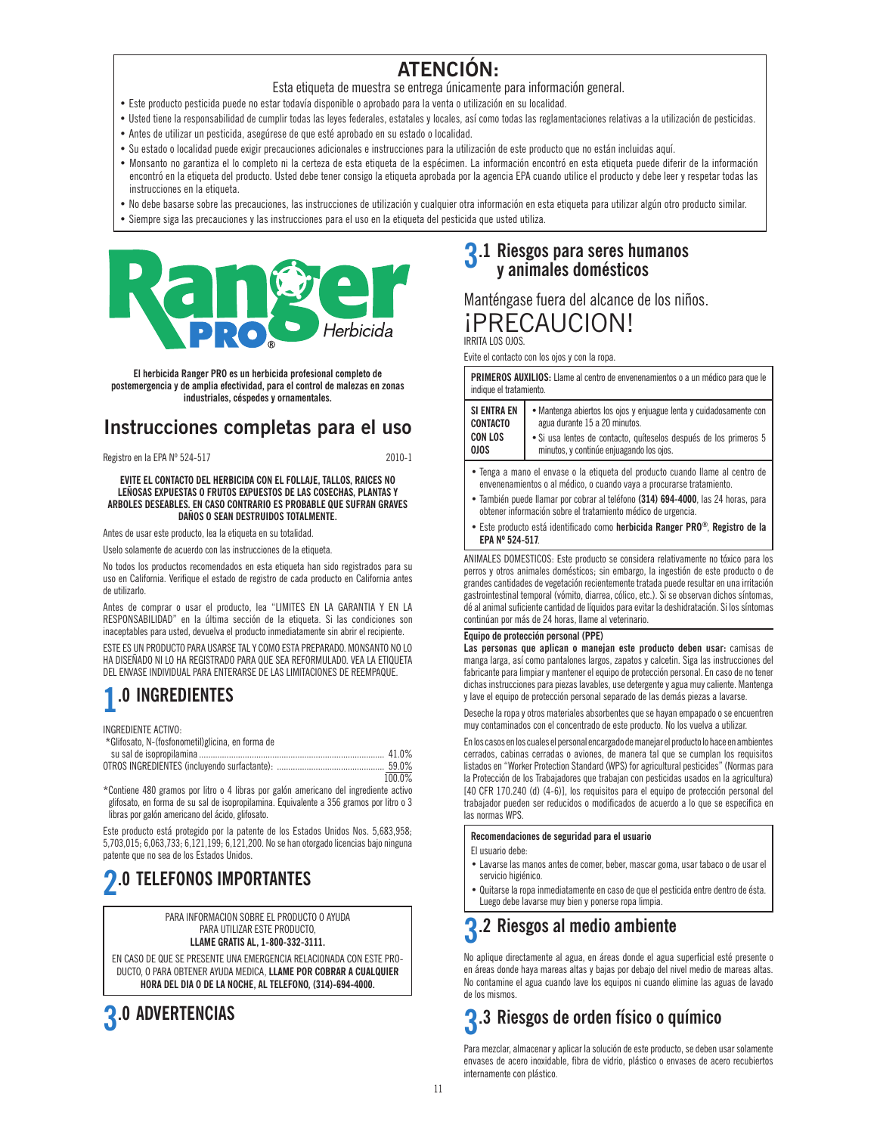### **ATENCIÓN:**

- Esta etiqueta de muestra se entrega únicamente para información general.
- Este producto pesticida puede no estar todavía disponible o aprobado para la venta o utilización en su localidad.
- Usted tiene la responsabilidad de cumplir todas las leyes federales, estatales y locales, así como todas las reglamentaciones relativas a la utilización de pesticidas.
- Antes de utilizar un pesticida, asegúrese de que esté aprobado en su estado o localidad.
- Su estado o localidad puede exigir precauciones adicionales e instrucciones para la utilización de este producto que no están incluidas aquí.
- Monsanto no garantiza el lo completo ni la certeza de esta etiqueta de la espécimen. La información encontró en esta etiqueta puede diferir de la información encontró en la etiqueta del producto. Usted debe tener consigo la etiqueta aprobada por la agencia EPA cuando utilice el producto y debe leer y respetar todas las instrucciones en la etiqueta.
- No debe basarse sobre las precauciones, las instrucciones de utilización y cualquier otra información en esta etiqueta para utilizar algún otro producto similar.
- Siempre siga las precauciones y las instrucciones para el uso en la etiqueta del pesticida que usted utiliza.



**El herbicida Ranger PRO es un herbicida profesional completo de postemergencia y de amplia efectividad, para el control de malezas en zonas industriales, céspedes y ornamentales.**

### **Instrucciones completas para el uso**

Registro en la EPA Nº 524-517 2010-1

**EVITE EL CONTACTO DEL HERBICIDA CON EL FOLLAJE, TALLOS, RAICES NO LEÑOSAS EXPUESTAS O FRUTOS EXPUESTOS DE LAS COSECHAS, PLANTAS Y ARBOLES DESEABLES. EN CASO CONTRARIO ES PROBABLE QUE SUFRAN GRAVES DAÑOS O SEAN DESTRUIDOS TOTALMENTE.**

Antes de usar este producto, lea la etiqueta en su totalidad.

Uselo solamente de acuerdo con las instrucciones de la etiqueta.

No todos los productos recomendados en esta etiqueta han sido registrados para su uso en California. Verifique el estado de registro de cada producto en California antes de utilizarlo.

Antes de comprar o usar el producto, lea "LIMITES EN LA GARANTIA Y EN LA RESPONSABILIDAD" en la última sección de la etiqueta. Si las condiciones son inaceptables para usted, devuelva el producto inmediatamente sin abrir el recipiente.

ESTE ES UN PRODUCTO PARA USARSE TAL Y COMO ESTA PREPARADO. MONSANTO NO LO HA DISEÑADO NI LO HA REGISTRADO PARA QUE SEA REFORMULADO. VEA LA ETIQUETA DEL ENVASE INDIVIDUAL PARA ENTERARSE DE LAS LIMITACIONES DE REEMPAQUE.

## **1.0 INGREDIENTES**

INGREDIENTE ACTIVO:

| *Glifosato, N-(fosfonometil)glicina, en forma de |          |
|--------------------------------------------------|----------|
|                                                  |          |
|                                                  |          |
|                                                  | 100 $00$ |

\*Contiene 480 gramos por litro o 4 libras por galón americano del ingrediente activo glifosato, en forma de su sal de isopropilamina. Equivalente a 356 gramos por litro o 3 libras por galón americano del ácido, glifosato.

Este producto está protegido por la patente de los Estados Unidos Nos. 5,683,958; 5,703,015; 6,063,733; 6,121,199; 6,121,200. No se han otorgado licencias bajo ninguna patente que no sea de los Estados Unidos.

# **2.0 TELEFONOS IMPORTANTES**

PARA INFORMACION SOBRE EL PRODUCTO O AYUDA PARA UTILIZAR ESTE PRODUCTO,

**LLAME GRATIS AL, 1-800-332-3111.**

EN CASO DE QUE SE PRESENTE UNA EMERGENCIA RELACIONADA CON ESTE PRO-DUCTO, O PARA OBTENER AYUDA MEDICA, **LLAME POR COBRAR A CUALQUIER HORA DEL DIA O DE LA NOCHE, AL TELEFONO, (314)-694-4000.**



# **3.1 Riesgos para seres humanos y animales domésticos**

### Manténgase fuera del alcance de los niños. ¡PRECAUCION!

IRRITA LOS OJOS.

Evite el contacto con los ojos y con la ropa.

**PRIMEROS AUXILIOS:** Llame al centro de envenenamientos o a un médico para que le indique el tratamiento.

| <b>SI ENTRA EN</b> | · Mantenga abiertos los ojos y enjuague lenta y cuidadosamente con |
|--------------------|--------------------------------------------------------------------|
| <b>CONTACTO</b>    | agua durante 15 a 20 minutos.                                      |
| <b>CON LOS</b>     | · Si usa lentes de contacto, quíteselos después de los primeros 5  |
| <b>OJOS</b>        | minutos, y continúe enjuagando los ojos.                           |

- Tenga a mano el envase o la etiqueta del producto cuando llame al centro de envenenamientos o al médico, o cuando vaya a procurarse tratamiento.
- También puede llamar por cobrar al teléfono **(314) 694-4000**, las 24 horas, para obtener información sobre el tratamiento médico de urgencia.
- Este producto está identificado como **herbicida Ranger PRO®**, **Registro de la EPA Nº 524-517**.

ANIMALES DOMESTICOS: Este producto se considera relativamente no tóxico para los perros y otros animales domésticos; sin embargo, la ingestión de este producto o de grandes cantidades de vegetación recientemente tratada puede resultar en una irritación gastrointestinal temporal (vómito, diarrea, cólico, etc.). Si se observan dichos síntomas, dé al animal suficiente cantidad de líquidos para evitar la deshidratación. Si los síntomas continúan por más de 24 horas, llame al veterinario.

### **Equipo de protección personal (PPE)**

**Las personas que aplican o manejan este producto deben usar:** camisas de manga larga, así como pantalones largos, zapatos y calcetin. Siga las instrucciones del fabricante para limpiar y mantener el equipo de protección personal. En caso de no tener dichas instrucciones para piezas lavables, use detergente y agua muy caliente. Mantenga y lave el equipo de protección personal separado de las demás piezas a lavarse.

Deseche la ropa y otros materiales absorbentes que se hayan empapado o se encuentren muy contaminados con el concentrado de este producto. No los vuelva a utilizar.

En los casos en los cuales el personal encargado de manejar el producto lo hace en ambientes cerrados, cabinas cerradas o aviones, de manera tal que se cumplan los requisitos listados en "Worker Protection Standard (WPS) for agricultural pesticides" (Normas para la Protección de los Trabajadores que trabajan con pesticidas usados en la agricultura) [40 CFR 170.240 (d) (4-6)], los requisitos para el equipo de protección personal del trabajador pueden ser reducidos o modificados de acuerdo a lo que se especifica en las normas WPS.

### **Recomendaciones de seguridad para el usuario**

El usuario debe:

- Lavarse las manos antes de comer, beber, mascar goma, usar tabaco o de usar el servicio higiénico.
- Quitarse la ropa inmediatamente en caso de que el pesticida entre dentro de ésta. Luego debe lavarse muy bien y ponerse ropa limpia.

## **3.2 Riesgos al medio ambiente**

No aplique directamente al agua, en áreas donde el agua superficial esté presente o en áreas donde haya mareas altas y bajas por debajo del nivel medio de mareas altas. No contamine el agua cuando lave los equipos ni cuando elimine las aguas de lavado de los mismos.

## **3.3 Riesgos de orden físico o químico**

Para mezclar, almacenar y aplicar la solución de este producto, se deben usar solamente envases de acero inoxidable, fibra de vidrio, plástico o envases de acero recubiertos internamente con plástico.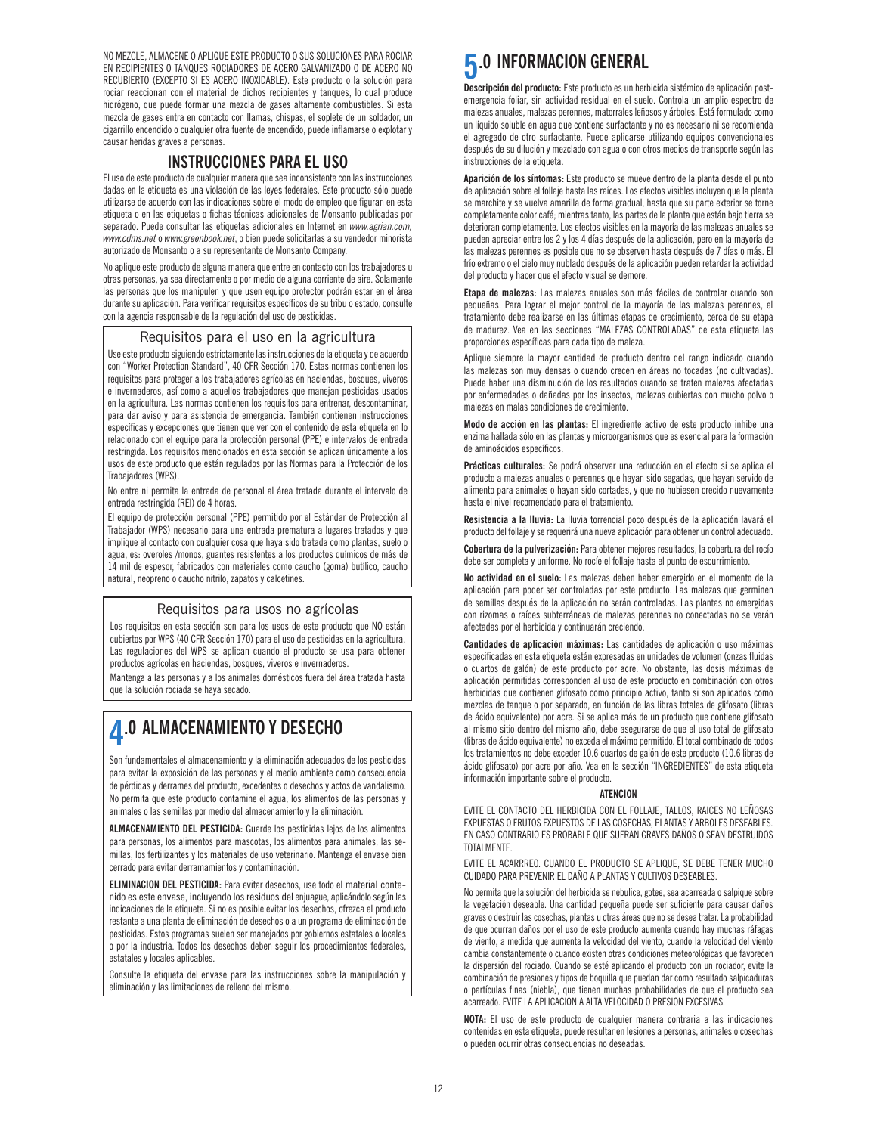NO MEZCLE, ALMACENE O APLIQUE ESTE PRODUCTO O SUS SOLUCIONES PARA ROCIAR EN RECIPIENTES O TANQUES ROCIADORES DE ACERO GALVANIZADO O DE ACERO NO RECUBIERTO (EXCEPTO SI ES ACERO INOXIDABLE). Este producto o la solución para rociar reaccionan con el material de dichos recipientes y tanques, lo cual produce hidrógeno, que puede formar una mezcla de gases altamente combustibles. Si esta mezcla de gases entra en contacto con llamas, chispas, el soplete de un soldador, un cigarrillo encendido o cualquier otra fuente de encendido, puede inflamarse o explotar y causar heridas graves a personas.

### **INSTRUCCIONES PARA EL USO**

El uso de este producto de cualquier manera que sea inconsistente con las instrucciones dadas en la etiqueta es una violación de las leyes federales. Este producto sólo puede utilizarse de acuerdo con las indicaciones sobre el modo de empleo que figuran en esta etiqueta o en las etiquetas o fichas técnicas adicionales de Monsanto publicadas por separado. Puede consultar las etiquetas adicionales en Internet en *www.agrian.com, www.cdms.net* o *www.greenbook.net*, o bien puede solicitarlas a su vendedor minorista autorizado de Monsanto o a su representante de Monsanto Company.

No aplique este producto de alguna manera que entre en contacto con los trabajadores u otras personas, ya sea directamente o por medio de alguna corriente de aire. Solamente las personas que los manipulen y que usen equipo protector podrán estar en el área durante su aplicación. Para verificar requisitos específicos de su tribu o estado, consulte con la agencia responsable de la regulación del uso de pesticidas.

### Requisitos para el uso en la agricultura

Use este producto siguiendo estrictamente las instrucciones de la etiqueta y de acuerdo con "Worker Protection Standard", 40 CFR Sección 170. Estas normas contienen los requisitos para proteger a los trabajadores agrícolas en haciendas, bosques, viveros e invernaderos, así como a aquellos trabajadores que manejan pesticidas usados en la agricultura. Las normas contienen los requisitos para entrenar, descontaminar, para dar aviso y para asistencia de emergencia. También contienen instrucciones específicas y excepciones que tienen que ver con el contenido de esta etiqueta en lo relacionado con el equipo para la protección personal (PPE) e intervalos de entrada restringida. Los requisitos mencionados en esta sección se aplican únicamente a los usos de este producto que están regulados por las Normas para la Protección de los Trabajadores (WPS).

No entre ni permita la entrada de personal al área tratada durante el intervalo de entrada restringida (REI) de 4 horas.

El equipo de protección personal (PPE) permitido por el Estándar de Protección al Trabajador (WPS) necesario para una entrada prematura a lugares tratados y que implique el contacto con cualquier cosa que haya sido tratada como plantas, suelo o agua, es: overoles /monos, guantes resistentes a los productos químicos de más de 14 mil de espesor, fabricados con materiales como caucho (goma) butílico, caucho natural, neopreno o caucho nitrilo, zapatos y calcetines.

### Requisitos para usos no agrícolas

Los requisitos en esta sección son para los usos de este producto que NO están cubiertos por WPS (40 CFR Sección 170) para el uso de pesticidas en la agricultura. Las regulaciones del WPS se aplican cuando el producto se usa para obtener productos agrícolas en haciendas, bosques, viveros e invernaderos.

Mantenga a las personas y a los animales domésticos fuera del área tratada hasta que la solución rociada se haya secado.

### **4.0 ALMACENAMIENTO Y DESECHO**

Son fundamentales el almacenamiento y la eliminación adecuados de los pesticidas para evitar la exposición de las personas y el medio ambiente como consecuencia de pérdidas y derrames del producto, excedentes o desechos y actos de vandalismo. No permita que este producto contamine el agua, los alimentos de las personas y animales o las semillas por medio del almacenamiento y la eliminación.

**ALMACENAMIENTO DEL PESTICIDA:** Guarde los pesticidas lejos de los alimentos para personas, los alimentos para mascotas, los alimentos para animales, las semillas, los fertilizantes y los materiales de uso veterinario. Mantenga el envase bien cerrado para evitar derramamientos y contaminación.

**ELIMINACION DEL PESTICIDA:** Para evitar desechos, use todo el material contenido es este envase, incluyendo los residuos del enjuague, aplicándolo según las indicaciones de la etiqueta. Si no es posible evitar los desechos, ofrezca el producto restante a una planta de eliminación de desechos o a un programa de eliminación de pesticidas. Estos programas suelen ser manejados por gobiernos estatales o locales o por la industria. Todos los desechos deben seguir los procedimientos federales, estatales y locales aplicables.

Consulte la etiqueta del envase para las instrucciones sobre la manipulación y eliminación y las limitaciones de relleno del mismo.

# **5.0 INFORMACION GENERAL**

**Descripción del producto:** Este producto es un herbicida sistémico de aplicación postemergencia foliar, sin actividad residual en el suelo. Controla un amplio espectro de malezas anuales, malezas perennes, matorrales leñosos y árboles. Está formulado como un líquido soluble en agua que contiene surfactante y no es necesario ni se recomienda el agregado de otro surfactante. Puede aplicarse utilizando equipos convencionales después de su dilución y mezclado con agua o con otros medios de transporte según las instrucciones de la etiqueta.

**Aparición de los síntomas:** Este producto se mueve dentro de la planta desde el punto de aplicación sobre el follaje hasta las raíces. Los efectos visibles incluyen que la planta se marchite y se vuelva amarilla de forma gradual, hasta que su parte exterior se torne completamente color café; mientras tanto, las partes de la planta que están bajo tierra se deterioran completamente. Los efectos visibles en la mayoría de las malezas anuales se pueden apreciar entre los 2 y los 4 días después de la aplicación, pero en la mayoría de las malezas perennes es posible que no se observen hasta después de 7 días o más. El frío extremo o el cielo muy nublado después de la aplicación pueden retardar la actividad del producto y hacer que el efecto visual se demore.

**Etapa de malezas:** Las malezas anuales son más fáciles de controlar cuando son pequeñas. Para lograr el mejor control de la mayoría de las malezas perennes, el tratamiento debe realizarse en las últimas etapas de crecimiento, cerca de su etapa de madurez. Vea en las secciones "MALEZAS CONTROLADAS" de esta etiqueta las proporciones específicas para cada tipo de maleza.

Aplique siempre la mayor cantidad de producto dentro del rango indicado cuando las malezas son muy densas o cuando crecen en áreas no tocadas (no cultivadas). Puede haber una disminución de los resultados cuando se traten malezas afectadas por enfermedades o dañadas por los insectos, malezas cubiertas con mucho polvo o malezas en malas condiciones de crecimiento.

**Modo de acción en las plantas:** El ingrediente activo de este producto inhibe una enzima hallada sólo en las plantas y microorganismos que es esencial para la formación de aminoácidos específicos.

**Prácticas culturales:** Se podrá observar una reducción en el efecto si se aplica el producto a malezas anuales o perennes que hayan sido segadas, que hayan servido de alimento para animales o hayan sido cortadas, y que no hubiesen crecido nuevamente hasta el nivel recomendado para el tratamiento.

**Resistencia a la lluvia:** La lluvia torrencial poco después de la aplicación lavará el producto del follaje y se requerirá una nueva aplicación para obtener un control adecuado.

**Cobertura de la pulverización:** Para obtener mejores resultados, la cobertura del rocío debe ser completa y uniforme. No rocíe el follaje hasta el punto de escurrimiento.

**No actividad en el suelo:** Las malezas deben haber emergido en el momento de la aplicación para poder ser controladas por este producto. Las malezas que germinen de semillas después de la aplicación no serán controladas. Las plantas no emergidas con rizomas o raíces subterráneas de malezas perennes no conectadas no se verán afectadas por el herbicida y continuarán creciendo.

**Cantidades de aplicación máximas:** Las cantidades de aplicación o uso máximas especificadas en esta etiqueta están expresadas en unidades de volumen (onzas fluidas o cuartos de galón) de este producto por acre. No obstante, las dosis máximas de aplicación permitidas corresponden al uso de este producto en combinación con otros herbicidas que contienen glifosato como principio activo, tanto si son aplicados como mezclas de tanque o por separado, en función de las libras totales de glifosato (libras de ácido equivalente) por acre. Si se aplica más de un producto que contiene glifosato al mismo sitio dentro del mismo año, debe asegurarse de que el uso total de glifosato (libras de ácido equivalente) no exceda el máximo permitido. El total combinado de todos los tratamientos no debe exceder 10.6 cuartos de galón de este producto (10.6 libras de ácido glifosato) por acre por año. Vea en la sección "INGREDIENTES" de esta etiqueta información importante sobre el producto.

### **ATENCION**

EVITE EL CONTACTO DEL HERBICIDA CON EL FOLLAJE, TALLOS, RAICES NO LEÑOSAS EXPUESTAS O FRUTOS EXPUESTOS DE LAS COSECHAS, PLANTAS Y ARBOLES DESEABLES. EN CASO CONTRARIO ES PROBABLE QUE SUFRAN GRAVES DAÑOS O SEAN DESTRUIDOS **TOTAL MENTE** 

EVITE EL ACARRREO. CUANDO EL PRODUCTO SE APLIQUE, SE DEBE TENER MUCHO CUIDADO PARA PREVENIR EL DAÑO A PLANTAS Y CULTIVOS DESEABLES.

No permita que la solución del herbicida se nebulice, gotee, sea acarreada o salpique sobre la vegetación deseable. Una cantidad pequeña puede ser suficiente para causar daños graves o destruir las cosechas, plantas u otras áreas que no se desea tratar. La probabilidad de que ocurran daños por el uso de este producto aumenta cuando hay muchas ráfagas de viento, a medida que aumenta la velocidad del viento, cuando la velocidad del viento cambia constantemente o cuando existen otras condiciones meteorológicas que favorecen la dispersión del rociado. Cuando se esté aplicando el producto con un rociador, evite la combinación de presiones y tipos de boquilla que puedan dar como resultado salpicaduras o partículas finas (niebla), que tienen muchas probabilidades de que el producto sea acarreado. EVITE LA APLICACION A ALTA VELOCIDAD O PRESION EXCESIVAS.

**NOTA:** El uso de este producto de cualquier manera contraria a las indicaciones contenidas en esta etiqueta, puede resultar en lesiones a personas, animales o cosechas o pueden ocurrir otras consecuencias no deseadas.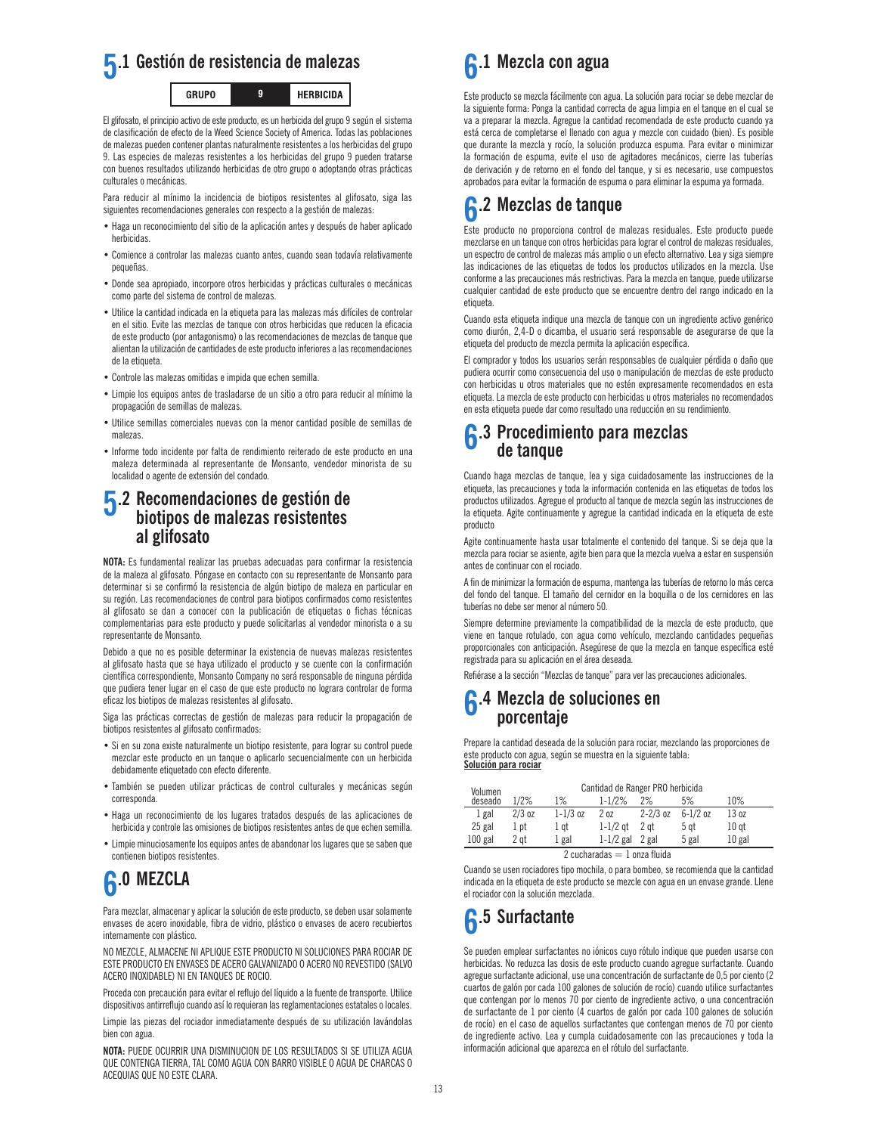

El glifosato, el principio activo de este producto, es un herbicida del grupo 9 según el sistema de clasificación de efecto de la Weed Science Society of America. Todas las poblaciones de malezas pueden contener plantas naturalmente resistentes a los herbicidas del grupo 9. Las especies de malezas resistentes a los herbicidas del grupo 9 pueden tratarse con buenos resultados utilizando herbicidas de otro grupo o adoptando otras prácticas culturales o mecánicas.

Para reducir al mínimo la incidencia de biotipos resistentes al glifosato, siga las siguientes recomendaciones generales con respecto a la gestión de malezas:

- Haga un reconocimiento del sitio de la aplicación antes y después de haber aplicado herbicidas.
- Comience a controlar las malezas cuanto antes, cuando sean todavía relativamente pequeñas.
- Donde sea apropiado, incorpore otros herbicidas y prácticas culturales o mecánicas como parte del sistema de control de malezas.
- Utilice la cantidad indicada en la etiqueta para las malezas más difíciles de controlar en el sitio. Evite las mezclas de tanque con otros herbicidas que reducen la eficacia de este producto (por antagonismo) o las recomendaciones de mezclas de tanque que alientan la utilización de cantidades de este producto inferiores a las recomendaciones de la etiqueta.
- Controle las malezas omitidas e impida que echen semilla.
- Limpie los equipos antes de trasladarse de un sitio a otro para reducir al mínimo la propagación de semillas de malezas.
- Utilice semillas comerciales nuevas con la menor cantidad posible de semillas de malezas.
- Informe todo incidente por falta de rendimiento reiterado de este producto en una maleza determinada al representante de Monsanto, vendedor minorista de su localidad o agente de extensión del condado.

### **5.2 Recomendaciones de gestión de biotipos de malezas resistentes al glifosato**

**NOTA:** Es fundamental realizar las pruebas adecuadas para confirmar la resistencia de la maleza al glifosato. Póngase en contacto con su representante de Monsanto para determinar si se confirmó la resistencia de algún biotipo de maleza en particular en su región. Las recomendaciones de control para biotipos confirmados como resistentes al glifosato se dan a conocer con la publicación de etiquetas o fichas técnicas complementarias para este producto y puede solicitarlas al vendedor minorista o a su representante de Monsanto.

Debido a que no es posible determinar la existencia de nuevas malezas resistentes al glifosato hasta que se haya utilizado el producto y se cuente con la confirmación científica correspondiente, Monsanto Company no será responsable de ninguna pérdida que pudiera tener lugar en el caso de que este producto no lograra controlar de forma eficaz los biotipos de malezas resistentes al glifosato.

Siga las prácticas correctas de gestión de malezas para reducir la propagación de biotipos resistentes al glifosato confirmados:

- Si en su zona existe naturalmente un biotipo resistente, para lograr su control puede mezclar este producto en un tanque o aplicarlo secuencialmente con un herbicida debidamente etiquetado con efecto diferente.
- También se pueden utilizar prácticas de control culturales y mecánicas según corresponda.
- Haga un reconocimiento de los lugares tratados después de las aplicaciones de herbicida y controle las omisiones de biotipos resistentes antes de que echen semilla.
- Limpie minuciosamente los equipos antes de abandonar los lugares que se saben que contienen biotipos resistentes.

# **6.0 MEZCLA**

Para mezclar, almacenar y aplicar la solución de este producto, se deben usar solamente envases de acero inoxidable, fibra de vidrio, plástico o envases de acero recubiertos internamente con plástico.

NO MEZCLE, ALMACENE NI APLIQUE ESTE PRODUCTO NI SOLUCIONES PARA ROCIAR DE ESTE PRODUCTO EN ENVASES DE ACERO GALVANIZADO O ACERO NO REVESTIDO (SALVO ACERO INOXIDABLE) NI EN TANQUES DE ROCIO.

Proceda con precaución para evitar el reflujo del líquido a la fuente de transporte. Utilice dispositivos antirreflujo cuando así lo requieran las reglamentaciones estatales o locales.

Limpie las piezas del rociador inmediatamente después de su utilización lavándolas bien con agua.

**NOTA:** PUEDE OCURRIR UNA DISMINUCION DE LOS RESULTADOS SI SE UTILIZA AGUA QUE CONTENGA TIERRA, TAL COMO AGUA CON BARRO VISIBLE O AGUA DE CHARCAS O ACEQUIAS QUE NO ESTE CLARA.



Este producto se mezcla fácilmente con agua. La solución para rociar se debe mezclar de la siguiente forma: Ponga la cantidad correcta de agua limpia en el tanque en el cual se va a preparar la mezcla. Agregue la cantidad recomendada de este producto cuando ya está cerca de completarse el llenado con agua y mezcle con cuidado (bien). Es posible que durante la mezcla y rocío, la solución produzca espuma. Para evitar o minimizar la formación de espuma, evite el uso de agitadores mecánicos, cierre las tuberías de derivación y de retorno en el fondo del tanque, y si es necesario, use compuestos aprobados para evitar la formación de espuma o para eliminar la espuma ya formada.

## **6.2 Mezclas de tanque**

Este producto no proporciona control de malezas residuales. Este producto puede mezclarse en un tanque con otros herbicidas para lograr el control de malezas residuales, un espectro de control de malezas más amplio o un efecto alternativo. Lea y siga siempre las indicaciones de las etiquetas de todos los productos utilizados en la mezcla. Use conforme a las precauciones más restrictivas. Para la mezcla en tanque, puede utilizarse cualquier cantidad de este producto que se encuentre dentro del rango indicado en la etiqueta.

Cuando esta etiqueta indique una mezcla de tanque con un ingrediente activo genérico como diurón, 2,4-D o dicamba, el usuario será responsable de asegurarse de que la etiqueta del producto de mezcla permita la aplicación específica.

El comprador y todos los usuarios serán responsables de cualquier pérdida o daño que pudiera ocurrir como consecuencia del uso o manipulación de mezclas de este producto con herbicidas u otros materiales que no estén expresamente recomendados en esta etiqueta. La mezcla de este producto con herbicidas u otros materiales no recomendados en esta etiqueta puede dar como resultado una reducción en su rendimiento.

### **6.3 Procedimiento para mezclas de tanque**

Cuando haga mezclas de tanque, lea y siga cuidadosamente las instrucciones de la etiqueta, las precauciones y toda la información contenida en las etiquetas de todos los productos utilizados. Agregue el producto al tanque de mezcla según las instrucciones de la etiqueta. Agite continuamente y agregue la cantidad indicada en la etiqueta de este producto

Agite continuamente hasta usar totalmente el contenido del tanque. Si se deja que la mezcla para rociar se asiente, agite bien para que la mezcla vuelva a estar en suspensión antes de continuar con el rociado.

A fin de minimizar la formación de espuma, mantenga las tuberías de retorno lo más cerca del fondo del tanque. El tamaño del cernidor en la boquilla o de los cernidores en las tuberías no debe ser menor al número 50.

Siempre determine previamente la compatibilidad de la mezcla de este producto, que viene en tanque rotulado, con agua como vehículo, mezclando cantidades pequeñas proporcionales con anticipación. Asegúrese de que la mezcla en tanque específica esté registrada para su aplicación en el área deseada.

Refiérase a la sección "Mezclas de tanque" para ver las precauciones adicionales.

### **6.4 Mezcla de soluciones en porcentaje**

Prepare la cantidad deseada de la solución para rociar, mezclando las proporciones de este producto con agua, según se muestra en la siguiente tabla: **Solución para rociar**

| Volumen                        |          |              | Cantidad de Ranger PRO herbicida |              |              |                  |  |
|--------------------------------|----------|--------------|----------------------------------|--------------|--------------|------------------|--|
| deseado                        | 1/2%     | 1%           | $1 - 1/2%$                       | 2%           | 5%           | 10%              |  |
| 1 gal                          | $2/3$ oz | $1 - 1/3$ oz | 20 <sub>z</sub>                  | $2 - 2/3$ oz | $6 - 1/2$ oz | 13 oz            |  |
| 25 gal                         | 1 pt     | 1 qt         | $1-1/2$ at                       | 2 at         | 5 gt         | 10 <sub>gt</sub> |  |
| $100$ gal                      | 2 at     | 1 gal        | $1-1/2$ gal                      | 2 gal        | 5 gal        | $10$ gal         |  |
| 2 cucharadas $= 1$ onza fluida |          |              |                                  |              |              |                  |  |

Cuando se usen rociadores tipo mochila, o para bombeo, se recomienda que la cantidad indicada en la etiqueta de este producto se mezcle con agua en un envase grande. Llene el rociador con la solución mezclada.

## **6.5 Surfactante**

Se pueden emplear surfactantes no iónicos cuyo rótulo indique que pueden usarse con herbicidas. No reduzca las dosis de este producto cuando agregue surfactante. Cuando agregue surfactante adicional, use una concentración de surfactante de 0,5 por ciento (2 cuartos de galón por cada 100 galones de solución de rocío) cuando utilice surfactantes que contengan por lo menos 70 por ciento de ingrediente activo, o una concentración de surfactante de 1 por ciento (4 cuartos de galón por cada 100 galones de solución de rocío) en el caso de aquellos surfactantes que contengan menos de 70 por ciento de ingrediente activo. Lea y cumpla cuidadosamente con las precauciones y toda la información adicional que aparezca en el rótulo del surfactante.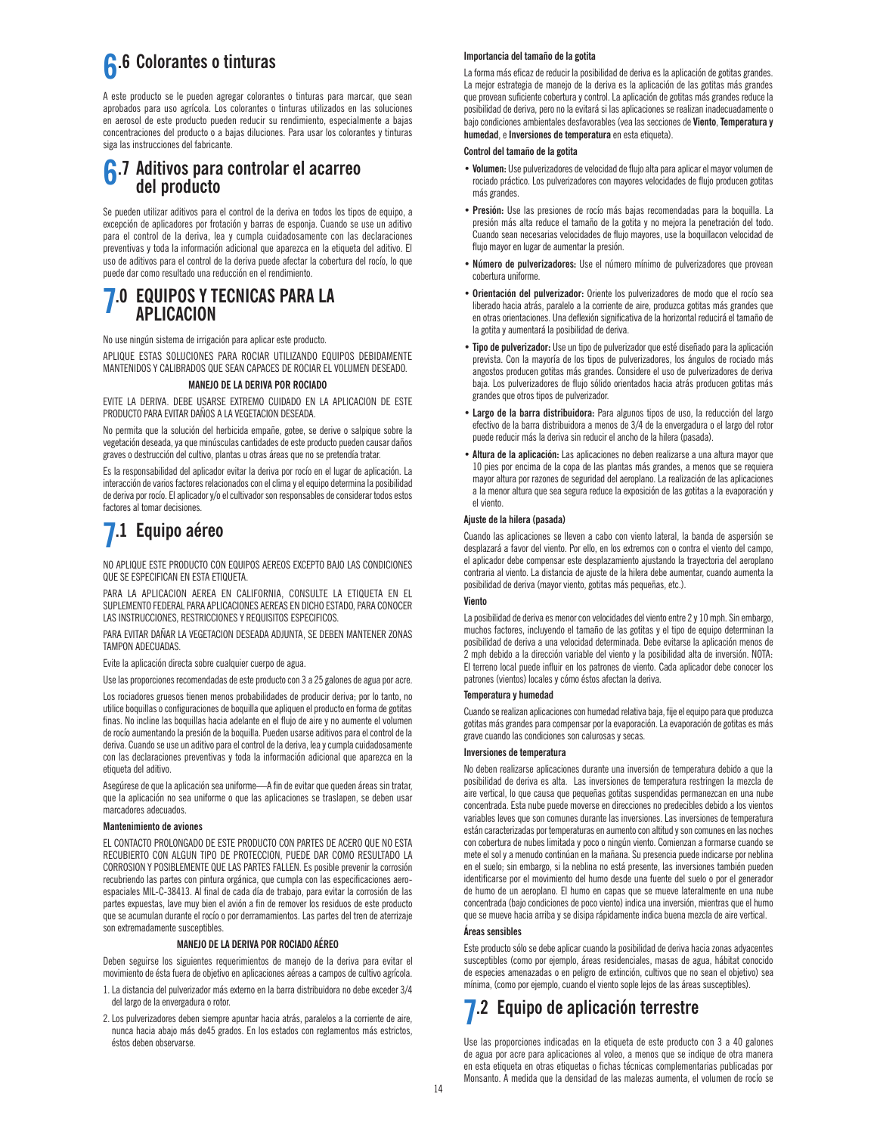## **6.6 Colorantes o tinturas**

A este producto se le pueden agregar colorantes o tinturas para marcar, que sean aprobados para uso agrícola. Los colorantes o tinturas utilizados en las soluciones en aerosol de este producto pueden reducir su rendimiento, especialmente a bajas concentraciones del producto o a bajas diluciones. Para usar los colorantes y tinturas siga las instrucciones del fabricante.

### **6.7 Aditivos para controlar el acarreo del producto**

Se pueden utilizar aditivos para el control de la deriva en todos los tipos de equipo, a excepción de aplicadores por frotación y barras de esponja. Cuando se use un aditivo para el control de la deriva, lea y cumpla cuidadosamente con las declaraciones preventivas y toda la información adicional que aparezca en la etiqueta del aditivo. El uso de aditivos para el control de la deriva puede afectar la cobertura del rocío, lo que puede dar como resultado una reducción en el rendimiento.

# **7.0 EQUIPOS Y TECNICAS PARA LA APLICACION**

No use ningún sistema de irrigación para aplicar este producto.

APLIQUE ESTAS SOLUCIONES PARA ROCIAR UTILIZANDO EQUIPOS DEBIDAMENTE MANTENIDOS Y CALIBRADOS QUE SEAN CAPACES DE ROCIAR EL VOLUMEN DESEADO.

### **MANEJO DE LA DERIVA POR ROCIADO**

EVITE LA DERIVA. DEBE USARSE EXTREMO CUIDADO EN LA APLICACION DE ESTE PRODUCTO PARA EVITAR DAÑOS A LA VEGETACION DESEADA.

No permita que la solución del herbicida empañe, gotee, se derive o salpique sobre la vegetación deseada, ya que minúsculas cantidades de este producto pueden causar daños graves o destrucción del cultivo, plantas u otras áreas que no se pretendía tratar.

Es la responsabilidad del aplicador evitar la deriva por rocío en el lugar de aplicación. La interacción de varios factores relacionados con el clima y el equipo determina la posibilidad de deriva por rocío. El aplicador y/o el cultivador son responsables de considerar todos estos factores al tomar decisiones.

## **7.1 Equipo aéreo**

NO APLIQUE ESTE PRODUCTO CON EQUIPOS AEREOS EXCEPTO BAJO LAS CONDICIONES QUE SE ESPECIFICAN EN ESTA ETIQUETA.

PARA LA APLICACION AEREA EN CALIFORNIA, CONSULTE LA ETIQUETA EN EL SUPLEMENTO FEDERAL PARA APLICACIONES AEREAS EN DICHO ESTADO, PARA CONOCER LAS INSTRUCCIONES, RESTRICCIONES Y REQUISITOS ESPECIFICOS.

PARA EVITAR DAÑAR LA VEGETACION DESEADA ADJUNTA, SE DEBEN MANTENER ZONAS TAMPON ADECUADAS.

Evite la aplicación directa sobre cualquier cuerpo de agua.

Use las proporciones recomendadas de este producto con 3 a 25 galones de agua por acre.

Los rociadores gruesos tienen menos probabilidades de producir deriva; por lo tanto, no utilice boquillas o configuraciones de boquilla que apliquen el producto en forma de gotitas finas. No incline las boquillas hacia adelante en el flujo de aire y no aumente el volumen de rocío aumentando la presión de la boquilla. Pueden usarse aditivos para el control de la deriva. Cuando se use un aditivo para el control de la deriva, lea y cumpla cuidadosamente con las declaraciones preventivas y toda la información adicional que aparezca en la etiqueta del aditivo.

Asegúrese de que la aplicación sea uniforme—A fin de evitar que queden áreas sin tratar, que la aplicación no sea uniforme o que las aplicaciones se traslapen, se deben usar marcadores adecuados.

### **Mantenimiento de aviones**

EL CONTACTO PROLONGADO DE ESTE PRODUCTO CON PARTES DE ACERO QUE NO ESTA RECUBIERTO CON ALGUN TIPO DE PROTECCION, PUEDE DAR COMO RESULTADO LA CORROSION Y POSIBLEMENTE QUE LAS PARTES FALLEN. Es posible prevenir la corrosión recubriendo las partes con pintura orgánica, que cumpla con las especificaciones aeroespaciales MIL-C-38413. Al final de cada día de trabajo, para evitar la corrosión de las partes expuestas, lave muy bien el avión a fin de remover los residuos de este producto que se acumulan durante el rocío o por derramamientos. Las partes del tren de aterrizaje son extremadamente susceptibles.

#### **MANEJO DE LA DERIVA POR ROCIADO AÉREO**

Deben seguirse los siguientes requerimientos de manejo de la deriva para evitar el movimiento de ésta fuera de objetivo en aplicaciones aéreas a campos de cultivo agrícola.

- 1.La distancia del pulverizador más externo en la barra distribuidora no debe exceder 3/4 del largo de la envergadura o rotor.
- 2.Los pulverizadores deben siempre apuntar hacia atrás, paralelos a la corriente de aire, nunca hacia abajo más de45 grados. En los estados con reglamentos más estrictos, éstos deben observarse.

### **Importancia del tamaño de la gotita**

La forma más eficaz de reducir la posibilidad de deriva es la aplicación de gotitas grandes. La mejor estrategia de manejo de la deriva es la aplicación de las gotitas más grandes que provean suficiente cobertura y control. La aplicación de gotitas más grandes reduce la posibilidad de deriva, pero no la evitará si las aplicaciones se realizan inadecuadamente o bajo condiciones ambientales desfavorables (vea las secciones de **Viento**, **Temperatura y humedad**, e **Inversiones de temperatura** en esta etiqueta).

#### **Control del tamaño de la gotita**

- **Volumen:** Use pulverizadores de velocidad de flujo alta para aplicar el mayor volumen de rociado práctico. Los pulverizadores con mayores velocidades de flujo producen gotitas más grandes.
- **Presión:** Use las presiones de rocío más bajas recomendadas para la boquilla. La presión más alta reduce el tamaño de la gotita y no mejora la penetración del todo. Cuando sean necesarias velocidades de flujo mayores, use la boquillacon velocidad de flujo mayor en lugar de aumentar la presión.
- **Número de pulverizadores:** Use el número mínimo de pulverizadores que provean cobertura uniforme.
- **Orientación del pulverizador:** Oriente los pulverizadores de modo que el rocío sea liberado hacia atrás, paralelo a la corriente de aire, produzca gotitas más grandes que en otras orientaciones. Una deflexión significativa de la horizontal reducirá el tamaño de la gotita y aumentará la posibilidad de deriva.
- **Tipo de pulverizador:** Use un tipo de pulverizador que esté diseñado para la aplicación prevista. Con la mayoría de los tipos de pulverizadores, los ángulos de rociado más angostos producen gotitas más grandes. Considere el uso de pulverizadores de deriva baja. Los pulverizadores de flujo sólido orientados hacia atrás producen gotitas más grandes que otros tipos de pulverizador.
- **Largo de la barra distribuidora:** Para algunos tipos de uso, la reducción del largo efectivo de la barra distribuidora a menos de 3/4 de la envergadura o el largo del rotor puede reducir más la deriva sin reducir el ancho de la hilera (pasada).
- **Altura de la aplicación:** Las aplicaciones no deben realizarse a una altura mayor que 10 pies por encima de la copa de las plantas más grandes, a menos que se requiera mayor altura por razones de seguridad del aeroplano. La realización de las aplicaciones a la menor altura que sea segura reduce la exposición de las gotitas a la evaporación y el viento.

#### **Ajuste de la hilera (pasada)**

Cuando las aplicaciones se lleven a cabo con viento lateral, la banda de aspersión se desplazará a favor del viento. Por ello, en los extremos con o contra el viento del campo, el aplicador debe compensar este desplazamiento ajustando la trayectoria del aeroplano contraria al viento. La distancia de ajuste de la hilera debe aumentar, cuando aumenta la posibilidad de deriva (mayor viento, gotitas más pequeñas, etc.).

#### **Viento**

La posibilidad de deriva es menor con velocidades del viento entre 2 y 10 mph. Sin embargo, muchos factores, incluyendo el tamaño de las gotitas y el tipo de equipo determinan la posibilidad de deriva a una velocidad determinada. Debe evitarse la aplicación menos de 2 mph debido a la dirección variable del viento y la posibilidad alta de inversión. NOTA: El terreno local puede influir en los patrones de viento. Cada aplicador debe conocer los patrones (vientos) locales y cómo éstos afectan la deriva.

#### **Temperatura y humedad**

Cuando se realizan aplicaciones con humedad relativa baja, fije el equipo para que produzca gotitas más grandes para compensar por la evaporación. La evaporación de gotitas es más grave cuando las condiciones son calurosas y secas.

### **Inversiones de temperatura**

No deben realizarse aplicaciones durante una inversión de temperatura debido a que la posibilidad de deriva es alta. Las inversiones de temperatura restringen la mezcla de aire vertical, lo que causa que pequeñas gotitas suspendidas permanezcan en una nube concentrada. Esta nube puede moverse en direcciones no predecibles debido a los vientos variables leves que son comunes durante las inversiones. Las inversiones de temperatura están caracterizadas por temperaturas en aumento con altitud y son comunes en las noches con cobertura de nubes limitada y poco o ningún viento. Comienzan a formarse cuando se mete el sol y a menudo continúan en la mañana. Su presencia puede indicarse por neblina en el suelo; sin embargo, si la neblina no está presente, las inversiones también pueden identificarse por el movimiento del humo desde una fuente del suelo o por el generador de humo de un aeroplano. El humo en capas que se mueve lateralmente en una nube concentrada (bajo condiciones de poco viento) indica una inversión, mientras que el humo que se mueve hacia arriba y se disipa rápidamente indica buena mezcla de aire vertical.

#### **Áreas sensibles**

Este producto sólo se debe aplicar cuando la posibilidad de deriva hacia zonas adyacentes susceptibles (como por ejemplo, áreas residenciales, masas de agua, hábitat conocido de especies amenazadas o en peligro de extinción, cultivos que no sean el objetivo) sea mínima, (como por ejemplo, cuando el viento sople lejos de las áreas susceptibles).

### **7.2 Equipo de aplicación terrestre**

Use las proporciones indicadas en la etiqueta de este producto con 3 a 40 galones de agua por acre para aplicaciones al voleo, a menos que se indique de otra manera en esta etiqueta en otras etiquetas o fichas técnicas complementarias publicadas por Monsanto. A medida que la densidad de las malezas aumenta, el volumen de rocío se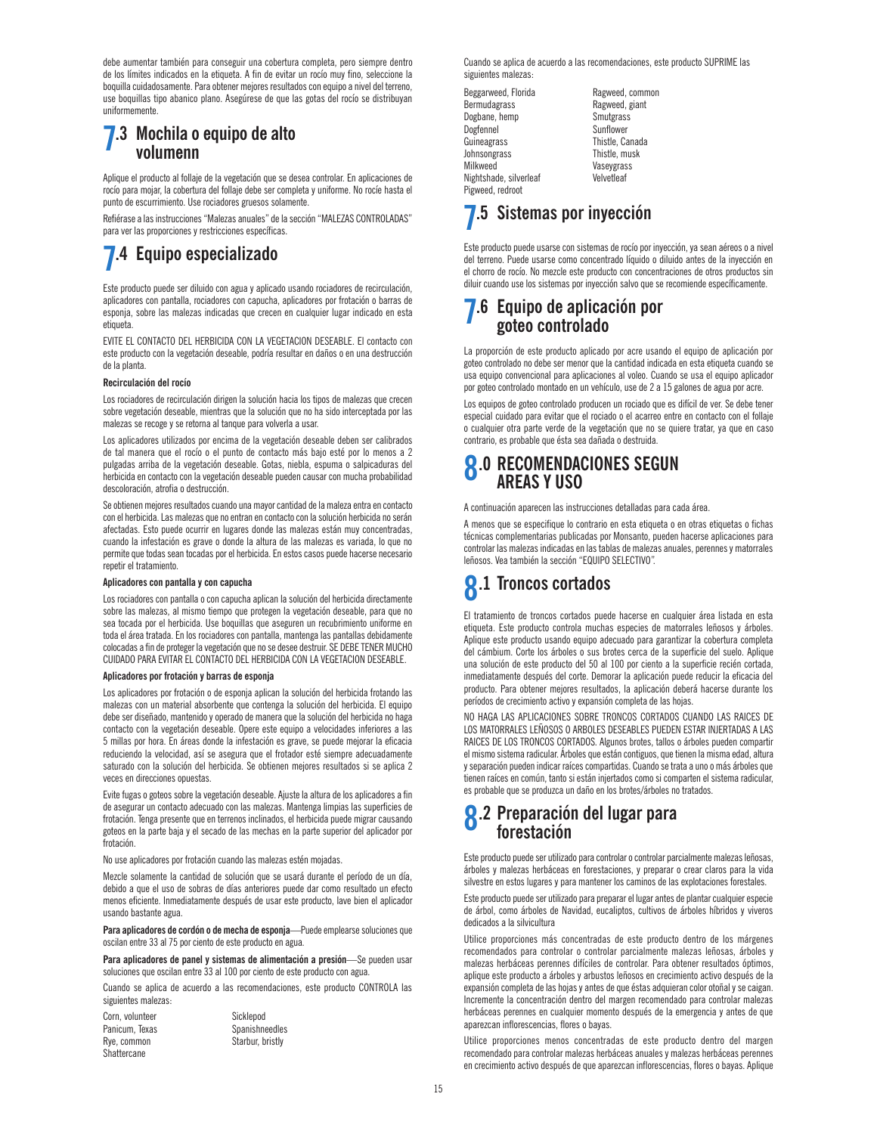debe aumentar también para conseguir una cobertura completa, pero siempre dentro de los límites indicados en la etiqueta. A fin de evitar un rocío muy fino, seleccione la boquilla cuidadosamente. Para obtener mejores resultados con equipo a nivel del terreno, use boquillas tipo abanico plano. Asegúrese de que las gotas del rocío se distribuyan uniformemente.

### **7.3 Mochila o equipo de alto volumenn**

Aplique el producto al follaje de la vegetación que se desea controlar. En aplicaciones de rocío para mojar, la cobertura del follaje debe ser completa y uniforme. No rocíe hasta el punto de escurrimiento. Use rociadores gruesos solamente.

Refiérase a las instrucciones "Malezas anuales" de la sección "MALEZAS CONTROLADAS" para ver las proporciones y restricciones específicas.

### **7.4 Equipo especializado**

Este producto puede ser diluido con agua y aplicado usando rociadores de recirculación, aplicadores con pantalla, rociadores con capucha, aplicadores por frotación o barras de esponja, sobre las malezas indicadas que crecen en cualquier lugar indicado en esta etiqueta.

EVITE EL CONTACTO DEL HERBICIDA CON LA VEGETACION DESEABLE. El contacto con este producto con la vegetación deseable, podría resultar en daños o en una destrucción de la planta.

### **Recirculación del rocío**

Los rociadores de recirculación dirigen la solución hacia los tipos de malezas que crecen sobre vegetación deseable, mientras que la solución que no ha sido interceptada por las malezas se recoge y se retorna al tanque para volverla a usar.

Los aplicadores utilizados por encima de la vegetación deseable deben ser calibrados de tal manera que el rocío o el punto de contacto más bajo esté por lo menos a 2 pulgadas arriba de la vegetación deseable. Gotas, niebla, espuma o salpicaduras del herbicida en contacto con la vegetación deseable pueden causar con mucha probabilidad descoloración, atrofia o destrucción.

Se obtienen mejores resultados cuando una mayor cantidad de la maleza entra en contacto con el herbicida. Las malezas que no entran en contacto con la solución herbicida no serán afectadas. Esto puede ocurrir en lugares donde las malezas están muy concentradas, cuando la infestación es grave o donde la altura de las malezas es variada, lo que no permite que todas sean tocadas por el herbicida. En estos casos puede hacerse necesario repetir el tratamiento.

### **Aplicadores con pantalla y con capucha**

Los rociadores con pantalla o con capucha aplican la solución del herbicida directamente sobre las malezas, al mismo tiempo que protegen la vegetación deseable, para que no sea tocada por el herbicida. Use boquillas que aseguren un recubrimiento uniforme en toda el área tratada. En los rociadores con pantalla, mantenga las pantallas debidamente colocadas a fin de proteger la vegetación que no se desee destruir. SE DEBE TENER MUCHO CUIDADO PARA EVITAR EL CONTACTO DEL HERBICIDA CON LA VEGETACION DESEABLE.

#### **Aplicadores por frotación y barras de esponja**

Los aplicadores por frotación o de esponja aplican la solución del herbicida frotando las malezas con un material absorbente que contenga la solución del herbicida. El equipo debe ser diseñado, mantenido y operado de manera que la solución del herbicida no haga contacto con la vegetación deseable. Opere este equipo a velocidades inferiores a las 5 millas por hora. En áreas donde la infestación es grave, se puede mejorar la eficacia reduciendo la velocidad, así se asegura que el frotador esté siempre adecuadamente saturado con la solución del herbicida. Se obtienen mejores resultados si se aplica 2 veces en direcciones opuestas.

Evite fugas o goteos sobre la vegetación deseable. Ajuste la altura de los aplicadores a fin de asegurar un contacto adecuado con las malezas. Mantenga limpias las superficies de frotación. Tenga presente que en terrenos inclinados, el herbicida puede migrar causando goteos en la parte baja y el secado de las mechas en la parte superior del aplicador por frotación.

No use aplicadores por frotación cuando las malezas estén mojadas.

Mezcle solamente la cantidad de solución que se usará durante el período de un día, debido a que el uso de sobras de días anteriores puede dar como resultado un efecto menos eficiente. Inmediatamente después de usar este producto, lave bien el aplicador usando bastante agua.

Para aplicadores de cordón o de mecha de esponja-Puede emplearse soluciones que oscilan entre 33 al 75 por ciento de este producto en agua.

**Para aplicadores de panel y sistemas de alimentación a presión**—Se pueden usar soluciones que oscilan entre 33 al 100 por ciento de este producto con agua.

Cuando se aplica de acuerdo a las recomendaciones, este producto CONTROLA las siguientes malezas:

| Corn. volunteer |
|-----------------|
| Panicum, Texas  |
| Rye, common     |
| Shattercane     |

Sicklepod Spanishneedles Starbur, bristly

Cuando se aplica de acuerdo a las recomendaciones, este producto SUPRIME las siguientes malezas:

Beggarweed, Florida Ragweed, common Bermudagrass Ragweed, giant<br>Dogbane, hemp Smutgrass Dogbane, hemp<br>Dogfennel Guineagrass Johnsongrass Thistle, musk Milkweed Vaseygrass Nightshade, silverleaf Velvetleaf Pigweed, redroot

Sunflower<br>Thistle Canada

### **7.5 Sistemas por inyección**

Este producto puede usarse con sistemas de rocío por inyección, ya sean aéreos o a nivel del terreno. Puede usarse como concentrado líquido o diluido antes de la inyección en el chorro de rocío. No mezcle este producto con concentraciones de otros productos sin diluir cuando use los sistemas por inyección salvo que se recomiende específicamente.

### **7.6 Equipo de aplicación por goteo controlado**

La proporción de este producto aplicado por acre usando el equipo de aplicación por goteo controlado no debe ser menor que la cantidad indicada en esta etiqueta cuando se usa equipo convencional para aplicaciones al voleo. Cuando se usa el equipo aplicador por goteo controlado montado en un vehículo, use de 2 a 15 galones de agua por acre.

Los equipos de goteo controlado producen un rociado que es difícil de ver. Se debe tener especial cuidado para evitar que el rociado o el acarreo entre en contacto con el follaje o cualquier otra parte verde de la vegetación que no se quiere tratar, ya que en caso contrario, es probable que ésta sea dañada o destruida.

### **8.0 RECOMENDACIONES SEGUN AREAS Y USO**

A continuación aparecen las instrucciones detalladas para cada área.

A menos que se especifique lo contrario en esta etiqueta o en otras etiquetas o fichas técnicas complementarias publicadas por Monsanto, pueden hacerse aplicaciones para controlar las malezas indicadas en las tablas de malezas anuales, perennes y matorrales leñosos. Vea también la sección "EQUIPO SELECTIVO".

## **8.1 Troncos cortados**

El tratamiento de troncos cortados puede hacerse en cualquier área listada en esta etiqueta. Este producto controla muchas especies de matorrales leñosos y árboles. Aplique este producto usando equipo adecuado para garantizar la cobertura completa del cámbium. Corte los árboles o sus brotes cerca de la superficie del suelo. Aplique una solución de este producto del 50 al 100 por ciento a la superficie recién cortada, inmediatamente después del corte. Demorar la aplicación puede reducir la eficacia del producto. Para obtener mejores resultados, la aplicación deberá hacerse durante los períodos de crecimiento activo y expansión completa de las hojas.

NO HAGA LAS APLICACIONES SOBRE TRONCOS CORTADOS CUANDO LAS RAICES DE LOS MATORRALES LEÑOSOS O ARBOLES DESEABLES PUEDEN ESTAR INJERTADAS A LAS RAICES DE LOS TRONCOS CORTADOS. Algunos brotes, tallos o árboles pueden compartir el mismo sistema radicular. Árboles que están contiguos, que tienen la misma edad, altura y separación pueden indicar raíces compartidas. Cuando se trata a uno o más árboles que tienen raíces en común, tanto si están injertados como si comparten el sistema radicular, es probable que se produzca un daño en los brotes/árboles no tratados.

### **8.2 Preparación del lugar para forestación**

Este producto puede ser utilizado para controlar o controlar parcialmente malezas leñosas, árboles y malezas herbáceas en forestaciones, y preparar o crear claros para la vida silvestre en estos lugares y para mantener los caminos de las explotaciones forestales.

Este producto puede ser utilizado para preparar el lugar antes de plantar cualquier especie de árbol, como árboles de Navidad, eucaliptos, cultivos de árboles híbridos y viveros dedicados a la silvicultura

Utilice proporciones más concentradas de este producto dentro de los márgenes recomendados para controlar o controlar parcialmente malezas leñosas, árboles y malezas herbáceas perennes difíciles de controlar. Para obtener resultados óptimos, aplique este producto a árboles y arbustos leñosos en crecimiento activo después de la expansión completa de las hojas y antes de que éstas adquieran color otoñal y se caigan. Incremente la concentración dentro del margen recomendado para controlar malezas herbáceas perennes en cualquier momento después de la emergencia y antes de que aparezcan inflorescencias, flores o bayas.

Utilice proporciones menos concentradas de este producto dentro del margen recomendado para controlar malezas herbáceas anuales y malezas herbáceas perennes en crecimiento activo después de que aparezcan inflorescencias, flores o bayas. Aplique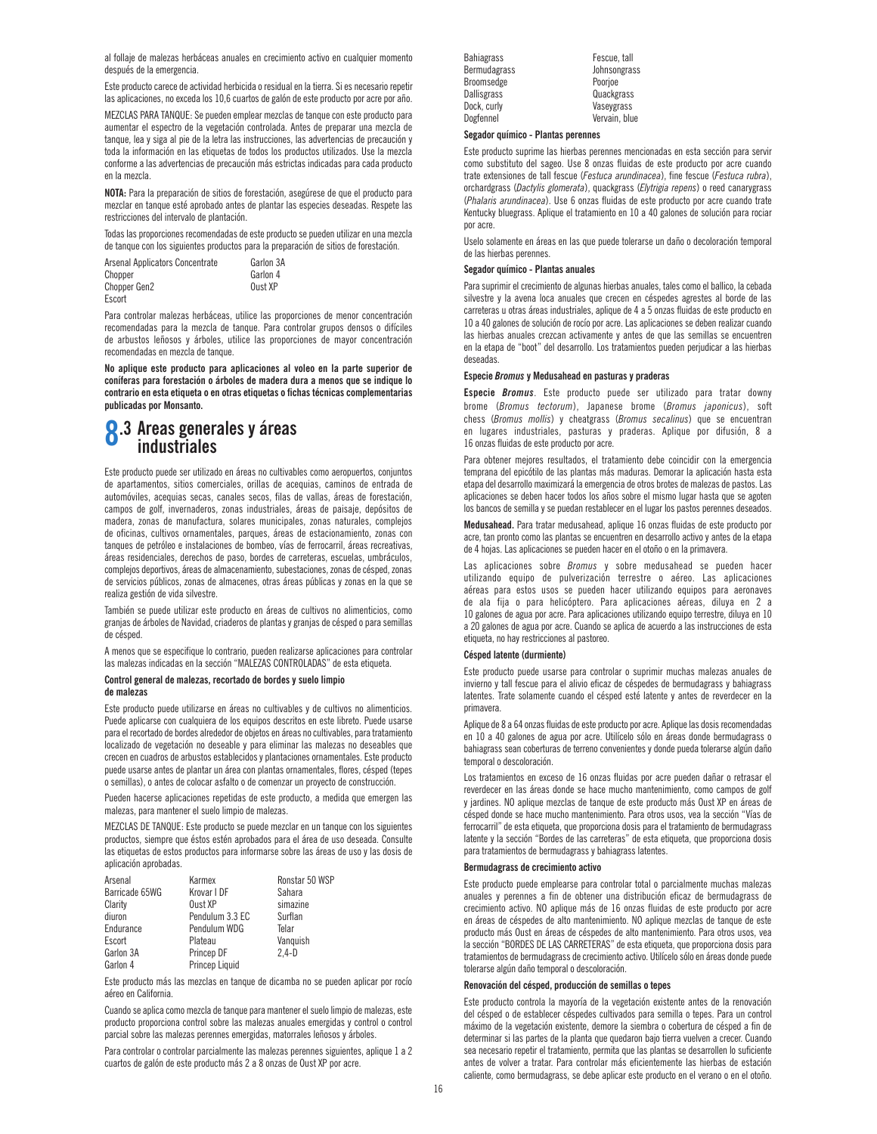al follaje de malezas herbáceas anuales en crecimiento activo en cualquier momento después de la emergencia.

Este producto carece de actividad herbicida o residual en la tierra. Si es necesario repetir las aplicaciones, no exceda los 10,6 cuartos de galón de este producto por acre por año.

MEZCLAS PARA TANQUE: Se pueden emplear mezclas de tanque con este producto para aumentar el espectro de la vegetación controlada. Antes de preparar una mezcla de tanque, lea y siga al pie de la letra las instrucciones, las advertencias de precaución y toda la información en las etiquetas de todos los productos utilizados. Use la mezcla conforme a las advertencias de precaución más estrictas indicadas para cada producto en la mezcla.

**NOTA:** Para la preparación de sitios de forestación, asegúrese de que el producto para mezclar en tanque esté aprobado antes de plantar las especies deseadas. Respete las restricciones del intervalo de plantación.

Todas las proporciones recomendadas de este producto se pueden utilizar en una mezcla de tanque con los siguientes productos para la preparación de sitios de forestación.

| Arsenal Applicators Concentrate | Garlon 3A |
|---------------------------------|-----------|
| Chopper                         | Garlon 4  |
| Chopper Gen2                    | Oust XP   |
| Escort                          |           |

Para controlar malezas herbáceas, utilice las proporciones de menor concentración recomendadas para la mezcla de tanque. Para controlar grupos densos o difíciles de arbustos leñosos y árboles, utilice las proporciones de mayor concentración recomendadas en mezcla de tanque.

**No aplique este producto para aplicaciones al voleo en la parte superior de coníferas para forestación o árboles de madera dura a menos que se indique lo contrario en esta etiqueta o en otras etiquetas o fichas técnicas complementarias publicadas por Monsanto.**

### **8.3 Areas generales y áreas industriales**

Este producto puede ser utilizado en áreas no cultivables como aeropuertos, conjuntos de apartamentos, sitios comerciales, orillas de acequias, caminos de entrada de automóviles, acequias secas, canales secos, filas de vallas, áreas de forestación, campos de golf, invernaderos, zonas industriales, áreas de paisaje, depósitos de madera, zonas de manufactura, solares municipales, zonas naturales, complejos de oficinas, cultivos ornamentales, parques, áreas de estacionamiento, zonas con tanques de petróleo e instalaciones de bombeo, vías de ferrocarril, áreas recreativas, áreas residenciales, derechos de paso, bordes de carreteras, escuelas, umbráculos, complejos deportivos, áreas de almacenamiento, subestaciones, zonas de césped, zonas de servicios públicos, zonas de almacenes, otras áreas públicas y zonas en la que se realiza gestión de vida silvestre.

También se puede utilizar este producto en áreas de cultivos no alimenticios, como granjas de árboles de Navidad, criaderos de plantas y granjas de césped o para semillas de césped.

A menos que se especifique lo contrario, pueden realizarse aplicaciones para controlar las malezas indicadas en la sección "MALEZAS CONTROLADAS" de esta etiqueta.

### **Control general de malezas, recortado de bordes y suelo limpio de malezas**

Este producto puede utilizarse en áreas no cultivables y de cultivos no alimenticios. Puede aplicarse con cualquiera de los equipos descritos en este libreto. Puede usarse para el recortado de bordes alrededor de objetos en áreas no cultivables, para tratamiento localizado de vegetación no deseable y para eliminar las malezas no deseables que crecen en cuadros de arbustos establecidos y plantaciones ornamentales. Este producto puede usarse antes de plantar un área con plantas ornamentales, flores, césped (tepes o semillas), o antes de colocar asfalto o de comenzar un proyecto de construcción.

Pueden hacerse aplicaciones repetidas de este producto, a medida que emergen las malezas, para mantener el suelo limpio de malezas.

MEZCLAS DE TANQUE: Este producto se puede mezclar en un tanque con los siguientes productos, siempre que éstos estén aprobados para el área de uso deseada. Consulte las etiquetas de estos productos para informarse sobre las áreas de uso y las dosis de aplicación aprobadas.

| Arsenal        | Karmex          | Ronstar 50 WSP |
|----------------|-----------------|----------------|
| Barricade 65WG | Krovar I DF     | Sahara         |
| Clarity        | Oust XP         | simazine       |
| diuron         | Pendulum 3.3 EC | Surflan        |
| Endurance      | Pendulum WDG    | Telar          |
| Escort         | Plateau         | Vanguish       |
| Garlon 3A      | Princep DF      | $2.4-D$        |
| Garlon 4       | Princep Liquid  |                |

Este producto más las mezclas en tanque de dicamba no se pueden aplicar por rocío aéreo en California.

Cuando se aplica como mezcla de tanque para mantener el suelo limpio de malezas, este producto proporciona control sobre las malezas anuales emergidas y control o control parcial sobre las malezas perennes emergidas, matorrales leñosos y árboles.

Para controlar o controlar parcialmente las malezas perennes siguientes, aplique 1 a 2 cuartos de galón de este producto más 2 a 8 onzas de Oust XP por acre.

| Bahiagrass          | Fescue, tall  |
|---------------------|---------------|
| <b>Bermudagrass</b> | Johnsongrass  |
| Broomsedge          | Poorioe       |
| Dallisgrass         | Quackgrass    |
| Dock, curly         | Vaseygrass    |
| Dogfennel           | Vervain, blue |

#### **Segador químico - Plantas perennes**

Este producto suprime las hierbas perennes mencionadas en esta sección para servir como substituto del sageo. Use 8 onzas fluidas de este producto por acre cuando trate extensiones de tall fescue (*Festuca arundinacea*), fine fescue (*Festuca rubra*), orchardgrass (*Dactylis glomerata*), quackgrass (*Elytrigia repens*) o reed canarygrass (*Phalaris arundinacea*). Use 6 onzas fluidas de este producto por acre cuando trate Kentucky bluegrass. Aplique el tratamiento en 10 a 40 galones de solución para rociar por acre.

Uselo solamente en áreas en las que puede tolerarse un daño o decoloración temporal de las hierbas perennes.

### **Segador químico - Plantas anuales**

Para suprimir el crecimiento de algunas hierbas anuales, tales como el ballico, la cebada silvestre y la avena loca anuales que crecen en céspedes agrestes al borde de las carreteras u otras áreas industriales, aplique de 4 a 5 onzas fluidas de este producto en 10 a 40 galones de solución de rocío por acre. Las aplicaciones se deben realizar cuando las hierbas anuales crezcan activamente y antes de que las semillas se encuentren en la etapa de "boot" del desarrollo. Los tratamientos pueden perjudicar a las hierbas deseadas.

### **Especie** *Bromus* **y Medusahead en pasturas y praderas**

**Especie** *Bromus*. Este producto puede ser utilizado para tratar downy brome (*Bromus tectorum*), Japanese brome (*Bromus japonicus*), soft chess (*Bromus mollis*) y cheatgrass (*Bromus secalinus*) que se encuentran en lugares industriales, pasturas y praderas. Aplique por difusión, 8 a 16 onzas fluidas de este producto por acre.

Para obtener mejores resultados, el tratamiento debe coincidir con la emergencia temprana del epicótilo de las plantas más maduras. Demorar la aplicación hasta esta etapa del desarrollo maximizará la emergencia de otros brotes de malezas de pastos. Las aplicaciones se deben hacer todos los años sobre el mismo lugar hasta que se agoten los bancos de semilla y se puedan restablecer en el lugar los pastos perennes deseados.

**Medusahead.** Para tratar medusahead, aplique 16 onzas fluidas de este producto por acre, tan pronto como las plantas se encuentren en desarrollo activo y antes de la etapa de 4 hojas. Las aplicaciones se pueden hacer en el otoño o en la primavera.

Las aplicaciones sobre *Bromus* y sobre medusahead se pueden hacer utilizando equipo de pulverización terrestre o aéreo. Las aplicaciones aéreas para estos usos se pueden hacer utilizando equipos para aeronaves de ala fija o para helicóptero. Para aplicaciones aéreas, diluya en 2 a 10 galones de agua por acre. Para aplicaciones utilizando equipo terrestre, diluya en 10 a 20 galones de agua por acre. Cuando se aplica de acuerdo a las instrucciones de esta etiqueta, no hay restricciones al pastoreo.

### **Césped latente (durmiente)**

Este producto puede usarse para controlar o suprimir muchas malezas anuales de invierno y tall fescue para el alivio eficaz de céspedes de bermudagrass y bahiagrass latentes. Trate solamente cuando el césped esté latente y antes de reverdecer en la primavera.

Aplique de 8 a 64 onzas fluidas de este producto por acre. Aplique las dosis recomendadas en 10 a 40 galones de agua por acre. Utilícelo sólo en áreas donde bermudagrass o bahiagrass sean coberturas de terreno convenientes y donde pueda tolerarse algún daño temporal o descoloración.

Los tratamientos en exceso de 16 onzas fluidas por acre pueden dañar o retrasar el reverdecer en las áreas donde se hace mucho mantenimiento, como campos de golf y jardines. NO aplique mezclas de tanque de este producto más Oust XP en áreas de césped donde se hace mucho mantenimiento. Para otros usos, vea la sección "Vías de ferrocarril" de esta etiqueta, que proporciona dosis para el tratamiento de bermudagrass latente y la sección "Bordes de las carreteras" de esta etiqueta, que proporciona dosis para tratamientos de bermudagrass y bahiagrass latentes.

### **Bermudagrass de crecimiento activo**

Este producto puede emplearse para controlar total o parcialmente muchas malezas anuales y perennes a fin de obtener una distribución eficaz de bermudagrass de crecimiento activo. NO aplique más de 16 onzas fluidas de este producto por acre en áreas de céspedes de alto mantenimiento. NO aplique mezclas de tanque de este producto más Oust en áreas de céspedes de alto mantenimiento. Para otros usos, vea la sección "BORDES DE LAS CARRETERAS" de esta etiqueta, que proporciona dosis para tratamientos de bermudagrass de crecimiento activo. Utilícelo sólo en áreas donde puede tolerarse algún daño temporal o descoloración.

### **Renovación del césped, producción de semillas o tepes**

Este producto controla la mayoría de la vegetación existente antes de la renovación del césped o de establecer céspedes cultivados para semilla o tepes. Para un control máximo de la vegetación existente, demore la siembra o cobertura de césped a fin de determinar si las partes de la planta que quedaron bajo tierra vuelven a crecer. Cuando sea necesario repetir el tratamiento, permita que las plantas se desarrollen lo suficiente antes de volver a tratar. Para controlar más eficientemente las hierbas de estación caliente, como bermudagrass, se debe aplicar este producto en el verano o en el otoño.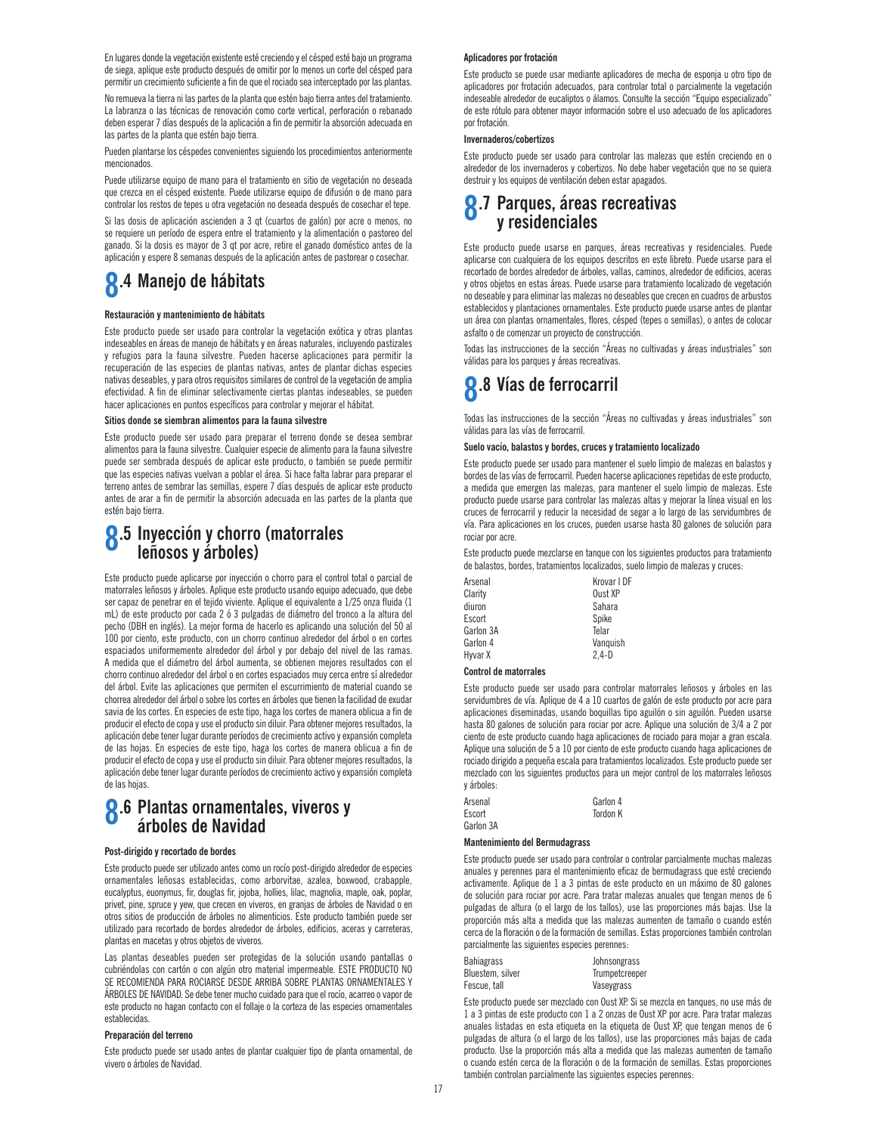En lugares donde la vegetación existente esté creciendo y el césped esté bajo un programa de siega, aplique este producto después de omitir por lo menos un corte del césped para permitir un crecimiento suficiente a fin de que el rociado sea interceptado por las plantas.

No remueva la tierra ni las partes de la planta que estén bajo tierra antes del tratamiento. La labranza o las técnicas de renovación como corte vertical, perforación o rebanado deben esperar 7 días después de la aplicación a fin de permitir la absorción adecuada en las partes de la planta que estén bajo tierra.

Pueden plantarse los céspedes convenientes siguiendo los procedimientos anteriormente mencionados.

Puede utilizarse equipo de mano para el tratamiento en sitio de vegetación no deseada que crezca en el césped existente. Puede utilizarse equipo de difusión o de mano para controlar los restos de tepes u otra vegetación no deseada después de cosechar el tepe.

Si las dosis de aplicación ascienden a 3 qt (cuartos de galón) por acre o menos, no se requiere un período de espera entre el tratamiento y la alimentación o pastoreo del ganado. Si la dosis es mayor de 3 qt por acre, retire el ganado doméstico antes de la aplicación y espere 8 semanas después de la aplicación antes de pastorear o cosechar.

## **8.4 Manejo de hábitats**

### **Restauración y mantenimiento de hábitats**

Este producto puede ser usado para controlar la vegetación exótica y otras plantas indeseables en áreas de manejo de hábitats y en áreas naturales, incluyendo pastizales y refugios para la fauna silvestre. Pueden hacerse aplicaciones para permitir la recuperación de las especies de plantas nativas, antes de plantar dichas especies nativas deseables, y para otros requisitos similares de control de la vegetación de amplia efectividad. A fin de eliminar selectivamente ciertas plantas indeseables, se pueden hacer aplicaciones en puntos específicos para controlar y mejorar el hábitat.

#### **Sitios donde se siembran alimentos para la fauna silvestre**

Este producto puede ser usado para preparar el terreno donde se desea sembrar alimentos para la fauna silvestre. Cualquier especie de alimento para la fauna silvestre puede ser sembrada después de aplicar este producto, o también se puede permitir que las especies nativas vuelvan a poblar el área. Si hace falta labrar para preparar el terreno antes de sembrar las semillas, espere 7 días después de aplicar este producto antes de arar a fin de permitir la absorción adecuada en las partes de la planta que estén bajo tierra.

### **8.5 Inyección y chorro (matorrales leñosos y árboles)**

Este producto puede aplicarse por inyección o chorro para el control total o parcial de matorrales leñosos y árboles. Aplique este producto usando equipo adecuado, que debe ser capaz de penetrar en el tejido viviente. Aplique el equivalente a 1/25 onza fluida (1 mL) de este producto por cada 2 ó 3 pulgadas de diámetro del tronco a la altura del pecho (DBH en inglés). La mejor forma de hacerlo es aplicando una solución del 50 al 100 por ciento, este producto, con un chorro continuo alrededor del árbol o en cortes espaciados uniformemente alrededor del árbol y por debajo del nivel de las ramas. A medida que el diámetro del árbol aumenta, se obtienen mejores resultados con el chorro continuo alrededor del árbol o en cortes espaciados muy cerca entre sí alrededor del árbol. Evite las aplicaciones que permiten el escurrimiento de material cuando se chorrea alrededor del árbol o sobre los cortes en árboles que tienen la facilidad de exudar savia de los cortes. En especies de este tipo, haga los cortes de manera oblicua a fin de producir el efecto de copa y use el producto sin diluir. Para obtener mejores resultados, la aplicación debe tener lugar durante períodos de crecimiento activo y expansión completa de las hojas. En especies de este tipo, haga los cortes de manera oblicua a fin de producir el efecto de copa y use el producto sin diluir. Para obtener mejores resultados, la aplicación debe tener lugar durante períodos de crecimiento activo y expansión completa de las hojas.

### **8.6 Plantas ornamentales, viveros y árboles de Navidad**

#### **Post-dirigido y recortado de bordes**

Este producto puede ser utilizado antes como un rocío post-dirigido alrededor de especies ornamentales leñosas establecidas, como arborvitae, azalea, boxwood, crabapple, eucalyptus, euonymus, fir, douglas fir, jojoba, hollies, lilac, magnolia, maple, oak, poplar, privet, pine, spruce y yew, que crecen en viveros, en granjas de árboles de Navidad o en otros sitios de producción de árboles no alimenticios. Este producto también puede ser utilizado para recortado de bordes alrededor de árboles, edificios, aceras y carreteras, plantas en macetas y otros objetos de viveros.

Las plantas deseables pueden ser protegidas de la solución usando pantallas o cubriéndolas con cartón o con algún otro material impermeable. ESTE PRODUCTO NO SE RECOMIENDA PARA ROCIARSE DESDE ARRIBA SOBRE PLANTAS ORNAMENTALES Y ÁRBOLES DE NAVIDAD. Se debe tener mucho cuidado para que el rocío, acarreo o vapor de este producto no hagan contacto con el follaje o la corteza de las especies ornamentales establecidas.

#### **Preparación del terreno**

Este producto puede ser usado antes de plantar cualquier tipo de planta ornamental, de vivero o árboles de Navidad.

### **Aplicadores por frotación**

Este producto se puede usar mediante aplicadores de mecha de esponja u otro tipo de aplicadores por frotación adecuados, para controlar total o parcialmente la vegetación indeseable alrededor de eucaliptos o álamos. Consulte la sección "Equipo especializado" de este rótulo para obtener mayor información sobre el uso adecuado de los aplicadores por frotación.

### **Invernaderos/cobertizos**

Este producto puede ser usado para controlar las malezas que estén creciendo en o alrededor de los invernaderos y cobertizos. No debe haber vegetación que no se quiera destruir y los equipos de ventilación deben estar apagados.

### **8.7 Parques, áreas recreativas y residenciales**

Este producto puede usarse en parques, áreas recreativas y residenciales. Puede aplicarse con cualquiera de los equipos descritos en este libreto. Puede usarse para el recortado de bordes alrededor de árboles, vallas, caminos, alrededor de edificios, aceras y otros objetos en estas áreas. Puede usarse para tratamiento localizado de vegetación no deseable y para eliminar las malezas no deseables que crecen en cuadros de arbustos establecidos y plantaciones ornamentales. Este producto puede usarse antes de plantar un área con plantas ornamentales, flores, césped (tepes o semillas), o antes de colocar asfalto o de comenzar un proyecto de construcción.

Todas las instrucciones de la sección "Áreas no cultivadas y áreas industriales" son válidas para los parques y áreas recreativas.

## **8.8 Vías de ferrocarril**

Todas las instrucciones de la sección "Áreas no cultivadas y áreas industriales" son válidas para las vías de ferrocarril.

### **Suelo vacío, balastos y bordes, cruces y tratamiento localizado**

Este producto puede ser usado para mantener el suelo limpio de malezas en balastos y bordes de las vías de ferrocarril. Pueden hacerse aplicaciones repetidas de este producto, a medida que emergen las malezas, para mantener el suelo limpio de malezas. Este producto puede usarse para controlar las malezas altas y mejorar la línea visual en los cruces de ferrocarril y reducir la necesidad de segar a lo largo de las servidumbres de vía. Para aplicaciones en los cruces, pueden usarse hasta 80 galones de solución para rociar por acre.

Este producto puede mezclarse en tanque con los siguientes productos para tratamiento de balastos, bordes, tratamientos localizados, suelo limpio de malezas y cruces:

| Arsenal   | Krovar I DF |
|-----------|-------------|
| Clarity   | Oust XP     |
| diuron    | Sahara      |
| Escort    | Spike       |
| Garlon 3A | Telar       |
| Garlon 4  | Vanquish    |
| Hyvar X   | $2.4-D$     |

#### **Control de matorrales**

Este producto puede ser usado para controlar matorrales leñosos y árboles en las servidumbres de vía. Aplique de 4 a 10 cuartos de galón de este producto por acre para aplicaciones diseminadas, usando boquillas tipo aguilón o sin aguilón. Pueden usarse hasta 80 galones de solución para rociar por acre. Aplique una solución de 3/4 a 2 por ciento de este producto cuando haga aplicaciones de rociado para mojar a gran escala. Aplique una solución de 5 a 10 por ciento de este producto cuando haga aplicaciones de rociado dirigido a pequeña escala para tratamientos localizados. Este producto puede ser mezclado con los siguientes productos para un mejor control de los matorrales leñosos y árboles:

| Arsenal   | Garlon 4        |
|-----------|-----------------|
| Escort    | <b>Tordon K</b> |
| Garlon 3A |                 |

### **Mantenimiento del Bermudagrass**

Garlo

Este producto puede ser usado para controlar o controlar parcialmente muchas malezas anuales y perennes para el mantenimiento eficaz de bermudagrass que esté creciendo activamente. Aplique de 1 a 3 pintas de este producto en un máximo de 80 galones de solución para rociar por acre. Para tratar malezas anuales que tengan menos de 6 pulgadas de altura (o el largo de los tallos), use las proporciones más bajas. Use la proporción más alta a medida que las malezas aumenten de tamaño o cuando estén cerca de la floración o de la formación de semillas. Estas proporciones también controlan parcialmente las siguientes especies perennes:

| Bahiagrass       | Johnsongrass   |
|------------------|----------------|
| Bluestem, silver | Trumpetcreeper |
| Fescue, tall     | Vaseygrass     |

Este producto puede ser mezclado con Oust XP. Si se mezcla en tanques, no use más de 1 a 3 pintas de este producto con 1 a 2 onzas de Oust XP por acre. Para tratar malezas anuales listadas en esta etiqueta en la etiqueta de Oust XP, que tengan menos de 6 pulgadas de altura (o el largo de los tallos), use las proporciones más bajas de cada producto. Use la proporción más alta a medida que las malezas aumenten de tamaño o cuando estén cerca de la floración o de la formación de semillas. Estas proporciones también controlan parcialmente las siguientes especies perennes: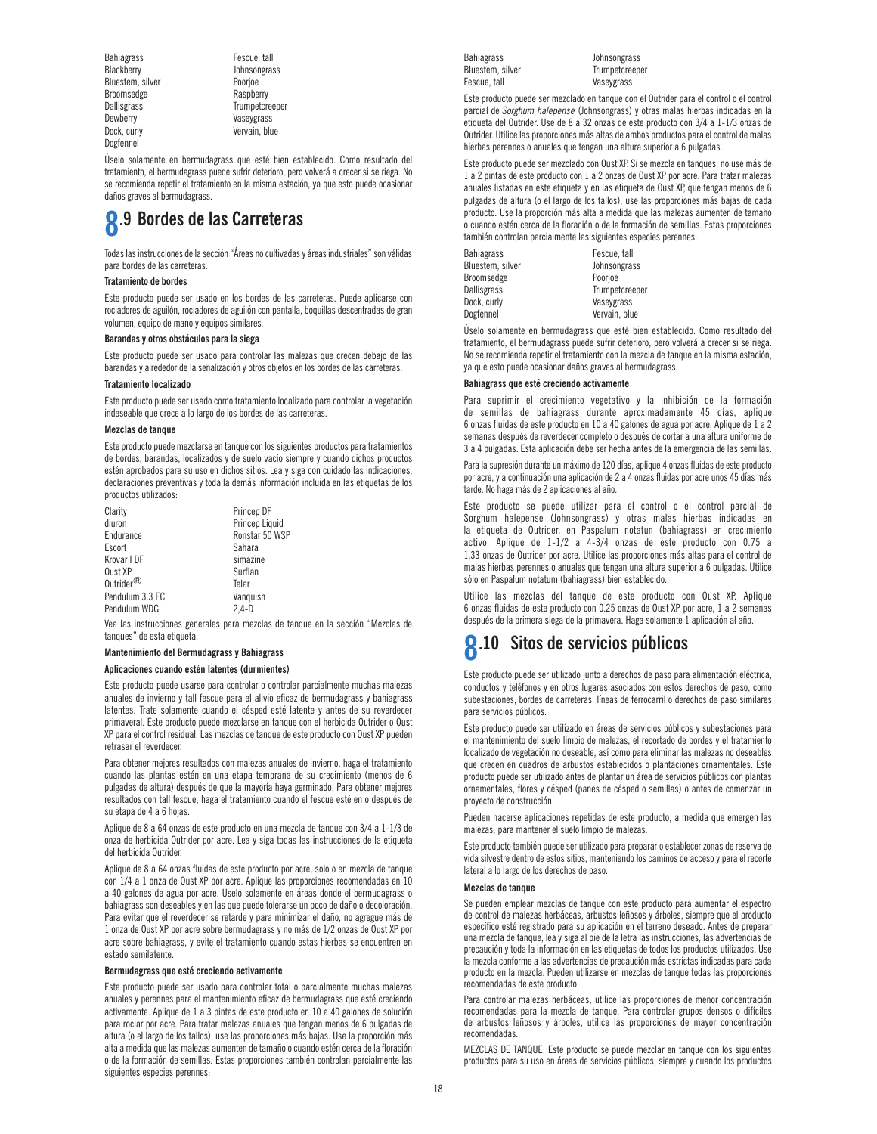Bahiagrass **Fescue, tall** Blackberry Johnsongrass Bluestem, silver Poorjoe Broomsedge<br>Dallisgrass Dock, curly **Vervain, blue** Dogfennel

Dallisgrass Trumpetcreeper<br>Dewberry Charles Vasevgrass Vaseygrass

Úselo solamente en bermudagrass que esté bien establecido. Como resultado del tratamiento, el bermudagrass puede sufrir deterioro, pero volverá a crecer si se riega. No se recomienda repetir el tratamiento en la misma estación, ya que esto puede ocasionar daños graves al bermudagrass.

### **8.9 Bordes de las Carreteras**

Todas las instrucciones de la sección "Áreas no cultivadas y áreas industriales" son válidas para bordes de las carreteras.

#### **Tratamiento de bordes**

Este producto puede ser usado en los bordes de las carreteras. Puede aplicarse con rociadores de aguilón, rociadores de aguilón con pantalla, boquillas descentradas de gran volumen, equipo de mano y equipos similares.

### **Barandas y otros obstáculos para la siega**

Este producto puede ser usado para controlar las malezas que crecen debajo de las barandas y alrededor de la señalización y otros objetos en los bordes de las carreteras.

#### **Tratamiento localizado**

Este producto puede ser usado como tratamiento localizado para controlar la vegetación indeseable que crece a lo largo de los bordes de las carreteras.

#### **Mezclas de tanque**

Este producto puede mezclarse en tanque con los siguientes productos para tratamientos de bordes, barandas, localizados y de suelo vacío siempre y cuando dichos productos estén aprobados para su uso en dichos sitios. Lea y siga con cuidado las indicaciones, declaraciones preventivas y toda la demás información incluida en las etiquetas de los productos utilizados:

| Clarity               | Princep DF     |
|-----------------------|----------------|
| diuron                | Princep Liquid |
| Endurance             | Ronstar 50 WSP |
| Escort                | Sahara         |
| Krovar I DF           | simazine       |
| Oust XP               | Surflan        |
| Outrider $^\circledR$ | Telar          |
| Pendulum 3.3 EC       | Vanguish       |
| Pendulum WDG          | $2.4-D$        |
|                       |                |

Vea las instrucciones generales para mezclas de tanque en la sección "Mezclas de tanques" de esta etiqueta.

### **Mantenimiento del Bermudagrass y Bahiagrass**

#### **Aplicaciones cuando estén latentes (durmientes)**

Este producto puede usarse para controlar o controlar parcialmente muchas malezas anuales de invierno y tall fescue para el alivio eficaz de bermudagrass y bahiagrass latentes. Trate solamente cuando el césped esté latente y antes de su reverdecer primaveral. Este producto puede mezclarse en tanque con el herbicida Outrider o Oust XP para el control residual. Las mezclas de tanque de este producto con Oust XP pueden retrasar el reverdecer.

Para obtener mejores resultados con malezas anuales de invierno, haga el tratamiento cuando las plantas estén en una etapa temprana de su crecimiento (menos de 6 pulgadas de altura) después de que la mayoría haya germinado. Para obtener mejores resultados con tall fescue, haga el tratamiento cuando el fescue esté en o después de su etapa de 4 a 6 hojas.

Aplique de 8 a 64 onzas de este producto en una mezcla de tanque con 3/4 a 1-1/3 de onza de herbicida Outrider por acre. Lea y siga todas las instrucciones de la etiqueta del herbicida Outrider.

Aplique de 8 a 64 onzas fluidas de este producto por acre, solo o en mezcla de tanque con 1/4 a 1 onza de Oust XP por acre. Aplique las proporciones recomendadas en 10 a 40 galones de agua por acre. Uselo solamente en áreas donde el bermudagrass o bahiagrass son deseables y en las que puede tolerarse un poco de daño o decoloración. Para evitar que el reverdecer se retarde y para minimizar el daño, no agregue más de 1 onza de Oust XP por acre sobre bermudagrass y no más de 1/2 onzas de Oust XP por acre sobre bahiagrass, y evite el tratamiento cuando estas hierbas se encuentren en estado semilatente.

#### **Bermudagrass que esté creciendo activamente**

Este producto puede ser usado para controlar total o parcialmente muchas malezas anuales y perennes para el mantenimiento eficaz de bermudagrass que esté creciendo activamente. Aplique de 1 a 3 pintas de este producto en 10 a 40 galones de solución para rociar por acre. Para tratar malezas anuales que tengan menos de 6 pulgadas de altura (o el largo de los tallos), use las proporciones más bajas. Use la proporción más alta a medida que las malezas aumenten de tamaño o cuando estén cerca de la floración o de la formación de semillas. Estas proporciones también controlan parcialmente las siguientes especies perennes:

| <b>Bahiagrass</b> |
|-------------------|
| Bluestem, silver  |
| Fescue, tall      |
|                   |

Bahiagrass Johnsongrass **Trumpetcreeper** Vaseygrass

Este producto puede ser mezclado en tanque con el Outrider para el control o el control parcial de *Sorghum halepense* (Johnsongrass) y otras malas hierbas indicadas en la etiqueta del Outrider. Use de 8 a 32 onzas de este producto con 3/4 a 1-1/3 onzas de Outrider. Utilice las proporciones más altas de ambos productos para el control de malas hierbas perennes o anuales que tengan una altura superior a 6 pulgadas.

Este producto puede ser mezclado con Oust XP. Si se mezcla en tanques, no use más de 1 a 2 pintas de este producto con 1 a 2 onzas de Oust XP por acre. Para tratar malezas anuales listadas en este etiqueta y en las etiqueta de Oust XP, que tengan menos de 6 pulgadas de altura (o el largo de los tallos), use las proporciones más bajas de cada producto. Use la proporción más alta a medida que las malezas aumenten de tamaño o cuando estén cerca de la floración o de la formación de semillas. Estas proporciones también controlan parcialmente las siguientes especies perennes:

| Bahiagrass       | Fescue, tall   |
|------------------|----------------|
| Bluestem, silver | Johnsongrass   |
| Broomsedge       | Poorjoe        |
| Dallisgrass      | Trumpetcreeper |
| Dock. curly      | Vaseygrass     |
| Dogfennel        | Vervain, blue  |

Úselo solamente en bermudagrass que esté bien establecido. Como resultado del tratamiento, el bermudagrass puede sufrir deterioro, pero volverá a crecer si se riega. No se recomienda repetir el tratamiento con la mezcla de tanque en la misma estación, ya que esto puede ocasionar daños graves al bermudagrass.

### **Bahiagrass que esté creciendo activamente**

Para suprimir el crecimiento vegetativo y la inhibición de la formación de semillas de bahiagrass durante aproximadamente 45 días, aplique 6 onzas fluidas de este producto en 10 a 40 galones de agua por acre. Aplique de 1 a 2 semanas después de reverdecer completo o después de cortar a una altura uniforme de 3 a 4 pulgadas. Esta aplicación debe ser hecha antes de la emergencia de las semillas.

Para la supresión durante un máximo de 120 días, aplique 4 onzas fluidas de este producto por acre, y a continuación una aplicación de 2 a 4 onzas fluidas por acre unos 45 días más tarde. No haga más de 2 aplicaciones al año.

Este producto se puede utilizar para el control o el control parcial de Sorghum halepense (Johnsongrass) y otras malas hierbas indicadas en la etiqueta de Outrider, en Paspalum notatun (bahiagrass) en crecimiento activo. Aplique de 1-1/2 a 4-3/4 onzas de este producto con 0.75 a 1.33 onzas de Outrider por acre. Utilice las proporciones más altas para el control de malas hierbas perennes o anuales que tengan una altura superior a 6 pulgadas. Utilice sólo en Paspalum notatum (bahiagrass) bien establecido.

Utilice las mezclas del tanque de este producto con Oust XP. Aplique 6 onzas fluidas de este producto con 0.25 onzas de Oust XP por acre, 1 a 2 semanas después de la primera siega de la primavera. Haga solamente 1 aplicación al año.

## **8.10 Sitos de servicios públicos**

Este producto puede ser utilizado junto a derechos de paso para alimentación eléctrica, conductos y teléfonos y en otros lugares asociados con estos derechos de paso, como subestaciones, bordes de carreteras, líneas de ferrocarril o derechos de paso similares para servicios públicos.

Este producto puede ser utilizado en áreas de servicios públicos y subestaciones para el mantenimiento del suelo limpio de malezas, el recortado de bordes y el tratamiento localizado de vegetación no deseable, así como para eliminar las malezas no deseables que crecen en cuadros de arbustos establecidos o plantaciones ornamentales. Este producto puede ser utilizado antes de plantar un área de servicios públicos con plantas ornamentales, flores y césped (panes de césped o semillas) o antes de comenzar un proyecto de construcción.

Pueden hacerse aplicaciones repetidas de este producto, a medida que emergen las malezas, para mantener el suelo limpio de malezas.

Este producto también puede ser utilizado para preparar o establecer zonas de reserva de vida silvestre dentro de estos sitios, manteniendo los caminos de acceso y para el recorte lateral a lo largo de los derechos de paso.

### **Mezclas de tanque**

Se pueden emplear mezclas de tanque con este producto para aumentar el espectro de control de malezas herbáceas, arbustos leñosos y árboles, siempre que el producto específico esté registrado para su aplicación en el terreno deseado. Antes de preparar una mezcla de tanque, lea y siga al pie de la letra las instrucciones, las advertencias de precaución y toda la información en las etiquetas de todos los productos utilizados. Use la mezcla conforme a las advertencias de precaución más estrictas indicadas para cada producto en la mezcla. Pueden utilizarse en mezclas de tanque todas las proporciones recomendadas de este producto.

Para controlar malezas herbáceas, utilice las proporciones de menor concentración recomendadas para la mezcla de tanque. Para controlar grupos densos o difíciles de arbustos leñosos y árboles, utilice las proporciones de mayor concentración recomendadas.

MEZCLAS DE TANQUE: Este producto se puede mezclar en tanque con los siguientes productos para su uso en áreas de servicios públicos, siempre y cuando los productos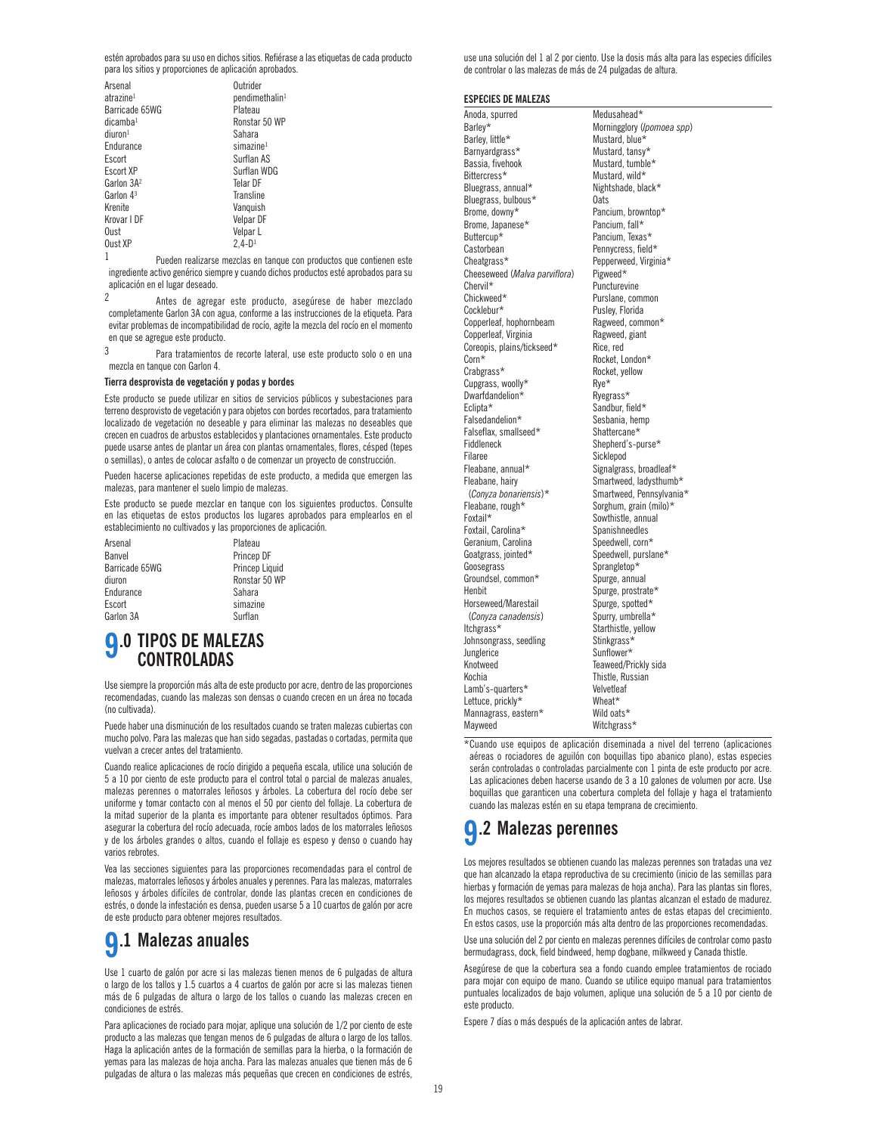estén aprobados para su uso en dichos sitios. Refiérase a las etiquetas de cada producto para los sitios y proporciones de aplicación aprobados.

| Arsenal<br>atrazine <sup>1</sup><br>Barricade 65WG<br>dicamba <sup>1</sup><br>diuron <sup>1</sup><br>Endurance<br>Escort<br>Escort XP<br>Garlon 3A <sup>2</sup><br>Garlon 43<br>Krenite<br>Krovar I DF | Outrider<br>pendimethalin <sup>1</sup><br>Plateau<br>Ronstar 50 WP<br>Sahara<br>$sim$ azine <sup>1</sup><br>Surflan AS<br>Surflan WDG<br>Telar DF<br>Transline<br>Vanquish<br>Velpar DF |
|--------------------------------------------------------------------------------------------------------------------------------------------------------------------------------------------------------|-----------------------------------------------------------------------------------------------------------------------------------------------------------------------------------------|
| Oust                                                                                                                                                                                                   | Velpar L                                                                                                                                                                                |
| Oust XP                                                                                                                                                                                                | $2.4 - D1$                                                                                                                                                                              |

1 Pueden realizarse mezclas en tanque con productos que contienen este ingrediente activo genérico siempre y cuando dichos productos esté aprobados para su aplicación en el lugar deseado.

2 Antes de agregar este producto, asegúrese de haber mezclado completamente Garlon 3A con agua, conforme a las instrucciones de la etiqueta. Para evitar problemas de incompatibilidad de rocío, agite la mezcla del rocío en el momento en que se agregue este producto.

3 Para tratamientos de recorte lateral, use este producto solo o en una mezcla en tanque con Garlon 4.

### **Tierra desprovista de vegetación y podas y bordes**

Este producto se puede utilizar en sitios de servicios públicos y subestaciones para terreno desprovisto de vegetación y para objetos con bordes recortados, para tratamiento localizado de vegetación no deseable y para eliminar las malezas no deseables que crecen en cuadros de arbustos establecidos y plantaciones ornamentales. Este producto puede usarse antes de plantar un área con plantas ornamentales, flores, césped (tepes o semillas), o antes de colocar asfalto o de comenzar un proyecto de construcción.

Pueden hacerse aplicaciones repetidas de este producto, a medida que emergen las malezas, para mantener el suelo limpio de malezas.

Este producto se puede mezclar en tanque con los siguientes productos. Consulte en las etiquetas de estos productos los lugares aprobados para emplearlos en el establecimiento no cultivados y las proporciones de aplicación.

| Arsenal        |  |
|----------------|--|
| Banvel         |  |
| Barricade 65WG |  |
| diuron         |  |
| Endurance      |  |
| Escort         |  |
| Garlon 3A      |  |

Plateau Princep DF Princep Liquid Ronstar 50 WP Sahara simazine Surflan

### **9.0 TIPOS DE MALEZAS CONTROLADAS**

Use siempre la proporción más alta de este producto por acre, dentro de las proporciones recomendadas, cuando las malezas son densas o cuando crecen en un área no tocada (no cultivada).

Puede haber una disminución de los resultados cuando se traten malezas cubiertas con mucho polvo. Para las malezas que han sido segadas, pastadas o cortadas, permita que vuelvan a crecer antes del tratamiento.

Cuando realice aplicaciones de rocío dirigido a pequeña escala, utilice una solución de 5 a 10 por ciento de este producto para el control total o parcial de malezas anuales, malezas perennes o matorrales leñosos y árboles. La cobertura del rocío debe ser uniforme y tomar contacto con al menos el 50 por ciento del follaje. La cobertura de la mitad superior de la planta es importante para obtener resultados óptimos. Para asegurar la cobertura del rocío adecuada, rocíe ambos lados de los matorrales leñosos y de los árboles grandes o altos, cuando el follaje es espeso y denso o cuando hay varios rebrotes.

Vea las secciones siguientes para las proporciones recomendadas para el control de malezas, matorrales leñosos y árboles anuales y perennes. Para las malezas, matorrales leñosos y árboles difíciles de controlar, donde las plantas crecen en condiciones de estrés, o donde la infestación es densa, pueden usarse 5 a 10 cuartos de galón por acre de este producto para obtener mejores resultados.

# **9.1 Malezas anuales**

Use 1 cuarto de galón por acre si las malezas tienen menos de 6 pulgadas de altura o largo de los tallos y 1.5 cuartos a 4 cuartos de galón por acre si las malezas tienen más de 6 pulgadas de altura o largo de los tallos o cuando las malezas crecen en condiciones de estrés.

Para aplicaciones de rociado para mojar, aplique una solución de 1/2 por ciento de este producto a las malezas que tengan menos de 6 pulgadas de altura o largo de los tallos. Haga la aplicación antes de la formación de semillas para la hierba, o la formación de yemas para las malezas de hoja ancha. Para las malezas anuales que tienen más de 6 pulgadas de altura o las malezas más pequeñas que crecen en condiciones de estrés,

use una solución del 1 al 2 por ciento. Use la dosis más alta para las especies difíciles de controlar o las malezas de más de 24 pulgadas de altura.

### **ESPECIES DE MALEZAS**

Anoda, spurred Medusahead\* Barley, little\*<br>Barnyardgrass\* Barnyardgrass\* Mustard, tansy\*<br>Bassia. fivehook Mustard. tumble Bittercress\* Mustard, wild\*<br>Bluegrass, annual\* Mightshade, black\* Bluegrass, annual\* Bluegrass, bulbous\* 0ats<br>Brome, downy\* Panci Brome, Japanese\* Buttercup\* Pancium, Texas\* Castorbean Pennycress, field\*<br>Cheatgrass\* Pepperweed, Virgin Cheeseweed (Malva parviflora) Chervil\* Puncturevine<br>Chickweed\* Purslane.com Chickweed\* Purslane, common<br>Cocklebur\* Pusley, Florida Copperleaf, hophornbeam Copperleaf, Virginia<br>Coreopis, plains/tickseed\* Rice, red Coreopis, plains/tickseed\* Corn\* Rocket, London\*<br>Crabgrass\* Rocket, yellow Cupgrass, woolly\* Rye\* Ryess, woolly\* Ryegrass\* Dwarfdandelion\*<br>Eclipta\* Falsedandelion\* Sesbania, hempedandelion\* Sesbania, hempedantes<br>Falseflax smallseed\* Shattercane\* Falseflax, smallseed\*<br>Fiddleneck Fiddleneck Shepherd's-purse\* Filaree Sicklepod<br>Fleabane, annual\* Signalgras Fleabane, annual\* Signalgrass, broadleaf\*<br>Fleabane, hairy street Smartweed, ladysthumb Fleabane, rough\* Sorghum, grain (milo)\*<br>Foxtail\* Sowthistle annual Foxtail, Carolina\* Spanishneedles<br>Geranium, Carolina Speedwell, corn\* Geranium, Carolina Goatgrass, jointed\* Speedwell, purslane\* Goosegrass<br>Groundsel, common\* Sprangletop\*<br>Spurge, annual Groundsel, common\* Henbit Spurge, prostrate\* Horseweed/Marestail Spurge, spotted\*<br>
(Conyza canadensis) Spurry, umbrella\* (*Conyza canadensis*)<br>Itchgrass\* Johnsongrass, seedling Junglerice Sunflower\*<br>1991 - Sunflower Sunflower\*<br>Teaweed/P Knotweed Teaweed/Prickly sida Lamb's-quarters\* Velvetle<br>Lettuce\_prickly\* Wheat\* Lettuce, prickly\* Mannagrass, eastern\* Wild oats\*<br>Mayweed Witchgrass

Barley\* **Morningglory** (*Ipomoea spp*)<br>Barley, little\* Mustard, blue\* Mustard, blue Mustard, tumble\* Pancium, browntop\*<br>Pancium, fall\* Pepperweed, Virginia\*<br>Pigweed\* Pusley, Florida<br>Ragweed common\* Rocket, yellow<br>Rve\* Sandbur, field\*<br>Sesbania, hemp Fleabane, hairy Smartweed, ladysthumb\*<br>Convza honariensis)\* Smartweed Pennsylvania (*Conyza bonariensis*)\* Smartweed, Pennsylvania\* Sowthistle, annual<br>Spanishneedles Starthistle, yellow<br>Stinkgrass\* Thistle, Russian<br>Velvetleaf Witchgrass\*

\*Cuando use equipos de aplicación diseminada a nivel del terreno (aplicaciones aéreas o rociadores de aguilón con boquillas tipo abanico plano), estas especies serán controladas o controladas parcialmente con 1 pinta de este producto por acre. Las aplicaciones deben hacerse usando de 3 a 10 galones de volumen por acre. Use boquillas que garanticen una cobertura completa del follaje y haga el tratamiento cuando las malezas estén en su etapa temprana de crecimiento.

## **9.2 Malezas perennes**

Los mejores resultados se obtienen cuando las malezas perennes son tratadas una vez que han alcanzado la etapa reproductiva de su crecimiento (inicio de las semillas para hierbas y formación de yemas para malezas de hoja ancha). Para las plantas sin flores, los mejores resultados se obtienen cuando las plantas alcanzan el estado de madurez. En muchos casos, se requiere el tratamiento antes de estas etapas del crecimiento. En estos casos, use la proporción más alta dentro de las proporciones recomendadas.

Use una solución del 2 por ciento en malezas perennes difíciles de controlar como pasto bermudagrass, dock, field bindweed, hemp dogbane, milkweed y Canada thistle.

Asegúrese de que la cobertura sea a fondo cuando emplee tratamientos de rociado para mojar con equipo de mano. Cuando se utilice equipo manual para tratamientos puntuales localizados de bajo volumen, aplique una solución de 5 a 10 por ciento de este producto.

Espere 7 días o más después de la aplicación antes de labrar.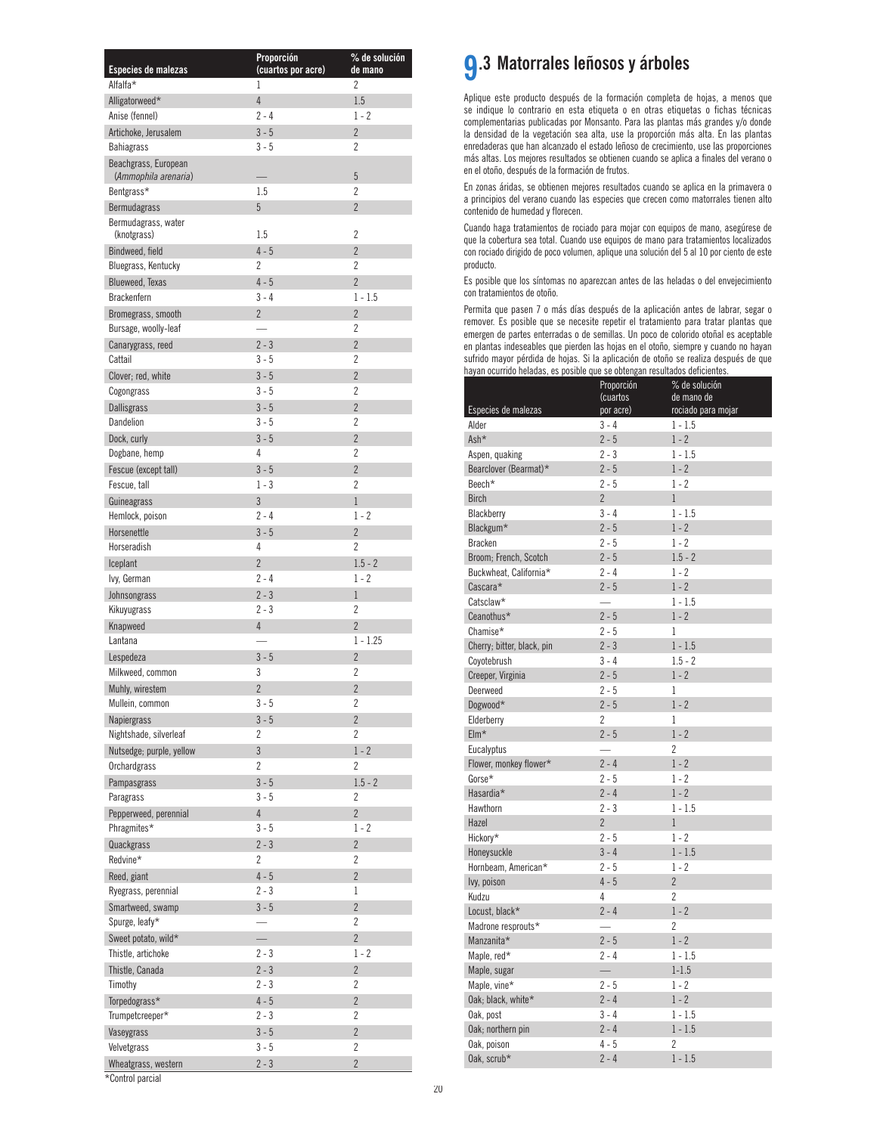| Especies de malezas                          | Proporción<br>(cuartos por acre) | % de solución<br>de mano |
|----------------------------------------------|----------------------------------|--------------------------|
| Alfalfa*                                     | 1                                | 2                        |
| Alligatorweed*                               | $\overline{4}$                   | 1.5                      |
| Anise (fennel)                               | $2 - 4$                          | $1 - 2$                  |
| Artichoke, Jerusalem                         | $3 - 5$                          | $\overline{2}$           |
| <b>Bahiagrass</b>                            | $3 - 5$                          | 2                        |
| Beachgrass, European<br>(Ammophila arenaria) |                                  | 5                        |
| Bentgrass*                                   | 1.5                              | $\overline{c}$           |
| <b>Bermudagrass</b>                          | 5                                | $\overline{2}$           |
| Bermudagrass, water<br>(knotgrass)           | 1.5                              | $\overline{c}$           |
| Bindweed, field                              | $4 - 5$                          | $\overline{2}$           |
| Bluegrass, Kentucky                          | 2                                | 2                        |
| <b>Blueweed, Texas</b>                       | $4 - 5$                          | $\overline{2}$           |
| <b>Brackenfern</b>                           | $3 - 4$                          | $1 - 1.5$                |
| Bromegrass, smooth                           | $\overline{2}$                   | $\overline{2}$           |
| Bursage, woolly-leaf                         |                                  | 2                        |
| Canarygrass, reed                            | $2 - 3$                          | $\overline{2}$           |
| Cattail                                      | $3 - 5$                          | $\overline{c}$           |
| Clover; red, white                           | $3 - 5$                          | $\overline{2}$           |
| Cogongrass                                   | $3 - 5$                          | $\overline{c}$           |
| <b>Dallisgrass</b>                           | $3 - 5$                          | $\overline{2}$           |
| Dandeljon                                    | $3 - 5$                          | $\overline{c}$           |
| Dock, curly                                  | $3 - 5$                          | $\overline{2}$           |
| Dogbane, hemp                                | 4                                | $\overline{2}$           |
| Fescue (except tall)                         | $3 - 5$                          | $\overline{2}$           |
| Fescue, tall                                 | $1 - 3$                          | $\overline{2}$           |
| Guineagrass                                  | 3                                | $\mathbf{1}$             |
| Hemlock, poison                              | $2 - 4$                          | $1 - 2$                  |
| Horsenettle                                  | $3 - 5$                          | $\overline{2}$           |
| Horseradish                                  | 4                                | $\overline{2}$           |
| Iceplant                                     | $\overline{2}$                   | $1.5 - 2$                |
| lvy, German                                  | 2 - 4                            | $1 - 2$                  |
| Johnsongrass                                 | $2 - 3$                          | $\mathbf{1}$             |
| Kikuyugrass                                  | 2 - 3<br>$\overline{4}$          | 2<br>$\overline{2}$      |
| Knapweed<br>Lantana                          |                                  | $1 - 1.25$               |
| Lespedeza                                    | $3 - 5$                          | $\overline{2}$           |
| Milkweed, common                             | 3                                | $\overline{2}$           |
| Muhly, wirestem                              | $\overline{c}$                   | $\overline{c}$           |
| Mullein, common                              | $3 - 5$                          | 2                        |
| <b>Napiergrass</b>                           | $3 - 5$                          | $\overline{2}$           |
| Nightshade, silverleaf                       | 2                                | $\overline{c}$           |
| Nutsedge; purple, yellow                     | $\overline{3}$                   | $1 - 2$                  |
| Orchardgrass                                 | $\overline{2}$                   | 2                        |
| Pampasgrass                                  | $3 - 5$                          | $1.5 - 2$                |
| Paragrass                                    | $3 - 5$                          | 2                        |
| Pepperweed, perennial                        | $\overline{4}$                   | $\overline{2}$           |
| Phragmites*                                  | $3 - 5$                          | $1 - 2$                  |
| Quackgrass                                   | $2 - 3$                          | $\overline{2}$           |
| Redvine*                                     | 2                                | 2                        |
| Reed, giant                                  | $4 - 5$                          | $\overline{2}$           |
| Ryegrass, perennial                          | $2 - 3$                          | 1                        |
| Smartweed, swamp                             | $3 - 5$                          | $\overline{c}$           |
| Spurge, leafy*                               |                                  | 2                        |
| Sweet potato, wild*                          | $\overline{\phantom{0}}$         | $\overline{2}$           |
| Thistle, artichoke                           | $2 - 3$                          | $1 - 2$                  |
| Thistle, Canada                              | $2 - 3$                          | $\overline{2}$           |
| Timothy                                      | $2 - 3$                          | $\overline{c}$           |
| Torpedograss*                                | $4 - 5$                          | $\overline{c}$           |
| Trumpetcreeper*                              | $2 - 3$                          | 2                        |
| Vaseygrass                                   | $3 - 5$                          | $\overline{2}$           |
| Velvetgrass                                  | $3 - 5$                          | $\overline{c}$           |
| Wheatgrass, western                          | $2 - 3$                          | $\overline{2}$           |

## **9.3 Matorrales leñosos y árboles**

Aplique este producto después de la formación completa de hojas, a menos que se indique lo contrario en esta etiqueta o en otras etiquetas o fichas técnicas complementarias publicadas por Monsanto. Para las plantas más grandes y/o donde la densidad de la vegetación sea alta, use la proporción más alta. En las plantas enredaderas que han alcanzado el estado leñoso de crecimiento, use las proporciones más altas. Los mejores resultados se obtienen cuando se aplica a finales del verano o en el otoño, después de la formación de frutos.

En zonas áridas, se obtienen mejores resultados cuando se aplica en la primavera o a principios del verano cuando las especies que crecen como matorrales tienen alto contenido de humedad y florecen.

Cuando haga tratamientos de rociado para mojar con equipos de mano, asegúrese de que la cobertura sea total. Cuando use equipos de mano para tratamientos localizados con rociado dirigido de poco volumen, aplique una solución del 5 al 10 por ciento de este producto.

Es posible que los síntomas no aparezcan antes de las heladas o del envejecimiento con tratamientos de otoño.

Permita que pasen 7 o más días después de la aplicación antes de labrar, segar o remover. Es posible que se necesite repetir el tratamiento para tratar plantas que emergen de partes enterradas o de semillas. Un poco de colorido otoñal es aceptable en plantas indeseables que pierden las hojas en el otoño, siempre y cuando no hayan sufrido mayor pérdida de hojas. Si la aplicación de otoño se realiza después de que hayan ocurrido heladas, es posible que se obtengan resultados deficientes.

|                            | Proporción               | % de solución                    |
|----------------------------|--------------------------|----------------------------------|
| Especies de malezas        | (cuartos<br>por acre)    | de mano de<br>rociado para mojar |
| Alder                      | $3 - 4$                  | $1 - 1.5$                        |
| Ash*                       | $2 - 5$                  | $1 - 2$                          |
| Aspen, quaking             | $2 - 3$                  | $1 - 1.5$                        |
| Bearclover (Bearmat)*      | $2 - 5$                  | $1 - 2$                          |
| Beech*                     | $2 - 5$                  | $1 - 2$                          |
| <b>Birch</b>               | $\overline{2}$           | $\mathbf{1}$                     |
| Blackberry                 | $3 - 4$                  | $1 - 1.5$                        |
| Blackgum*                  | $2 - 5$                  | $1 - 2$                          |
| <b>Bracken</b>             | $2 - 5$                  | $1 - 2$                          |
| Broom; French, Scotch      | $2 - 5$                  | $1.5 - 2$                        |
| Buckwheat, California*     | $2 - 4$                  | $1 - 2$                          |
| Cascara*                   | $2 - 5$                  | $1 - 2$                          |
| Catsclaw*                  |                          | $1 - 1.5$                        |
| Ceanothus*                 | $2 - 5$                  | $1 - 2$                          |
| Chamise*                   | $2 - 5$                  | 1                                |
| Cherry; bitter, black, pin | $2 - 3$                  | $1 - 1.5$                        |
| Coyotebrush                | $3 - 4$                  | $1.5 - 2$                        |
| Creeper, Virginia          | $2 - 5$                  | $1 - 2$                          |
| Deerweed                   | $2 - 5$                  | $\mathbf{1}$                     |
| Dogwood*                   | $2 - 5$                  | $1 - 2$                          |
| Elderberry                 | $\overline{2}$           | 1                                |
| $EIm*$                     | $2 - 5$                  | $1 - 2$                          |
| Eucalyptus                 | $\overline{\phantom{0}}$ | 2                                |
| Flower, monkey flower*     | $2 - 4$                  | $1 - 2$                          |
| $Gorse*$                   | $2 - 5$                  | $1 - 2$                          |
| Hasardia*                  | $2 - 4$                  | $1 - 2$                          |
| Hawthorn                   | $2 - 3$                  | $1 - 1.5$                        |
| Hazel                      | $\overline{2}$           | 1                                |
| Hickory*                   | $2 - 5$                  | $1 - 2$                          |
| Honeysuckle                | $3 - 4$                  | $1 - 1.5$                        |
| Hornbeam, American*        | $2 - 5$                  | $1 - 2$                          |
| lvy, poison                | $4 - 5$                  | $\overline{2}$                   |
| Kudzu                      | 4                        | $\overline{2}$                   |
| Locust, black*             | $2 - 4$                  | $1 - 2$                          |
| Madrone resprouts*         |                          | 2                                |
| Manzanita*                 | $2 - 5$                  | $1 - 2$                          |
| Maple, red*                | $2 - 4$                  | $1 - 1.5$                        |
| Maple, sugar               | $\equiv$                 | $1 - 1.5$                        |
| Maple, vine*               | $2 - 5$                  | 1 - 2                            |
| Oak; black, white*         | $2 - 4$                  | $1 - 2$                          |
| Oak, post                  | $3 - 4$                  | $1 - 1.5$                        |
| Oak; northern pin          | $2 - 4$                  | $1 - 1.5$                        |
| Oak, poison                | $4-5$                    | 2                                |
| Oak, scrub*                | $2 - 4$                  | $1 - 1.5$                        |

\*Control parcial